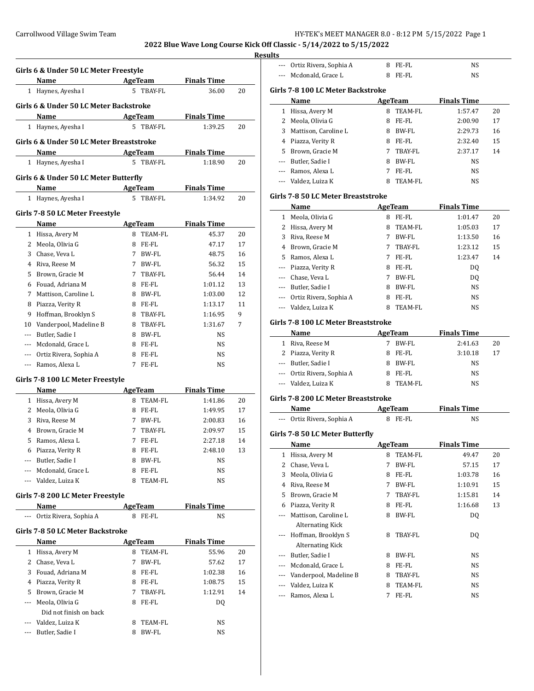# **Res**

|                                  | Name                                      |             | <b>AgeTeam</b> | <b>Finals Time</b> |                                  |
|----------------------------------|-------------------------------------------|-------------|----------------|--------------------|----------------------------------|
|                                  | 1 Haynes, Ayesha I                        |             | 5 TBAY-FL      | 36.00              | 20                               |
|                                  | Girls 6 & Under 50 LC Meter Backstroke    |             |                |                    |                                  |
|                                  | Name                                      |             | AgeTeam        | <b>Finals Time</b> |                                  |
|                                  | 1 Haynes, Ayesha I                        |             | 5 TBAY-FL      | 1:39.25            | 20                               |
|                                  | Girls 6 & Under 50 LC Meter Breaststroke  |             |                |                    |                                  |
|                                  | Name                                      |             | <b>AgeTeam</b> | <b>Finals Time</b> |                                  |
| $1 \quad$                        | Haynes, Ayesha I                          | 5           | TBAY-FL        | 1:18.90            | 20                               |
|                                  |                                           |             |                |                    |                                  |
|                                  | Girls 6 & Under 50 LC Meter Butterfly     |             |                |                    |                                  |
|                                  | Name                                      |             | AgeTeam        | <b>Finals Time</b> |                                  |
|                                  | 1 Haynes, Ayesha I                        |             | 5 TBAY-FL      | 1:34.92            | 20                               |
|                                  | Girls 7-8 50 LC Meter Freestyle           |             |                |                    |                                  |
|                                  | Name                                      |             | <b>AgeTeam</b> | <b>Finals Time</b> |                                  |
|                                  | 1 Hissa, Avery M                          | 8           | TEAM-FL        | 45.37              | 20                               |
|                                  | 2 Meola, Olivia G                         |             | 8 FE-FL        | 47.17              | 17                               |
|                                  | 3 Chase, Veva L                           |             | 7 BW-FL        | 48.75              | 16                               |
|                                  | 4 Riva, Reese M                           | 7           | BW-FL          | 56.32              | 15                               |
|                                  | 5 Brown, Gracie M                         | 7           | TBAY-FL        | 56.44              | 14                               |
| 6                                | Fouad. Adriana M                          | 8           | FE-FL          | 1:01.12            | 13                               |
| 7                                | Mattison, Caroline L                      | 8           | BW-FL          | 1:03.00            | 12                               |
| 8                                | Piazza, Verity R                          | 8           | FE-FL          | 1:13.17            | 11                               |
| 9                                | Hoffman, Brooklyn S                       | 8           | TBAY-FL        | 1:16.95            | 9                                |
| 10                               | Vanderpool, Madeline B                    | 8           | TBAY-FL        | 1:31.67            | 7                                |
|                                  | --- Butler, Sadie I                       | 8           | <b>BW-FL</b>   | NS                 |                                  |
| ---                              | Mcdonald, Grace L                         | 8           | FE-FL          | NS                 |                                  |
| ---                              | Ortiz Rivera, Sophia A                    | 8           | $FE-FL$        | NS                 |                                  |
|                                  | Ramos, Alexa L                            | 7           | FE-FL          | NS                 |                                  |
|                                  | Name                                      |             | <b>AgeTeam</b> | <b>Finals Time</b> |                                  |
|                                  | 1 Hissa, Avery M                          | 8           | TEAM-FL        | 1:41.86            |                                  |
|                                  | 2 Meola, Olivia G                         | 8           | FE-FL          | 1:49.95            |                                  |
| 3                                | Riva, Reese M                             | 7           | BW-FL          | 2:00.83            |                                  |
| 4                                | Brown, Gracie M                           | 7           | TBAY-FL        | 2:09.97            |                                  |
| 5                                | Ramos, Alexa L                            | $7^{\circ}$ | FE-FL          | 2:27.18            |                                  |
|                                  |                                           | 8           | FE-FL          | 2:48.10            |                                  |
| ---                              | 6 Piazza, Verity R<br>Butler, Sadie I     | 8           | BW-FL          | NS                 |                                  |
| ---                              | Mcdonald, Grace L                         | 8           | FE-FL          | NS                 |                                  |
|                                  | --- Valdez, Luiza K                       | 8           | TEAM-FL        | NS                 |                                  |
|                                  |                                           |             |                |                    | 20<br>17<br>16<br>15<br>14<br>13 |
|                                  | Girls 7-8 200 LC Meter Freestyle<br>Name  |             | <b>AgeTeam</b> | <b>Finals Time</b> |                                  |
|                                  | Ortiz Rivera, Sophia A                    |             | 8 FE-FL        | NS                 |                                  |
|                                  | Girls 7-8 50 LC Meter Backstroke          |             |                |                    |                                  |
|                                  | <b>Name</b>                               |             | <b>AgeTeam</b> | <b>Finals Time</b> |                                  |
|                                  | 1 Hissa, Avery M                          |             | 8 TEAM-FL      | 55.96              |                                  |
|                                  | 2 Chase, Veva L                           | 7           | BW-FL          | 57.62              |                                  |
| 3                                | Fouad, Adriana M                          | 8           | FE-FL          | 1:02.38            |                                  |
|                                  |                                           | 8           | FE-FL          |                    |                                  |
| 5                                | 4 Piazza, Verity R                        | 7           | TBAY-FL        | 1:08.75<br>1:12.91 |                                  |
|                                  | Brown, Gracie M                           |             |                |                    |                                  |
| ---                              | Meola, Olivia G                           | 8           | FE-FL          | DQ                 |                                  |
| Girls 7-8 100 LC Meter Freestyle | Did not finish on back<br>Valdez, Luiza K | 8           | TEAM-FL        | NS                 | 20<br>17<br>16<br>15<br>14       |

|            | --- Ortiz Rivera, Sophia A          |        | 8 FE-FL          | NS                 |                                  |
|------------|-------------------------------------|--------|------------------|--------------------|----------------------------------|
|            | --- Mcdonald, Grace L               | 8      | FE-FL            | NS                 |                                  |
|            | Girls 7-8 100 LC Meter Backstroke   |        |                  |                    |                                  |
|            | Name                                |        | <b>AgeTeam</b>   | <b>Finals Time</b> |                                  |
| 1          | Hissa, Avery M                      |        | 8 TEAM-FL        | 1:57.47            | 20                               |
| 2          | Meola, Olivia G                     | 8      | FE-FL            | 2:00.90            | 17                               |
| 3          | Mattison, Caroline L                |        | 8 BW-FL          | 2:29.73            | 16                               |
| 4          | Piazza, Verity R                    |        | 8 FE-FL          | 2:32.40            | 15                               |
| 5          | Brown, Gracie M                     | 7      | TBAY-FL          | 2:37.17            | 14                               |
| ---        | Butler, Sadie I                     | 8      | BW-FL            | NS                 |                                  |
| $\cdots$   | Ramos, Alexa L                      | 7      | FE-FL            | NS                 |                                  |
| ---        | Valdez, Luiza K                     | 8      | <b>TEAM-FL</b>   | NS                 |                                  |
|            | Girls 7-8 50 LC Meter Breaststroke  |        |                  |                    |                                  |
|            | Name                                |        | <b>AgeTeam</b>   | <b>Finals Time</b> |                                  |
| 1          | Meola, Olivia G                     |        | 8 FE-FL          | 1:01.47            | 20                               |
| 2          | Hissa, Avery M                      | 8      | TEAM-FL          | 1:05.03            | 17                               |
| 3          | Riva, Reese M                       | 7      | BW-FL            | 1:13.50            | 16                               |
| 4          | Brown, Gracie M                     | 7      | <b>TBAY-FL</b>   | 1:23.12            | 15                               |
| 5          | Ramos, Alexa L                      | 7      | FE-FL            | 1:23.47            | 14                               |
|            | --- Piazza, Verity R                |        | 8 FE-FL          | DQ                 |                                  |
|            | --- Chase, Veva L                   | 7      | BW-FL            | DO.                |                                  |
|            | --- Butler, Sadie I                 | 8      | BW-FL            | NS                 |                                  |
|            | --- Ortiz Rivera, Sophia A          | 8      | FE-FL            | NS                 |                                  |
| ---        | Valdez, Luiza K                     | 8      | TEAM-FL          | NS                 |                                  |
|            | Girls 7-8 100 LC Meter Breaststroke |        |                  |                    |                                  |
|            | Name                                |        | <b>AgeTeam</b>   | <b>Finals Time</b> |                                  |
|            | 1 Riva, Reese M                     | 7      | BW-FL            | 2:41.63            | 20                               |
|            | 2 Piazza, Verity R                  |        | FE-FL            |                    |                                  |
|            |                                     | 8      |                  | 3:10.18            |                                  |
|            | --- Butler, Sadie I                 | 8      | BW-FL            | NS                 |                                  |
|            | --- Ortiz Rivera, Sophia A          |        | 8 FE-FL          | NS                 |                                  |
| ---        | Valdez, Luiza K                     | 8      | TEAM-FL          | NS                 | 17                               |
|            |                                     |        |                  |                    |                                  |
|            | Girls 7-8 200 LC Meter Breaststroke |        |                  |                    |                                  |
|            | Name                                |        | AgeTeam          | <b>Finals Time</b> |                                  |
|            | --- Ortiz Rivera, Sophia A          |        | 8 FE-FL          | NS                 |                                  |
|            | Girls 7-8 50 LC Meter Butterfly     |        |                  |                    |                                  |
|            | <b>Name</b>                         |        | <b>AgeTeam</b>   | <b>Finals Time</b> |                                  |
| 1          | Hissa, Avery M                      | 8      | TEAM-FL          | 49.47              |                                  |
| 2          | Chase, Veva L                       | 7      | BW-FL            | 57.15              |                                  |
| 3          | Meola, Olivia G                     | 8      | FE-FL            | 1:03.78            |                                  |
| 4          | Riva, Reese M                       | 7      | BW-FL            | 1:10.91            |                                  |
| 5          | Brown, Gracie M                     | 7      | TBAY-FL          | 1:15.81            |                                  |
| 6          | Piazza, Verity R                    | 8      | FE-FL            | 1:16.68            |                                  |
| ---        | Mattison, Caroline L                | 8      | BW-FL            | DQ                 | 20<br>17<br>16<br>15<br>14<br>13 |
|            | <b>Alternating Kick</b>             |        |                  |                    |                                  |
| ---        | Hoffman, Brooklyn S                 | 8      | TBAY-FL          | DQ                 |                                  |
|            | <b>Alternating Kick</b>             |        |                  |                    |                                  |
|            | Butler, Sadie I                     | 8      | BW-FL            | NS                 |                                  |
| ---        | Mcdonald, Grace L                   | 8      | FE-FL            | NS                 |                                  |
| ---        | Vanderpool, Madeline B              | 8      | TBAY-FL          | NS                 |                                  |
| ---<br>--- | Valdez, Luiza K<br>Ramos, Alexa L   | 8<br>7 | TEAM-FL<br>FE-FL | NS<br>NS           |                                  |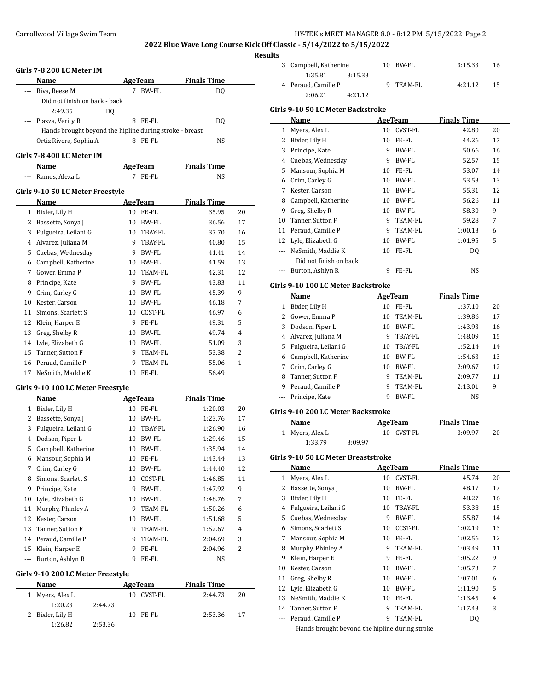### **Results**

|    | Girls 7-8 200 LC Meter IM                               |    |                         |                    |          |
|----|---------------------------------------------------------|----|-------------------------|--------------------|----------|
|    | Name                                                    |    | AgeTeam                 | <b>Finals Time</b> |          |
|    | Riva, Reese M                                           |    | 7 BW-FL                 | DQ                 |          |
|    | Did not finish on back - back                           |    |                         |                    |          |
|    | 2:49.35                                                 | DO |                         |                    |          |
|    | Piazza, Verity R                                        |    | 8 FE-FL                 | DQ                 |          |
|    | Hands brought beyond the hipline during stroke - breast |    |                         |                    |          |
|    | Ortiz Rivera, Sophia A                                  |    | 8 FE-FL                 | NS                 |          |
|    |                                                         |    |                         |                    |          |
|    | Girls 7-8 400 LC Meter IM<br>Name                       |    | AgeTeam                 | <b>Finals Time</b> |          |
|    | --- Ramos, Alexa L                                      |    | 7 FE-FL                 | NS                 |          |
|    |                                                         |    |                         |                    |          |
|    | Girls 9-10 50 LC Meter Freestyle                        |    |                         |                    |          |
|    | Name                                                    |    | AgeTeam                 | <b>Finals Time</b> |          |
|    | 1 Bixler, Lily H                                        |    | 10 FE-FL<br>10 BW-FL    | 35.95              | 20<br>17 |
|    | 2 Bassette, Sonya J                                     |    |                         | 36.56              | 16       |
|    | 3 Fulgueira, Leilani G<br>4 Alvarez, Juliana M          |    | 10 TBAY-FL<br>9 TBAY-FL | 37.70              | 15       |
|    |                                                         |    | 9 BW-FL                 | 40.80              |          |
|    | 5 Cuebas, Wednesday                                     |    | 10 BW-FL                | 41.41              | 14<br>13 |
|    | 6 Campbell, Katherine                                   |    |                         | 41.59              |          |
|    | 7 Gower, Emma P                                         |    | 10 TEAM-FL              | 42.31              | 12       |
|    | 8 Principe, Kate                                        |    | 9 BW-FL                 | 43.83              | 11       |
|    | 9 Crim, Carley G                                        |    | 10 BW-FL                | 45.39              | 9        |
|    | 10 Kester, Carson                                       |    | 10 BW-FL                | 46.18              | 7        |
|    | 11 Simons, Scarlett S                                   |    | 10 CCST-FL              | 46.97              | 6        |
|    | 12 Klein, Harper E                                      | 9  | FE-FL                   | 49.31              | 5        |
|    | 13 Greg, Shelby R                                       |    | 10 BW-FL                | 49.74              | 4        |
|    | 14 Lyle, Elizabeth G                                    |    | 10 BW-FL                | 51.09              | 3        |
|    | 15 Tanner, Sutton F                                     |    | 9 TEAM-FL               | 53.38              | 2        |
|    | 16 Peraud, Camille P                                    | 9  | <b>TEAM-FL</b>          | 55.06              | 1        |
| 17 | NeSmith, Maddie K                                       |    | 10 FE-FL                | 56.49              |          |
|    | Girls 9-10 100 LC Meter Freestyle                       |    |                         |                    |          |
|    | Name                                                    |    | AgeTeam                 | <b>Finals Time</b> |          |
|    | 1 Bixler, Lily H                                        |    | 10 FE-FL                | 1:20.03            | 20       |
| 2  | Bassette, Sonya J                                       |    | 10 BW-FL                | 1:23.76            | 17       |
| 3  | Fulgueira, Leilani G                                    | 10 | TBAY-FL                 | 1:26.90            | 16       |
| 4  | Dodson, Piper L                                         | 10 | BW-FL                   | 1:29.46            | 15       |
| 5  | Campbell, Katherine                                     | 10 | BW-FL                   | 1:35.94            | 14       |
| 6  | Mansour, Sophia M                                       | 10 | FE-FL                   | 1:43.44            | 13       |
| 7  | Crim, Carley G                                          | 10 | BW-FL                   | 1:44.40            | 12       |
| 8  | Simons, Scarlett S                                      | 10 | CCST-FL                 | 1:46.85            | 11       |
| 9  | Principe, Kate                                          | 9  | BW-FL                   | 1:47.92            | 9        |
| 10 | Lyle, Elizabeth G                                       | 10 | BW-FL                   | 1:48.76            | 7        |
| 11 | Murphy, Phinley A                                       | 9. | TEAM-FL                 | 1:50.26            | 6        |
| 12 | Kester, Carson                                          | 10 | BW-FL                   | 1:51.68            | 5        |
| 13 | Tanner, Sutton F                                        | 9. | TEAM-FL                 | 1:52.67            | 4        |
|    | 14 Peraud, Camille P                                    | 9. | TEAM-FL                 | 2:04.69            | 3        |
| 15 | Klein, Harper E                                         | 9  | FE-FL                   | 2:04.96            | 2        |
|    |                                                         |    |                         |                    |          |

| <b>Name</b>      |         | AgeTeam       | <b>Finals Time</b> |    |
|------------------|---------|---------------|--------------------|----|
| 1 Myers, Alex L  |         | CVST-FL<br>10 | 2:44.73            | 20 |
| 1:20.23          | 2:44.73 |               |                    |    |
| 2 Bixler, Lily H |         | FE-FL<br>10   | 2:53.36            | 17 |
| 1:26.82          | 2:53.36 |               |                    |    |

 $\overline{a}$ 

| э |                       |         |           |         |    |  |
|---|-----------------------|---------|-----------|---------|----|--|
|   | 3 Campbell, Katherine |         | 10 BW-FL  | 3:15.33 | 16 |  |
|   | 1:35.81               | 3:15.33 |           |         |    |  |
|   | 4 Peraud, Camille P   |         | 9 TEAM-FL | 4:21.12 | 15 |  |
|   | 2:06.21               | 4:21.12 |           |         |    |  |

### **Girls 9-10 50 LC Meter Backstroke**

|    | Name                   |    | AgeTeam | <b>Finals Time</b> |    |
|----|------------------------|----|---------|--------------------|----|
| 1  | Myers, Alex L          | 10 | CVST-FL | 42.80              | 20 |
| 2  | Bixler, Lily H         | 10 | FE-FL   | 44.26              | 17 |
| 3  | Principe, Kate         | 9  | BW-FL   | 50.66              | 16 |
| 4  | Cuebas, Wednesday      | 9  | BW-FL   | 52.57              | 15 |
| 5. | Mansour, Sophia M      | 10 | FE-FL   | 53.07              | 14 |
| 6  | Crim, Carley G         | 10 | BW-FL   | 53.53              | 13 |
| 7  | Kester, Carson         | 10 | BW-FL   | 55.31              | 12 |
| 8  | Campbell, Katherine    | 10 | BW-FL   | 56.26              | 11 |
| 9  | Greg, Shelby R         | 10 | BW-FL   | 58.30              | 9  |
| 10 | Tanner, Sutton F       | 9  | TEAM-FL | 59.28              | 7  |
| 11 | Peraud, Camille P      | 9  | TEAM-FL | 1:00.13            | 6  |
|    | 12 Lyle, Elizabeth G   | 10 | BW-FL   | 1:01.95            | 5  |
|    | NeSmith, Maddie K      | 10 | FE-FL   | DO.                |    |
|    | Did not finish on back |    |         |                    |    |
|    | Burton, Ashlyn R       | 9  | FE-FL   | <b>NS</b>          |    |
|    |                        |    |         |                    |    |

# **Girls 9-10 100 LC Meter Backstroke**

|   | Name                   |    | AgeTeam | <b>Finals Time</b> |    |  |
|---|------------------------|----|---------|--------------------|----|--|
| 1 | Bixler, Lily H         | 10 | FE-FL   | 1:37.10            | 20 |  |
| 2 | Gower, Emma P          | 10 | TEAM-FL | 1:39.86            | 17 |  |
| 3 | Dodson, Piper L        | 10 | BW-FL   | 1:43.93            | 16 |  |
| 4 | Alvarez, Juliana M     | 9  | TBAY-FL | 1:48.09            | 15 |  |
|   | 5 Fulgueira, Leilani G | 10 | TBAY-FL | 1:52.14            | 14 |  |
| 6 | Campbell, Katherine    | 10 | BW-FL   | 1:54.63            | 13 |  |
| 7 | Crim, Carley G         | 10 | BW-FL   | 2:09.67            | 12 |  |
| 8 | Tanner, Sutton F       | 9  | TEAM-FL | 2:09.77            | 11 |  |
| 9 | Peraud, Camille P      | 9  | TEAM-FL | 2:13.01            | 9  |  |
|   | Principe, Kate         | 9  | BW-FL   | <b>NS</b>          |    |  |
|   |                        |    |         |                    |    |  |

# **Girls 9-10 200 LC Meter Backstroke**

| Name            |         | AgeTeam    | <b>Finals Time</b> |    |
|-----------------|---------|------------|--------------------|----|
| 1 Myers, Alex L |         | 10 CVST-FL | 3:09.97            | 20 |
| 1:33.79         | 3:09.97 |            |                    |    |

## **Girls 9-10 50 LC Meter Breaststroke**

|    | Name                                           |    | AgeTeam | <b>Finals Time</b> |    |
|----|------------------------------------------------|----|---------|--------------------|----|
| 1  | Myers, Alex L                                  | 10 | CVST-FL | 45.74              | 20 |
| 2  | Bassette, Sonya J                              | 10 | BW-FL   | 48.17              | 17 |
| 3  | Bixler, Lily H                                 | 10 | FE-FL   | 48.27              | 16 |
| 4  | Fulgueira, Leilani G                           | 10 | TBAY-FL | 53.38              | 15 |
| 5  | Cuebas, Wednesday                              | 9  | BW-FL   | 55.87              | 14 |
| 6  | Simons, Scarlett S                             | 10 | CCST-FL | 1:02.19            | 13 |
| 7  | Mansour, Sophia M                              | 10 | FE-FL   | 1:02.56            | 12 |
| 8  | Murphy, Phinley A                              | 9  | TEAM-FL | 1:03.49            | 11 |
| 9  | Klein, Harper E                                | 9  | FE-FL   | 1:05.22            | 9  |
| 10 | Kester, Carson                                 | 10 | BW-FL   | 1:05.73            | 7  |
| 11 | Greg, Shelby R                                 | 10 | BW-FL   | 1:07.01            | 6  |
| 12 | Lyle, Elizabeth G                              | 10 | BW-FL   | 1:11.90            | 5  |
| 13 | NeSmith, Maddie K                              | 10 | FE-FL   | 1:13.45            | 4  |
|    | 14 Tanner, Sutton F                            | 9  | TEAM-FL | 1:17.43            | 3  |
|    | Peraud, Camille P                              | 9  | TEAM-FL | DQ                 |    |
|    | Hands brought beyond the hipline during stroke |    |         |                    |    |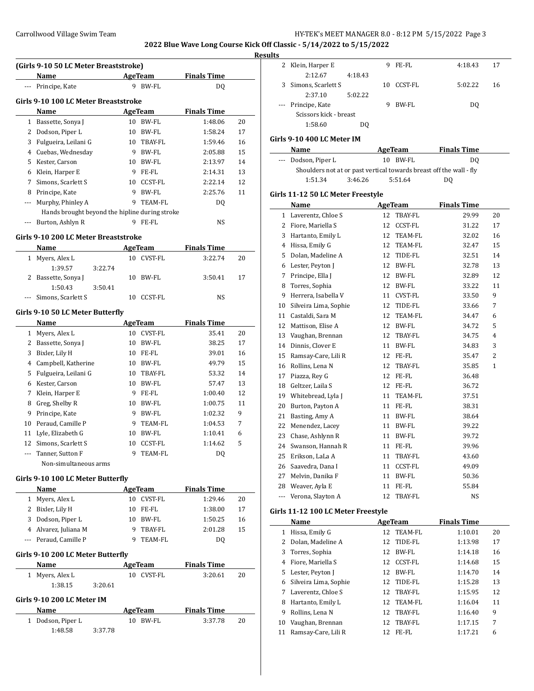**2022 Blue Wave Long Course Kick Off Classic - 5/14/2022 to 5/15/2022**

#### **Results**

| (Girls 9-10 50 LC Meter Breaststroke) |                                                |    |              |                    |    |  |  |  |
|---------------------------------------|------------------------------------------------|----|--------------|--------------------|----|--|--|--|
|                                       | Name                                           |    | AgeTeam      | <b>Finals Time</b> |    |  |  |  |
|                                       | Principe, Kate                                 | 9  | BW-FL        | DQ                 |    |  |  |  |
| Girls 9-10 100 LC Meter Breaststroke  |                                                |    |              |                    |    |  |  |  |
|                                       | Name                                           |    | AgeTeam      | <b>Finals Time</b> |    |  |  |  |
| 1                                     | Bassette, Sonya J                              | 10 | BW-FL        | 1:48.06            | 20 |  |  |  |
| 2                                     | Dodson, Piper L                                | 10 | BW-FL        | 1:58.24            | 17 |  |  |  |
| 3                                     | Fulgueira, Leilani G                           | 10 | TBAY-FL      | 1:59.46            | 16 |  |  |  |
| 4                                     | Cuebas, Wednesday                              | 9  | BW-FL        | 2:05.88            | 15 |  |  |  |
| 5                                     | Kester, Carson                                 | 10 | BW-FL        | 2:13.97            | 14 |  |  |  |
| 6                                     | Klein, Harper E                                | 9  | FE-FL        | 2:14.31            | 13 |  |  |  |
| 7                                     | Simons, Scarlett S                             | 10 | CCST-FL      | 2:22.14            | 12 |  |  |  |
| 8                                     | Principe, Kate                                 | 9  | <b>BW-FL</b> | 2:25.76            | 11 |  |  |  |
|                                       | Murphy, Phinley A                              | 9  | TEAM-FL      | DO.                |    |  |  |  |
|                                       | Hands brought beyond the hipline during stroke |    |              |                    |    |  |  |  |
|                                       | Burton, Ashlyn R                               | 9  | FE-FL        | NS                 |    |  |  |  |

#### **Girls 9-10 200 LC Meter Breaststroke**

| <b>Name</b> |                        |         | AgeTeam | <b>Finals Time</b> |  |         |    |
|-------------|------------------------|---------|---------|--------------------|--|---------|----|
|             | 1 Myers, Alex L        |         | 10      | CVST-FL            |  | 3:22.74 | 20 |
|             | 1:39.57                | 3:22.74 |         |                    |  |         |    |
|             | 2 Bassette, Sonya J    |         | 10      | BW-FL              |  | 3:50.41 | 17 |
|             | 1:50.43                | 3:50.41 |         |                    |  |         |    |
|             | --- Simons, Scarlett S |         |         | CCST-FL            |  | NS      |    |

### **Girls 9-10 50 LC Meter Butterfly**

|    | Name                  |    | AgeTeam        | <b>Finals Time</b> |    |
|----|-----------------------|----|----------------|--------------------|----|
| 1  | Myers, Alex L         | 10 | <b>CVST-FL</b> | 35.41              | 20 |
| 2  | Bassette, Sonya J     | 10 | BW-FL          | 38.25              | 17 |
| 3  | Bixler, Lily H        | 10 | FE-FL          | 39.01              | 16 |
| 4  | Campbell, Katherine   | 10 | BW-FL          | 49.79              | 15 |
| 5  | Fulgueira, Leilani G  | 10 | TBAY-FL        | 53.32              | 14 |
| 6  | Kester, Carson        | 10 | BW-FL          | 57.47              | 13 |
| 7  | Klein, Harper E       | 9  | FE-FL          | 1:00.40            | 12 |
| 8  | Greg, Shelby R        | 10 | BW-FL          | 1:00.75            | 11 |
| 9  | Principe, Kate        | 9  | BW-FL          | 1:02.32            | 9  |
| 10 | Peraud, Camille P     | 9  | TEAM-FL        | 1:04.53            | 7  |
| 11 | Lyle, Elizabeth G     | 10 | BW-FL          | 1:10.41            | 6  |
| 12 | Simons, Scarlett S    | 10 | <b>CCST-FL</b> | 1:14.62            | 5  |
|    | Tanner, Sutton F      | 9  | TEAM-FL        | DQ                 |    |
|    | Non-simultaneous arms |    |                |                    |    |

#### **Girls 9-10 100 LC Meter Butterfly**

| <b>Name</b>           | AgeTeam |            | <b>Finals Time</b> |    |
|-----------------------|---------|------------|--------------------|----|
| 1 Myers, Alex L       |         | 10 CVST-FL | 1:29.46            | 20 |
| 2 Bixler, Lily H      |         | 10 FE-FL   | 1:38.00            | 17 |
| 3 Dodson, Piper L     |         | 10 BW-FL   | 1:50.25            | 16 |
| 4 Alvarez, Juliana M  | ч       | TRAY-FL    | 2:01.28            | 15 |
| --- Peraud, Camille P |         | TEAM-FL    | DO                 |    |

### **Girls 9-10 200 LC Meter Butterfly**

| Name            |         | AgeTeam    |         |    |
|-----------------|---------|------------|---------|----|
| 1 Myers, Alex L |         | 10 CVST-FL | 3:20.61 | 20 |
| 1:38.15         | 3:20.61 |            |         |    |

### **Girls 9-10 200 LC Meter IM**

| Name              |         |  | AgeTeam  | <b>Finals Time</b> |    |  |
|-------------------|---------|--|----------|--------------------|----|--|
| 1 Dodson, Piper L |         |  | 10 BW-FL | 3:37.78            | 20 |  |
| 1:48.58           | 3:37.78 |  |          |                    |    |  |

| w  |                        |         |   |            |         |    |
|----|------------------------|---------|---|------------|---------|----|
|    | 2 Klein, Harper E      |         | 9 | FE-FL      | 4:18.43 | 17 |
|    | 2:12.67                | 4:18.43 |   |            |         |    |
| 3. | Simons, Scarlett S     |         |   | 10 CCST-FL | 5:02.22 | 16 |
|    | 2:37.10                | 5:02.22 |   |            |         |    |
|    | --- Principe, Kate     |         |   | BW-FL      | DO      |    |
|    | Scissors kick - breast |         |   |            |         |    |
|    | 1:58.60                | D0      |   |            |         |    |

# **Girls 9-10 400 LC Meter IM**

| Name                                                                | AgeTeam  | <b>Finals Time</b> |  |  |  |  |  |  |
|---------------------------------------------------------------------|----------|--------------------|--|--|--|--|--|--|
| --- Dodson, Piper L                                                 | 10 BW-FL | DO.                |  |  |  |  |  |  |
| Shoulders not at or past vertical towards breast off the wall - fly |          |                    |  |  |  |  |  |  |
| 1:51.34<br>3:46.26                                                  | 5:51.64  | DO.                |  |  |  |  |  |  |

### **Girls 11-12 50 LC Meter Freestyle**

|     | Name                  |    | <b>AgeTeam</b> | <b>Finals Time</b> |              |
|-----|-----------------------|----|----------------|--------------------|--------------|
| 1   | Laverentz, Chloe S    | 12 | <b>TBAY-FL</b> | 29.99              | 20           |
| 2   | Fiore, Mariella S     | 12 | <b>CCST-FL</b> | 31.22              | 17           |
| 3   | Hartanto, Emily L     | 12 | TEAM-FL        | 32.02              | 16           |
| 4   | Hissa, Emily G        | 12 | TEAM-FL        | 32.47              | 15           |
| 5   | Dolan, Madeline A     | 12 | TIDE-FL        | 32.51              | 14           |
| 6   | Lester, Peyton J      | 12 | <b>BW-FL</b>   | 32.78              | 13           |
| 7   | Principe, Ella J      | 12 | BW-FL          | 32.89              | 12           |
| 8   | Torres, Sophia        | 12 | BW-FL          | 33.22              | 11           |
| 9   | Herrera, Isabella V   | 11 | CVST-FL        | 33.50              | 9            |
| 10  | Silveira Lima, Sophie | 12 | TIDE-FL        | 33.66              | 7            |
| 11  | Castaldi, Sara M      | 12 | TEAM-FL        | 34.47              | 6            |
| 12  | Mattison. Elise A     | 12 | <b>BW-FL</b>   | 34.72              | 5            |
| 13  | Vaughan, Brennan      | 12 | TBAY-FL        | 34.75              | 4            |
| 14  | Dinnis, Clover E      | 11 | BW-FL          | 34.83              | 3            |
| 15  | Ramsay-Care, Lili R   | 12 | FE-FL          | 35.47              | 2            |
| 16  | Rollins, Lena N       | 12 | TBAY-FL        | 35.85              | $\mathbf{1}$ |
| 17  | Piazza, Rey G         | 12 | FE-FL          | 36.48              |              |
| 18  | Geltzer, Laila S      | 12 | FE-FL          | 36.72              |              |
| 19  | Whitebread, Lyla J    | 11 | TEAM-FL        | 37.51              |              |
| 20  | Burton, Payton A      | 11 | FE-FL          | 38.31              |              |
| 21  | Basting, Amy A        | 11 | BW-FL          | 38.64              |              |
| 22  | Menendez, Lacey       | 11 | BW-FL          | 39.22              |              |
| 23  | Chase, Ashlynn R      | 11 | <b>BW-FL</b>   | 39.72              |              |
| 24  | Swanson, Hannah R     | 11 | FE-FL          | 39.96              |              |
| 25  | Erikson, LaLa A       | 11 | TBAY-FL        | 43.60              |              |
| 26  | Saavedra, Dana I      | 11 | <b>CCST-FL</b> | 49.09              |              |
| 27  | Melvin, Danika F      | 11 | <b>BW-FL</b>   | 50.36              |              |
| 28  | Weaver, Ayla E        | 11 | FE-FL          | 55.84              |              |
| --- | Verona, Slayton A     | 12 | TBAY-FL        | <b>NS</b>          |              |

#### **Girls 11-12 100 LC Meter Freestyle**

| Name |                       |     | AgeTeam    | <b>Finals Time</b> |    |
|------|-----------------------|-----|------------|--------------------|----|
| 1    | Hissa, Emily G        |     | 12 TEAM-FL | 1:10.01            | 20 |
| 2    | Dolan. Madeline A     |     | 12 TIDE-FL | 1:13.98            | 17 |
|      | 3 Torres, Sophia      | 12  | BW-FL      | 1:14.18            | 16 |
| 4    | Fiore, Mariella S     | 12  | CCST-FL    | 1:14.68            | 15 |
|      | 5 Lester, Peyton J    | 12  | BW-FL      | 1:14.70            | 14 |
| 6    | Silveira Lima, Sophie | 12  | TIDE-FL    | 1:15.28            | 13 |
| 7    | Laverentz, Chloe S    | 12. | TBAY-FL    | 1:15.95            | 12 |
| 8    | Hartanto, Emily L     |     | 12 TEAM-FL | 1:16.04            | 11 |
| 9    | Rollins, Lena N       | 12  | TBAY-FL    | 1:16.40            | 9  |
| 10   | Vaughan, Brennan      | 12  | TBAY-FL    | 1:17.15            | 7  |
| 11   | Ramsay-Care, Lili R   | 12  | FE-FL      | 1:17.21            | 6  |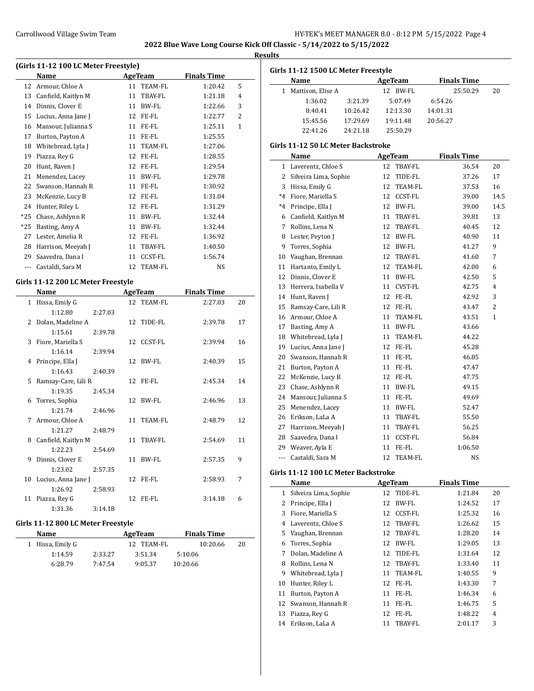J,

## **Results**

| (Girls 11-12 100 LC Meter Freestyle) |                     |    |                |                    |                |  |  |  |
|--------------------------------------|---------------------|----|----------------|--------------------|----------------|--|--|--|
|                                      | Name                |    | AgeTeam        | <b>Finals Time</b> |                |  |  |  |
| 12                                   | Armour, Chloe A     | 11 | TEAM-FL        | 1:20.42            | 5              |  |  |  |
| 13                                   | Canfield, Kaitlyn M | 11 | TBAY-FL        | 1:21.18            | 4              |  |  |  |
| 14                                   | Dinnis, Clover E    | 11 | BW-FL          | 1:22.66            | 3              |  |  |  |
| 15                                   | Lucius, Anna Jane J | 12 | FE-FL          | 1:22.77            | $\overline{2}$ |  |  |  |
| 16                                   | Mansour, Julianna S | 11 | FE-FL          | 1:25.11            | $\mathbf{1}$   |  |  |  |
| 17                                   | Burton, Payton A    | 11 | FE-FL          | 1:25.55            |                |  |  |  |
| 18                                   | Whitebread, Lyla J  | 11 | TEAM-FL        | 1:27.06            |                |  |  |  |
| 19                                   | Piazza, Rey G       | 12 | FE-FL          | 1:28.55            |                |  |  |  |
| 20                                   | Hunt, Raven J       | 12 | FE-FL          | 1:29.54            |                |  |  |  |
| 21                                   | Menendez, Lacey     | 11 | BW-FL          | 1:29.78            |                |  |  |  |
| 22                                   | Swanson, Hannah R   | 11 | FE-FL          | 1:30.92            |                |  |  |  |
| 23                                   | McKenzie, Lucy B    | 12 | FE-FL          | 1:31.04            |                |  |  |  |
| 24                                   | Hunter, Riley L     | 12 | FE-FL          | 1:31.29            |                |  |  |  |
| $*25$                                | Chase, Ashlynn R    | 11 | BW-FL          | 1:32.44            |                |  |  |  |
| *25                                  | Basting, Amy A      | 11 | BW-FL          | 1:32.44            |                |  |  |  |
| 27                                   | Lester, Amelia R    | 12 | FE-FL          | 1:36.92            |                |  |  |  |
| 28                                   | Harrison, Meeyah J  | 11 | TBAY-FL        | 1:40.50            |                |  |  |  |
| 29                                   | Saavedra, Dana I    | 11 | CCST-FL        | 1:56.74            |                |  |  |  |
| ---                                  | Castaldi, Sara M    | 12 | <b>TEAM-FL</b> | NS                 |                |  |  |  |

## **Girls 11-12 200 LC Meter Freestyle**

|              | Name                |         |    | AgeTeam    | <b>Finals Time</b> |    |
|--------------|---------------------|---------|----|------------|--------------------|----|
| $\mathbf{1}$ | Hissa, Emily G      |         |    | 12 TEAM-FL | 2:27.03            | 20 |
|              | 1:12.80             | 2:27.03 |    |            |                    |    |
| 2            | Dolan, Madeline A   |         |    | 12 TIDE-FL | 2:39.78            | 17 |
|              | 1:15.61             | 2:39.78 |    |            |                    |    |
| 3            | Fiore, Mariella S   |         |    | 12 CCST-FL | 2:39.94            | 16 |
|              | 1:16.14             | 2:39.94 |    |            |                    |    |
| 4            | Principe, Ella J    |         |    | 12 BW-FL   | 2:40.39            | 15 |
|              | 1:16.43             | 2:40.39 |    |            |                    |    |
| 5            | Ramsay-Care, Lili R |         |    | 12 FE-FL   | 2:45.34            | 14 |
|              | 1:19.35             | 2:45.34 |    |            |                    |    |
| 6            | Torres, Sophia      |         |    | 12 BW-FL   | 2:46.96            | 13 |
|              | 1:21.74             | 2:46.96 |    |            |                    |    |
| 7            | Armour, Chloe A     |         |    | 11 TEAM-FL | 2:48.79            | 12 |
|              | 1:21.27             | 2:48.79 |    |            |                    |    |
| 8            | Canfield, Kaitlyn M |         |    | 11 TBAY-FL | 2:54.69            | 11 |
|              | 1:22.23             | 2:54.69 |    |            |                    |    |
| 9            | Dinnis, Clover E    |         |    | 11 BW-FL   | 2:57.35            | 9  |
|              | 1:23.02             | 2:57.35 |    |            |                    |    |
| 10           | Lucius, Anna Jane J |         |    | 12 FE-FL   | 2:58.93            | 7  |
|              | 1:26.92             | 2:58.93 |    |            |                    |    |
| 11           | Piazza, Rey G       |         | 12 | FE-FL      | 3:14.18            | 6  |
|              | 1:31.36             | 3:14.18 |    |            |                    |    |

## **Girls 11-12 800 LC Meter Freestyle**

| Name             |         | AgeTeam    | <b>Finals Time</b> |    |  |
|------------------|---------|------------|--------------------|----|--|
| 1 Hissa, Emily G |         | 12 TEAM-FL | 10:20.66           | 20 |  |
| 1:14.59          | 2:33.27 | 3:51.34    | 5:10.06            |    |  |
| 6:28.79          | 7:47.54 | 9:05.37    | 10:20.66           |    |  |

| Girls 11-12 1500 LC Meter Freestyle |          |              |                    |    |  |  |  |  |
|-------------------------------------|----------|--------------|--------------------|----|--|--|--|--|
| <b>Name</b>                         |          | AgeTeam      | <b>Finals Time</b> |    |  |  |  |  |
| Mattison, Elise A                   |          | BW-FL<br>12. | 25:50.29           | 20 |  |  |  |  |
| 1:36.02                             | 3:21.39  | 5:07.49      | 6:54.26            |    |  |  |  |  |
| 8:40.41                             | 10:26.42 | 12:13.30     | 14:01.31           |    |  |  |  |  |
| 15:45.56                            | 17:29.69 | 19:11.48     | 20:56.27           |    |  |  |  |  |
| 22:41.26                            | 24:21.18 | 25:50.29     |                    |    |  |  |  |  |
|                                     |          |              |                    |    |  |  |  |  |

# **Girls 11-12 50 LC Meter Backstroke**

| Name                  |    |                | <b>Finals Time</b> |                |
|-----------------------|----|----------------|--------------------|----------------|
| Laverentz, Chloe S    | 12 | TBAY-FL        | 36.54              | 20             |
| Silveira Lima, Sophie | 12 | TIDE-FL        | 37.26              | 17             |
| Hissa, Emily G        | 12 | TEAM-FL        | 37.53              | 16             |
| Fiore, Mariella S     | 12 | <b>CCST-FL</b> | 39.00              | 14.5           |
| Principe, Ella J      | 12 | <b>BW-FL</b>   | 39.00              | 14.5           |
| Canfield, Kaitlyn M   | 11 | TBAY-FL        | 39.81              | 13             |
| Rollins, Lena N       | 12 | TBAY-FL        | 40.45              | 12             |
| Lester, Peyton J      | 12 | <b>BW-FL</b>   | 40.90              | 11             |
| Torres, Sophia        | 12 | BW-FL          | 41.27              | 9              |
| Vaughan, Brennan      | 12 | TBAY-FL        | 41.60              | 7              |
| Hartanto, Emily L     | 12 | <b>TEAM-FL</b> | 42.00              | 6              |
| Dinnis, Clover E      | 11 | <b>BW-FL</b>   | 42.50              | 5              |
| Herrera, Isabella V   | 11 | <b>CVST-FL</b> | 42.75              | $\overline{4}$ |
| Hunt, Raven J         | 12 | FE-FL          | 42.92              | 3              |
| Ramsay-Care, Lili R   | 12 | FE-FL          | 43.47              | 2              |
| Armour, Chloe A       | 11 | <b>TEAM-FL</b> | 43.51              | $\mathbf{1}$   |
| Basting, Amy A        | 11 | <b>BW-FL</b>   | 43.66              |                |
| Whitebread, Lyla J    | 11 | TEAM-FL        | 44.22              |                |
| Lucius, Anna Jane J   | 12 | FE-FL          | 45.28              |                |
| Swanson, Hannah R     | 11 | FE-FL          | 46.85              |                |
| Burton, Payton A      | 11 | FE-FL          | 47.47              |                |
| McKenzie, Lucy B      | 12 | FE-FL          | 47.75              |                |
| Chase, Ashlynn R      | 11 | <b>BW-FL</b>   | 49.15              |                |
| Mansour, Julianna S   | 11 | FE-FL          | 49.69              |                |
| Menendez, Lacey       | 11 | <b>BW-FL</b>   | 52.47              |                |
| Erikson, LaLa A       | 11 | TBAY-FL        | 55.50              |                |
| Harrison, Meeyah J    | 11 | TBAY-FL        | 56.25              |                |
| Saavedra, Dana I      | 11 | <b>CCST-FL</b> | 56.84              |                |
| Weaver, Ayla E        | 11 | FE-FL          | 1:06.50            |                |
| Castaldi, Sara M      | 12 | <b>TEAM-FL</b> | <b>NS</b>          |                |
|                       |    |                | <b>AgeTeam</b>     |                |

# **Girls 11-12 100 LC Meter Backstroke**

|    | Name                  | AgeTeam |                | <b>Finals Time</b> |    |
|----|-----------------------|---------|----------------|--------------------|----|
| 1  | Silveira Lima, Sophie | 12      | TIDE-FL        | 1:21.84            | 20 |
| 2  | Principe, Ella J      | 12      | BW-FL          | 1:24.52            | 17 |
| 3  | Fiore, Mariella S     | 12      | <b>CCST-FL</b> | 1:25.32            | 16 |
| 4  | Laverentz, Chloe S    | 12      | TBAY-FL        | 1:26.62            | 15 |
| 5  | Vaughan, Brennan      | 12      | TBAY-FL        | 1:28.20            | 14 |
| 6  | Torres, Sophia        | 12      | BW-FL          | 1:29.05            | 13 |
| 7  | Dolan. Madeline A     | 12      | TIDE-FL        | 1:31.64            | 12 |
| 8  | Rollins, Lena N       | 12      | TBAY-FL        | 1:33.40            | 11 |
| 9  | Whitebread, Lyla J    | 11      | TEAM-FL        | 1:40.55            | 9  |
| 10 | Hunter, Riley L       | 12      | FE-FL          | 1:43.30            | 7  |
| 11 | Burton, Payton A      | 11      | FE-FL          | 1:46.34            | 6  |
| 12 | Swanson, Hannah R     | 11      | FE-FL          | 1:46.75            | 5  |
| 13 | Piazza, Rey G         | 12      | FE-FL          | 1:48.22            | 4  |
| 14 | Erikson, LaLa A       | 11      | TBAY-FL        | 2:01.17            | 3  |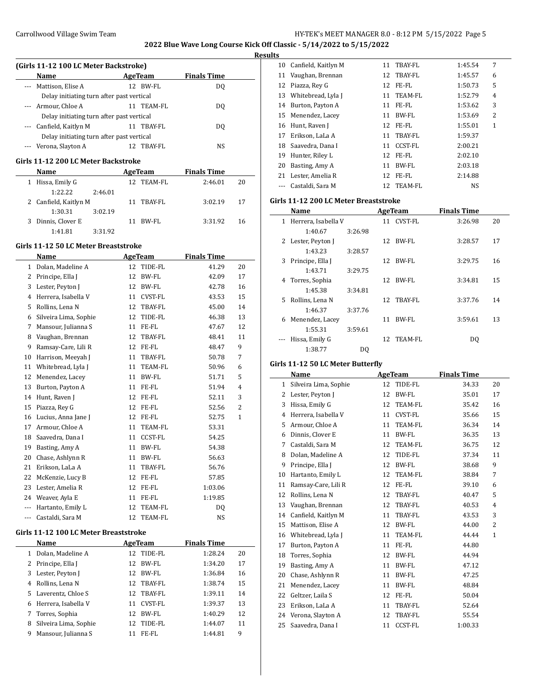**2022 Blue Wave Long Course Kick Off Classic - 5/14/2022 to 5/15/2022**

**Results**

| (Girls 11-12 100 LC Meter Backstroke) |                                           |    |            |                    |  |  |  |  |
|---------------------------------------|-------------------------------------------|----|------------|--------------------|--|--|--|--|
|                                       | <b>Name</b>                               |    | AgeTeam    | <b>Finals Time</b> |  |  |  |  |
|                                       | --- Mattison, Elise A                     | 12 | BW-FL      | DO.                |  |  |  |  |
|                                       | Delay initiating turn after past vertical |    |            |                    |  |  |  |  |
|                                       | --- Armour, Chloe A                       |    | 11 TEAM-FL | DO.                |  |  |  |  |
|                                       | Delay initiating turn after past vertical |    |            |                    |  |  |  |  |
|                                       | --- Canfield, Kaitlyn M                   |    | 11 TBAY-FL | DO.                |  |  |  |  |
|                                       | Delay initiating turn after past vertical |    |            |                    |  |  |  |  |
|                                       | Verona, Slayton A                         |    | TBAY-FL    | NS                 |  |  |  |  |
|                                       |                                           |    |            |                    |  |  |  |  |

### **Girls 11-12 200 LC Meter Backstroke**

| <b>Name</b>           |         | AgeTeam |            | <b>Finals Time</b> |    |  |
|-----------------------|---------|---------|------------|--------------------|----|--|
| Hissa, Emily G<br>1   |         |         | 12 TEAM-FL | 2:46.01            | 20 |  |
| 1:22.22               | 2:46.01 |         |            |                    |    |  |
| 2 Canfield, Kaitlyn M |         |         | 11 TBAY-FL | 3:02.19            | 17 |  |
| 1:30.31               | 3:02.19 |         |            |                    |    |  |
| Dinnis, Clover E<br>3 |         |         | RW-FL      | 3:31.92            | 16 |  |
| 1:41.81               | 3:31.92 |         |            |                    |    |  |

#### **Girls 11-12 50 LC Meter Breaststroke**

|              | Name                                  |    | <b>AgeTeam</b> | <b>Finals Time</b> |    |  |
|--------------|---------------------------------------|----|----------------|--------------------|----|--|
| $\mathbf{1}$ | Dolan, Madeline A                     | 12 | TIDE-FL        | 41.29              | 20 |  |
| 2            | Principe, Ella J                      | 12 | <b>BW-FL</b>   | 42.09              | 17 |  |
| 3            | Lester, Peyton J                      | 12 | BW-FL          | 42.78              | 16 |  |
| 4            | Herrera, Isabella V                   | 11 | <b>CVST-FL</b> | 43.53              | 15 |  |
| 5            | Rollins, Lena N                       | 12 | TBAY-FL        | 45.00              | 14 |  |
| 6            | Silveira Lima, Sophie                 | 12 | TIDE-FL        | 46.38              | 13 |  |
| 7            | Mansour, Julianna S                   | 11 | FE-FL          | 47.67              | 12 |  |
| 8            | Vaughan, Brennan                      | 12 | TBAY-FL        | 48.41              | 11 |  |
| 9            | Ramsay-Care, Lili R                   | 12 | FE-FL          | 48.47              | 9  |  |
| 10           | Harrison, Meeyah J                    | 11 | TBAY-FL        | 50.78              | 7  |  |
| 11           | Whitebread, Lyla J                    | 11 | TEAM-FL        | 50.96              | 6  |  |
| 12           | Menendez, Lacey                       | 11 | BW-FL          | 51.71              | 5  |  |
| 13           | Burton, Payton A                      | 11 | FE-FL          | 51.94              | 4  |  |
| 14           | Hunt, Raven J                         |    | 12 FE-FL       | 52.11              | 3  |  |
| 15           | Piazza, Rey G                         |    | 12 FE-FL       | 52.56              | 2  |  |
| 16           | Lucius, Anna Jane J                   |    | 12 FE-FL       | 52.75              | 1  |  |
| 17           | Armour, Chloe A                       | 11 | TEAM-FL        | 53.31              |    |  |
| 18           | Saavedra, Dana I                      | 11 | CCST-FL        | 54.25              |    |  |
| 19           | Basting, Amy A                        | 11 | BW-FL          | 54.38              |    |  |
| 20           | Chase, Ashlynn R                      | 11 | BW-FL          | 56.63              |    |  |
| 21           | Erikson, LaLa A                       | 11 | TBAY-FL        | 56.76              |    |  |
| 22           | McKenzie, Lucy B                      | 12 | FE-FL          | 57.85              |    |  |
| 23           | Lester, Amelia R                      | 12 | FE-FL          | 1:03.06            |    |  |
| 24           | Weaver, Ayla E                        | 11 | FE-FL          | 1:19.85            |    |  |
| ---          | Hartanto, Emily L                     | 12 | <b>TEAM-FL</b> | DQ                 |    |  |
| ---          | Castaldi, Sara M                      | 12 | TEAM-FL        | NS                 |    |  |
|              | Girls 11-12 100 LC Meter Breaststroke |    |                |                    |    |  |
|              | Name                                  |    | <b>AgeTeam</b> | <b>Finals Time</b> |    |  |
| 1            | Dolan, Madeline A                     | 12 | TIDE-FL        | 1:28.24            | 20 |  |
| 2            | Principe, Ella J                      | 12 | <b>BW-FL</b>   | 1:34.20            | 17 |  |
| 3            | Lester, Peyton J                      | 12 | <b>BW-FL</b>   | 1:36.84            | 16 |  |
| 4            | Rollins, Lena N                       | 12 | TBAY-FL        | 1:38.74            | 15 |  |
| 5            | Laverentz, Chloe S                    | 12 | TBAY-FL        | 1:39.11            | 14 |  |
| 6            | Herrera, Isabella V                   | 11 | CVST-FL        | 1:39.37            | 13 |  |
| 7            | Torres, Sophia                        | 12 | BW-FL          | 1:40.29            | 12 |  |
| 8            | Silveira Lima, Sophie                 | 12 | TIDE-FL        | 1:44.07            | 11 |  |
| 9            | Mansour, Julianna S                   | 11 | FE-FL          | 1:44.81            | 9  |  |
|              |                                       |    |                |                    |    |  |

| 10 | Canfield, Kaitlyn M | 11 | TBAY-FL        | 1:45.54   | 7 |
|----|---------------------|----|----------------|-----------|---|
|    | 11 Vaughan, Brennan |    | 12 TBAY-FL     | 1:45.57   | 6 |
| 12 | Piazza, Rey G       | 12 | FE-FL          | 1:50.73   | 5 |
| 13 | Whitebread, Lyla J  | 11 | TEAM-FL        | 1:52.79   | 4 |
| 14 | Burton, Payton A    | 11 | FE-FL          | 1:53.62   | 3 |
| 15 | Menendez, Lacey     | 11 | BW-FL          | 1:53.69   | 2 |
| 16 | Hunt, Raven J       |    | 12 FE-FL       | 1:55.01   | 1 |
| 17 | Erikson, LaLa A     | 11 | TBAY-FL        | 1:59.37   |   |
| 18 | Saavedra, Dana I    | 11 | <b>CCST-FL</b> | 2:00.21   |   |
| 19 | Hunter, Riley L     |    | 12 FE-FL       | 2:02.10   |   |
| 20 | Basting, Amy A      | 11 | BW-FL          | 2:03.18   |   |
| 21 | Lester, Amelia R    | 12 | FE-FL          | 2:14.88   |   |
|    | Castaldi. Sara M    |    | 12 TEAM-FL     | <b>NS</b> |   |
|    |                     |    |                |           |   |

### **Girls 11-12 200 LC Meter Breaststroke**

|              | Name                |         | <b>AgeTeam</b> |            | <b>Finals Time</b> |    |
|--------------|---------------------|---------|----------------|------------|--------------------|----|
| $\mathbf{1}$ | Herrera, Isabella V |         |                | 11 CVST-FL | 3:26.98            | 20 |
|              | 1:40.67             | 3:26.98 |                |            |                    |    |
|              | 2 Lester, Peyton J  |         |                | 12 BW-FL   | 3:28.57            | 17 |
|              | 1:43.23             | 3:28.57 |                |            |                    |    |
| 3            | Principe, Ella J    |         |                | 12 BW-FL   | 3:29.75            | 16 |
|              | 1:43.71             | 3:29.75 |                |            |                    |    |
|              | 4 Torres, Sophia    |         |                | 12 BW-FL   | 3:34.81            | 15 |
|              | 1:45.38             | 3:34.81 |                |            |                    |    |
|              | 5 Rollins, Lena N   |         |                | 12 TBAY-FL | 3:37.76            | 14 |
|              | 1:46.37             | 3:37.76 |                |            |                    |    |
| 6            | Menendez, Lacey     |         | 11             | BW-FL      | 3:59.61            | 13 |
|              | 1:55.31             | 3:59.61 |                |            |                    |    |
|              | Hissa, Emily G      |         |                | 12 TEAM-FL | DO.                |    |
|              | 1:38.77             | DO      |                |            |                    |    |

## **Girls 11-12 50 LC Meter Butterfly**

|    | Name                  |    | <b>AgeTeam</b> | <b>Finals Time</b> |                |
|----|-----------------------|----|----------------|--------------------|----------------|
| 1  | Silveira Lima, Sophie | 12 | TIDE-FL        | 34.33              | 20             |
| 2  | Lester, Peyton J      | 12 | BW-FL          | 35.01              | 17             |
| 3  | Hissa, Emily G        | 12 | TEAM-FL        | 35.42              | 16             |
| 4  | Herrera, Isabella V   | 11 | <b>CVST-FL</b> | 35.66              | 15             |
| 5  | Armour, Chloe A       | 11 | <b>TEAM-FL</b> | 36.34              | 14             |
| 6  | Dinnis, Clover E      | 11 | <b>BW-FL</b>   | 36.35              | 13             |
| 7  | Castaldi, Sara M      | 12 | <b>TEAM-FL</b> | 36.75              | 12             |
| 8  | Dolan, Madeline A     | 12 | TIDE-FL        | 37.34              | 11             |
| 9  | Principe, Ella J      | 12 | BW-FL          | 38.68              | 9              |
| 10 | Hartanto, Emily L     | 12 | TEAM-FL        | 38.84              | 7              |
| 11 | Ramsay-Care, Lili R   | 12 | FE-FL          | 39.10              | 6              |
| 12 | Rollins, Lena N       | 12 | TBAY-FL        | 40.47              | 5              |
| 13 | Vaughan, Brennan      | 12 | TBAY-FL        | 40.53              | $\overline{4}$ |
| 14 | Canfield, Kaitlyn M   | 11 | TBAY-FL        | 43.53              | 3              |
| 15 | Mattison, Elise A     | 12 | <b>BW-FL</b>   | 44.00              | $\overline{2}$ |
| 16 | Whitebread, Lyla J    | 11 | TEAM-FL        | 44.44              | $\mathbf{1}$   |
| 17 | Burton, Payton A      | 11 | FE-FL          | 44.80              |                |
| 18 | Torres, Sophia        | 12 | BW-FL          | 44.94              |                |
| 19 | Basting, Amy A        | 11 | <b>BW-FL</b>   | 47.12              |                |
| 20 | Chase, Ashlynn R      | 11 | BW-FL          | 47.25              |                |
| 21 | Menendez, Lacey       | 11 | <b>BW-FL</b>   | 48.84              |                |
| 22 | Geltzer, Laila S      | 12 | FE-FL          | 50.04              |                |
| 23 | Erikson, LaLa A       | 11 | TBAY-FL        | 52.64              |                |
| 24 | Verona, Slayton A     | 12 | <b>TBAY-FL</b> | 55.54              |                |
| 25 | Saavedra, Dana I      | 11 | <b>CCST-FL</b> | 1:00.33            |                |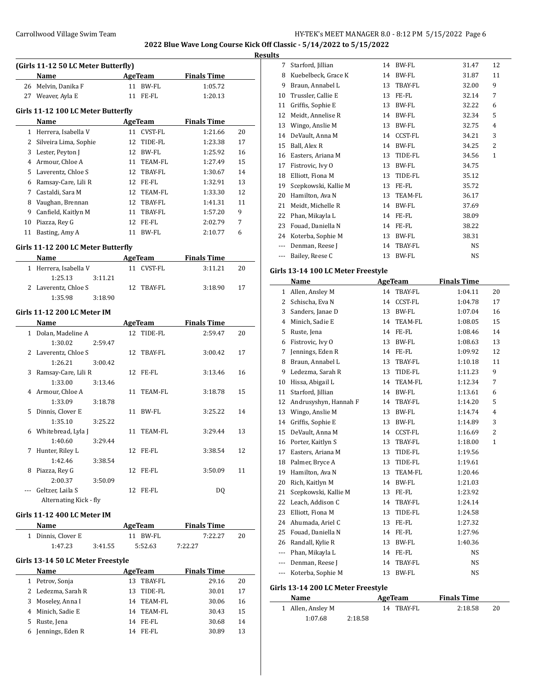**2022 Blue Wave Long Course Kick Off Classic - 5/14/2022 to 5/15/2022**

**Results**

| (Girls 11-12 50 LC Meter Butterfly) |                       |    |                |                    |    |  |  |  |  |
|-------------------------------------|-----------------------|----|----------------|--------------------|----|--|--|--|--|
|                                     | Name                  |    | AgeTeam        | <b>Finals Time</b> |    |  |  |  |  |
| 26                                  | Melvin, Danika F      | 11 | BW-FL          | 1:05.72            |    |  |  |  |  |
| 27                                  | Weaver, Ayla E        | 11 | FE-FL          | 1:20.13            |    |  |  |  |  |
| Girls 11-12 100 LC Meter Butterfly  |                       |    |                |                    |    |  |  |  |  |
|                                     | Name                  |    | AgeTeam        | <b>Finals Time</b> |    |  |  |  |  |
| 1                                   | Herrera, Isabella V   | 11 | <b>CVST-FL</b> | 1:21.66            | 20 |  |  |  |  |
| 2                                   | Silveira Lima, Sophie | 12 | TIDE-FL        | 1:23.38            | 17 |  |  |  |  |
| 3                                   | Lester, Peyton J      | 12 | BW-FL          | 1:25.92            | 16 |  |  |  |  |
| $\overline{4}$                      | Armour, Chloe A       | 11 | TEAM-FL        | 1:27.49            | 15 |  |  |  |  |
| 5                                   | Laverentz, Chloe S    | 12 | TBAY-FL        | 1:30.67            | 14 |  |  |  |  |
| 6                                   | Ramsay-Care, Lili R   | 12 | FE-FL          | 1:32.91            | 13 |  |  |  |  |
| 7                                   | Castaldi, Sara M      | 12 | TEAM-FL        | 1:33.30            | 12 |  |  |  |  |
| 8                                   | Vaughan, Brennan      | 12 | TBAY-FL        | 1:41.31            | 11 |  |  |  |  |
| 9                                   | Canfield, Kaitlyn M   | 11 | TBAY-FL        | 1:57.20            | 9  |  |  |  |  |
| 10                                  | Piazza, Rey G         | 12 | FE-FL          | 2:02.79            | 7  |  |  |  |  |
| 11                                  | Basting, Amy A        | 11 | BW-FL          | 2:10.77            | 6  |  |  |  |  |
|                                     |                       |    |                |                    |    |  |  |  |  |

## **Girls 11-12 200 LC Meter Butterfly**

| Name                  | AgeTeam    | <b>Finals Time</b> |
|-----------------------|------------|--------------------|
| 1 Herrera, Isabella V | 11 CVST-FL | 3:11.21<br>20      |
| 1:25.13<br>3:11.21    |            |                    |
| 2 Laverentz, Chloe S  | 12 TRAY-FL | 3:18.90<br>17      |
| 1:35.98<br>3:18.90    |            |                    |

### **Girls 11-12 200 LC Meter IM**

|              | Name                   |         |    | <b>AgeTeam</b> | <b>Finals Time</b> |    |
|--------------|------------------------|---------|----|----------------|--------------------|----|
| $\mathbf{1}$ | Dolan, Madeline A      |         |    | 12 TIDE-FL     | 2:59.47            | 20 |
|              | 1:30.02                | 2:59.47 |    |                |                    |    |
|              | 2 Laverentz, Chloe S   |         |    | 12 TBAY-FL     | 3:00.42            | 17 |
|              | 1:26.21                | 3:00.42 |    |                |                    |    |
| 3            | Ramsay-Care, Lili R    |         |    | 12 FE-FL       | 3:13.46            | 16 |
|              | 1:33.00                | 3:13.46 |    |                |                    |    |
| 4            | Armour, Chloe A        |         | 11 | TEAM-FL        | 3:18.78            | 15 |
|              | 1:33.09                | 3:18.78 |    |                |                    |    |
| 5            | Dinnis, Clover E       |         | 11 | BW-FL          | 3:25.22            | 14 |
|              | 1:35.10                | 3:25.22 |    |                |                    |    |
| 6            | Whitebread, Lyla J     |         | 11 | TEAM-FL        | 3:29.44            | 13 |
|              | 1:40.60                | 3:29.44 |    |                |                    |    |
| 7            | Hunter, Riley L        |         |    | 12 FE-FL       | 3:38.54            | 12 |
|              | 1:42.46                | 3:38.54 |    |                |                    |    |
| 8            | Piazza, Rey G          |         | 12 | FE-FL          | 3:50.09            | 11 |
|              | 2:00.37                | 3:50.09 |    |                |                    |    |
|              | Geltzer, Laila S       |         | 12 | FE-FL          | DQ                 |    |
|              | Alternating Kick - fly |         |    |                |                    |    |

### **Girls 11-12 400 LC Meter IM**

| <b>Name</b>        |         | AgeTeam  | <b>Finals Time</b> |    |
|--------------------|---------|----------|--------------------|----|
| 1 Dinnis, Clover E |         | 11 RW-FL | 7:22.27            | 20 |
| 1:47.23            | 3:41.55 | 5:52.63  | 7:22.27            |    |

## **Girls 13-14 50 LC Meter Freestyle**

| Name | AgeTeam                                                                                                                |       | <b>Finals Time</b>                                         |    |
|------|------------------------------------------------------------------------------------------------------------------------|-------|------------------------------------------------------------|----|
|      |                                                                                                                        |       | 29.16                                                      | 20 |
|      | 13.                                                                                                                    |       | 30.01                                                      | 17 |
|      |                                                                                                                        |       | 30.06                                                      | 16 |
|      | 14                                                                                                                     |       | 30.43                                                      | 15 |
|      |                                                                                                                        |       | 30.68                                                      | 14 |
|      | 14                                                                                                                     | FE-FL | 30.89                                                      | 13 |
|      | 1 Petrov, Sonja<br>2 Ledezma, Sarah R<br>3 Moseley, Anna I<br>4 Minich, Sadie E<br>5 Ruste, Jena<br>6 Jennings, Eden R |       | 13 TBAY-FL<br>TIDE-FL<br>14 TEAM-FL<br>TEAM-FL<br>14 FE-FL |    |

| 7   | Starford, Jillian    | 14 | BW-FL          | 31.47     | 12 |
|-----|----------------------|----|----------------|-----------|----|
| 8   | Kuebelbeck, Grace K  | 14 | BW-FL          | 31.87     | 11 |
| 9   | Braun, Annabel L     | 13 | <b>TBAY-FL</b> | 32.00     | 9  |
| 10  | Trussler, Callie E   | 13 | FE-FL          | 32.14     | 7  |
| 11  | Griffis, Sophie E    | 13 | BW-FL          | 32.22     | 6  |
| 12  | Meidt, Annelise R    | 14 | BW-FL          | 32.34     | 5  |
| 13  | Wingo, Anslie M      | 13 | BW-FL          | 32.75     | 4  |
| 14  | DeVault, Anna M      | 14 | CCST-FL        | 34.21     | 3  |
| 15  | Ball, Alex R         | 14 | BW-FL          | 34.25     | 2  |
| 16  | Easters, Ariana M    | 13 | TIDE-FL        | 34.56     | 1  |
| 17  | Fistrovic, Ivy O     | 13 | BW-FL          | 34.75     |    |
| 18  | Elliott, Fiona M     | 13 | TIDE-FL        | 35.12     |    |
| 19  | Scepkowski, Kallie M | 13 | FE-FL          | 35.72     |    |
| 20  | Hamilton, Ava N      | 13 | TEAM-FL        | 36.17     |    |
| 21  | Meidt, Michelle R    | 14 | BW-FL          | 37.69     |    |
| 22  | Phan, Mikayla L      | 14 | FE-FL          | 38.09     |    |
| 23  | Fouad, Daniella N    | 14 | FE-FL          | 38.22     |    |
| 24  | Koterba, Sophie M    | 13 | BW-FL          | 38.31     |    |
| --- | Denman, Reese J      | 14 | TBAY-FL        | <b>NS</b> |    |
|     | Bailey, Reese C      | 13 | <b>BW-FL</b>   | NS        |    |
|     |                      |    |                |           |    |

## **Girls 13-14 100 LC Meter Freestyle**

|         | <b>Name</b>           |    | <b>AgeTeam</b> | <b>Finals Time</b> |                |
|---------|-----------------------|----|----------------|--------------------|----------------|
| 1       | Allen, Ansley M       | 14 | <b>TBAY-FL</b> | 1:04.11            | 20             |
| 2       | Schischa, Eva N       | 14 | <b>CCST-FL</b> | 1:04.78            | 17             |
| 3       | Sanders, Janae D      | 13 | <b>BW-FL</b>   | 1:07.04            | 16             |
| 4       | Minich, Sadie E       | 14 | <b>TEAM-FL</b> | 1:08.05            | 15             |
| 5       | Ruste, Jena           | 14 | FE-FL          | 1:08.46            | 14             |
| 6       | Fistrovic, Ivy O      | 13 | <b>BW-FL</b>   | 1:08.63            | 13             |
| 7       | Jennings, Eden R      | 14 | FE-FL          | 1:09.92            | 12             |
| 8       | Braun, Annabel L      | 13 | <b>TBAY-FL</b> | 1:10.18            | 11             |
| 9       | Ledezma, Sarah R      | 13 | TIDE-FL        | 1:11.23            | 9              |
| 10      | Hissa, Abigail L      | 14 | <b>TEAM-FL</b> | 1:12.34            | 7              |
| 11      | Starford, Jillian     | 14 | <b>BW-FL</b>   | 1:13.61            | 6              |
| 12      | Andrusyshyn, Hannah F | 14 | TBAY-FL        | 1:14.20            | 5              |
| 13      | Wingo, Anslie M       | 13 | <b>BW-FL</b>   | 1:14.74            | $\overline{4}$ |
| 14      | Griffis, Sophie E     | 13 | BW-FL          | 1:14.89            | 3              |
| 15      | DeVault, Anna M       | 14 | <b>CCST-FL</b> | 1:16.69            | 2              |
| 16      | Porter, Kaitlyn S     | 13 | <b>TBAY-FL</b> | 1:18.00            | $\mathbf{1}$   |
| 17      | Easters, Ariana M     | 13 | TIDE-FL        | 1:19.56            |                |
| 18      | Palmer, Bryce A       | 13 | TIDE-FL        | 1:19.61            |                |
| 19      | Hamilton, Ava N       | 13 | <b>TEAM-FL</b> | 1:20.46            |                |
| 20      | Rich, Kaitlyn M       | 14 | BW-FL          | 1:21.03            |                |
| 21      | Scepkowski, Kallie M  | 13 | FE-FL          | 1:23.92            |                |
| 22      | Leach, Addison C      | 14 | <b>TBAY-FL</b> | 1:24.14            |                |
| 23      | Elliott, Fiona M      | 13 | TIDE-FL        | 1:24.58            |                |
| 24      | Ahumada, Ariel C      | 13 | FE-FL          | 1:27.32            |                |
| 25      | Fouad, Daniella N     | 14 | FE-FL          | 1:27.96            |                |
| 26      | Randall, Kylie R      | 13 | BW-FL          | 1:40.36            |                |
| $- - -$ | Phan, Mikayla L       | 14 | FE-FL          | NS                 |                |
| $---$   | Denman, Reese J       | 14 | <b>TBAY-FL</b> | <b>NS</b>          |                |
| $---$   | Koterba, Sophie M     | 13 | <b>BW-FL</b>   | <b>NS</b>          |                |

## **Girls 13-14 200 LC Meter Freestyle**

| Name              |         | AgeTeam    | <b>Finals Time</b> |    |
|-------------------|---------|------------|--------------------|----|
| 1 Allen, Ansley M |         | 14 TBAY-FL | 2:18.58            | 20 |
| 1:07.68           | 2:18.58 |            |                    |    |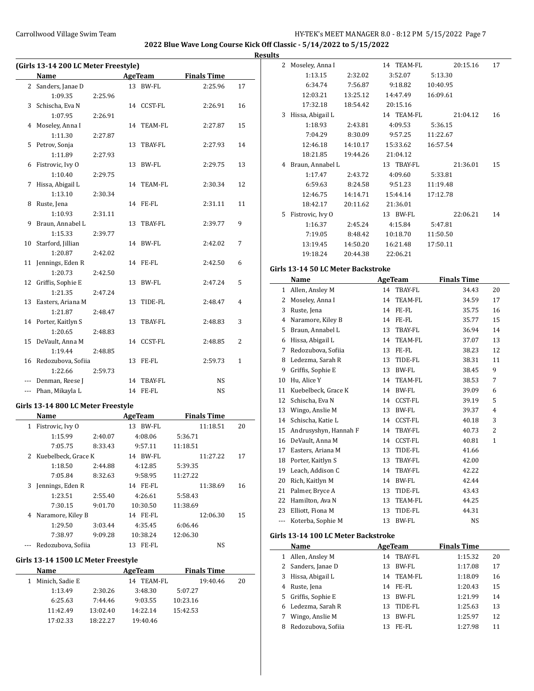**2022 Blue Wave Long Course Kick Off Classic - 5/14/2022 to 5/15/2022**

 $\frac{1}{2}$ 

**Results**

|     | (Girls 13-14 200 LC Meter Freestyle) |         |    |                |                    |              |  |  |  |
|-----|--------------------------------------|---------|----|----------------|--------------------|--------------|--|--|--|
|     | <b>Name</b>                          |         |    | <b>AgeTeam</b> | <b>Finals Time</b> |              |  |  |  |
|     | 2 Sanders, Janae D                   |         |    | 13 BW-FL       | 2:25.96            | 17           |  |  |  |
|     | 1:09.35                              | 2:25.96 |    |                |                    |              |  |  |  |
| 3   | Schischa, Eva N                      |         |    | 14 CCST-FL     | 2:26.91            | 16           |  |  |  |
|     | 1:07.95                              | 2:26.91 |    |                |                    |              |  |  |  |
| 4   | Moseley, Anna I                      |         | 14 | <b>TEAM-FL</b> | 2:27.87            | 15           |  |  |  |
|     | 1:11.30                              | 2:27.87 |    |                |                    |              |  |  |  |
| 5   | Petrov, Sonja                        |         | 13 | TBAY-FL        | 2:27.93            | 14           |  |  |  |
|     | 1:11.89                              | 2:27.93 |    |                |                    |              |  |  |  |
| 6   | Fistrovic, Ivy O                     |         | 13 | BW-FL          | 2:29.75            | 13           |  |  |  |
|     | 1:10.40                              | 2:29.75 |    |                |                    |              |  |  |  |
| 7   | Hissa, Abigail L                     |         | 14 | TEAM-FL        | 2:30.34            | 12           |  |  |  |
|     | 1:13.10                              | 2:30.34 |    |                |                    |              |  |  |  |
| 8   | Ruste, Jena                          |         | 14 | FE-FL          | 2:31.11            | 11           |  |  |  |
|     | 1:10.93                              | 2:31.11 |    |                |                    |              |  |  |  |
| 9   | Braun, Annabel L                     |         | 13 | TBAY-FL        | 2:39.77            | 9            |  |  |  |
|     | 1:15.33                              | 2:39.77 |    |                |                    |              |  |  |  |
| 10  | Starford, Jillian                    |         | 14 | BW-FL          | 2:42.02            | 7            |  |  |  |
|     | 1:20.87                              | 2:42.02 |    |                |                    |              |  |  |  |
|     | 11 Jennings, Eden R                  |         |    | 14 FE-FL       | 2:42.50            | 6            |  |  |  |
|     | 1:20.73                              | 2:42.50 |    |                |                    |              |  |  |  |
| 12  | Griffis, Sophie E                    |         | 13 | BW-FL          | 2:47.24            | 5            |  |  |  |
|     | 1:21.35                              | 2:47.24 |    |                |                    |              |  |  |  |
| 13  | Easters, Ariana M                    |         | 13 | TIDE-FL        | 2:48.47            | 4            |  |  |  |
|     | 1:21.87                              | 2:48.47 |    |                |                    |              |  |  |  |
|     | 14 Porter, Kaitlyn S                 |         | 13 | TBAY-FL        | 2:48.83            | 3            |  |  |  |
|     | 1:20.65                              | 2:48.83 |    |                |                    |              |  |  |  |
| 15  | DeVault, Anna M                      |         |    | 14 CCST-FL     | 2:48.85            | 2            |  |  |  |
|     | 1:19.44                              | 2:48.85 |    |                |                    |              |  |  |  |
| 16  | Redozubova, Sofiia                   |         | 13 | FE-FL          | 2:59.73            | $\mathbf{1}$ |  |  |  |
|     | 1:22.66                              | 2:59.73 |    |                |                    |              |  |  |  |
| --- | Denman, Reese J                      |         | 14 | TBAY-FL        | NS                 |              |  |  |  |
|     | --- Phan, Mikayla L                  |         |    | 14 FE-FL       | NS                 |              |  |  |  |
|     | Girls 13-14 800 LC Meter Freestyle   |         |    |                |                    |              |  |  |  |
|     | Name                                 |         |    | <b>AgeTeam</b> | <b>Finals Time</b> |              |  |  |  |
|     | 1 Fistrovic, Ivy 0                   |         |    | 13 BW-FL       | 11:18.51           | 20           |  |  |  |
|     | 1:15.99                              | 2:40.07 |    | 4:08.06        | 5:36.71            |              |  |  |  |

|   | 1:15.99               | 2:40.07 | 4:08.06     | 5:36.71  |    |
|---|-----------------------|---------|-------------|----------|----|
|   | 7:05.75               | 8:33.43 | 9:57.11     | 11:18.51 |    |
|   | 2 Kuebelbeck, Grace K |         | BW-FL<br>14 | 11:27.22 | 17 |
|   | 1:18.50               | 2:44.88 | 4:12.85     | 5:39.35  |    |
|   | 7:05.84               | 8:32.63 | 9:58.95     | 11:27.22 |    |
| 3 | Jennings, Eden R      |         | FE-FL<br>14 | 11:38.69 | 16 |
|   | 1:23.51               | 2:55.40 | 4:26.61     | 5:58.43  |    |
|   | 7:30.15               | 9:01.70 | 10:30.50    | 11:38.69 |    |
| 4 | Naramore, Kiley B     |         | 14 FE-FL    | 12:06.30 | 15 |
|   | 1:29.50               | 3:03.44 | 4:35.45     | 6:06.46  |    |
|   | 7:38.97               | 9:09.28 | 10:38.24    | 12:06.30 |    |
|   | Redozubova, Sofiia    |         | FE-FL<br>13 | NS       |    |

# **Girls 13-14 1500 LC Meter Freestyle**

| <b>Name</b>     |          | AgeTeam       | <b>Finals Time</b> |    |
|-----------------|----------|---------------|--------------------|----|
| Minich, Sadie E |          | TEAM-FL<br>14 | 19:40.46           | 20 |
| 1:13.49         | 2:30.26  | 3:48.30       | 5:07.27            |    |
| 6:25.63         | 7:44.46  | 9:03.55       | 10:23.16           |    |
| 11:42.49        | 13:02.40 | 14:22.14      | 15:42.53           |    |
| 17:02.33        | 18.22.27 | 19:40.46      |                    |    |

| 5 |                  |          |            |          |    |
|---|------------------|----------|------------|----------|----|
| 2 | Moseley, Anna I  |          | 14 TEAM-FL | 20:15.16 | 17 |
|   | 1:13.15          | 2:32.02  | 3:52.07    | 5:13.30  |    |
|   | 6:34.74          | 7:56.87  | 9:18.82    | 10:40.95 |    |
|   | 12:03.21         | 13:25.12 | 14:47.49   | 16:09.61 |    |
|   | 17:32.18         | 18:54.42 | 20:15.16   |          |    |
| 3 | Hissa, Abigail L |          | 14 TEAM-FL | 21:04.12 | 16 |
|   | 1:18.93          | 2:43.81  | 4:09.53    | 5:36.15  |    |
|   | 7:04.29          | 8:30.09  | 9:57.25    | 11:22.67 |    |
|   | 12:46.18         | 14:10.17 | 15:33.62   | 16:57.54 |    |
|   | 18:21.85         | 19:44.26 | 21:04.12   |          |    |
| 4 | Braun, Annabel L |          | 13 TBAY-FL | 21:36.01 | 15 |
|   | 1:17.47          | 2:43.72  | 4:09.60    | 5:33.81  |    |
|   | 6:59.63          | 8:24.58  | 9:51.23    | 11:19.48 |    |
|   | 12:46.75         | 14:14.71 | 15:44.14   | 17:12.78 |    |
|   | 18:42.17         | 20:11.62 | 21:36.01   |          |    |
| 5 | Fistrovic, Ivy O |          | 13 BW-FL   | 22:06.21 | 14 |
|   | 1:16.37          | 2:45.24  | 4:15.84    | 5:47.81  |    |
|   | 7:19.05          | 8:48.42  | 10:18.70   | 11:50.50 |    |
|   | 13:19.45         | 14:50.20 | 16:21.48   | 17:50.11 |    |
|   | 19:18.24         | 20:44.38 | 22:06.21   |          |    |

# **Girls 13-14 50 LC Meter Backstroke**

|     | Name                  | <b>AgeTeam</b> |                | <b>Finals Time</b> |              |
|-----|-----------------------|----------------|----------------|--------------------|--------------|
| 1   | Allen, Ansley M       | 14             | TBAY-FL        | 34.43              | 20           |
| 2   | Moseley, Anna I       | 14             | <b>TEAM-FL</b> | 34.59              | 17           |
| 3   | Ruste, Jena           | 14             | FE-FL          | 35.75              | 16           |
| 4   | Naramore, Kiley B     | 14             | FE-FL          | 35.77              | 15           |
| 5   | Braun, Annabel L      | 13             | TBAY-FL        | 36.94              | 14           |
| 6   | Hissa, Abigail L      | 14             | TEAM-FL        | 37.07              | 13           |
| 7   | Redozubova, Sofiia    | 13             | FE-FL          | 38.23              | 12           |
| 8   | Ledezma, Sarah R      | 13             | TIDE-FL        | 38.31              | 11           |
| 9   | Griffis, Sophie E     | 13             | <b>BW-FL</b>   | 38.45              | 9            |
| 10  | Hu, Alice Y           | 14             | TEAM-FL        | 38.53              | 7            |
| 11  | Kuebelbeck, Grace K   | 14             | <b>BW-FL</b>   | 39.09              | 6            |
| 12  | Schischa, Eva N       | 14             | <b>CCST-FL</b> | 39.19              | 5            |
| 13  | Wingo, Anslie M       | 13             | <b>BW-FL</b>   | 39.37              | 4            |
| 14  | Schischa, Katie L     | 14             | CCST-FL        | 40.18              | 3            |
| 15  | Andrusyshyn, Hannah F | 14             | TBAY-FL        | 40.73              | 2            |
| 16  | DeVault, Anna M       | 14             | CCST-FL        | 40.81              | $\mathbf{1}$ |
| 17  | Easters, Ariana M     | 13             | TIDE-FL        | 41.66              |              |
| 18  | Porter, Kaitlyn S     | 13             | TBAY-FL        | 42.00              |              |
| 19  | Leach, Addison C      | 14             | TBAY-FL        | 42.22              |              |
| 20  | Rich, Kaitlyn M       | 14             | BW-FL          | 42.44              |              |
| 21  | Palmer, Bryce A       | 13             | TIDE-FL        | 43.43              |              |
| 22  | Hamilton, Ava N       | 13             | TEAM-FL        | 44.25              |              |
| 23  | Elliott, Fiona M      | 13             | TIDE-FL        | 44.31              |              |
| --- | Koterba, Sophie M     | 13             | <b>BW-FL</b>   | NS                 |              |

### **Girls 13-14 100 LC Meter Backstroke**

|    | Name               |    | AgeTeam | <b>Finals Time</b> |    |
|----|--------------------|----|---------|--------------------|----|
| 1  | Allen, Ansley M    | 14 | TBAY-FL | 1:15.32            | 20 |
|    | 2 Sanders, Janae D | 13 | BW-FL   | 1:17.08            | 17 |
| 3  | Hissa, Abigail L   | 14 | TEAM-FL | 1:18.09            | 16 |
| 4  | Ruste, Jena        | 14 | FE-FL   | 1:20.43            | 15 |
| 5. | Griffis, Sophie E  | 13 | BW-FL   | 1:21.99            | 14 |
| 6. | Ledezma, Sarah R   | 13 | TIDE-FL | 1:25.63            | 13 |
|    | Wingo, Anslie M    | 13 | BW-FL   | 1:25.97            | 12 |
| 8  | Redozubova, Sofiia | 13 | FE-FL   | 1:27.98            | 11 |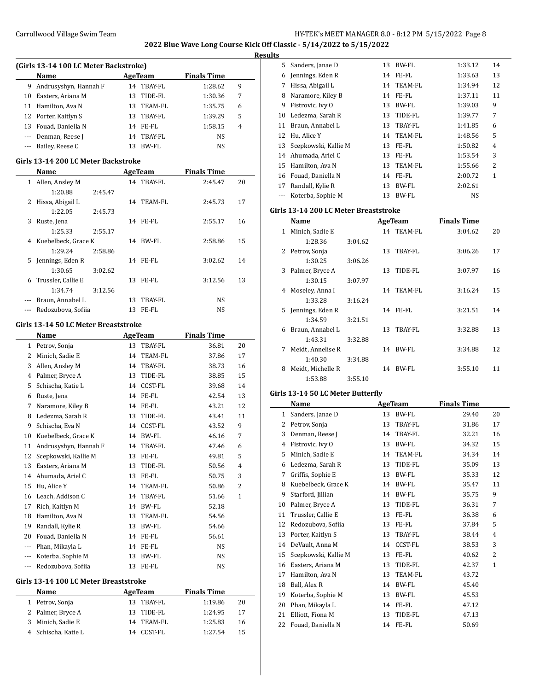**2022 Blue Wave Long Course Kick Off Classic - 5/14/2022 to 5/15/2022**

### **Results**

|    | (Girls 13-14 100 LC Meter Backstroke) |     |            |                    |   |  |  |  |  |  |
|----|---------------------------------------|-----|------------|--------------------|---|--|--|--|--|--|
|    | Name                                  |     | AgeTeam    | <b>Finals Time</b> |   |  |  |  |  |  |
| 9  | Andrusyshyn, Hannah F                 |     | 14 TBAY-FL | 1:28.62            | 9 |  |  |  |  |  |
| 10 | Easters, Ariana M                     | 13. | TIDE-FL    | 1:30.36            | 7 |  |  |  |  |  |
|    | 11 Hamilton, Ava N                    |     | 13 TEAM-FL | 1:35.75            | 6 |  |  |  |  |  |
|    | 12 Porter, Kaitlyn S                  | 13  | TBAY-FL    | 1:39.29            | 5 |  |  |  |  |  |
| 13 | Fouad, Daniella N                     |     | 14 FE-FL   | 1:58.15            | 4 |  |  |  |  |  |
|    | Denman, Reese J                       | 14  | TBAY-FL    | NS                 |   |  |  |  |  |  |
|    | --- Bailey, Reese C                   | 13  | BW-FL      | NS                 |   |  |  |  |  |  |

#### **Girls 13-14 200 LC Meter Backstroke**

| Name |                       | AgeTeam |     | <b>Finals Time</b> |         |    |
|------|-----------------------|---------|-----|--------------------|---------|----|
|      | 1 Allen, Ansley M     |         |     | 14 TBAY-FL         | 2:45.47 | 20 |
|      | 1:20.88               | 2:45.47 |     |                    |         |    |
| 2    | Hissa, Abigail L      |         |     | 14 TEAM-FL         | 2:45.73 | 17 |
|      | 1:22.05               | 2:45.73 |     |                    |         |    |
| 3    | Ruste, Jena           |         |     | 14 FE-FL           | 2:55.17 | 16 |
|      | 1:25.33               | 2:55.17 |     |                    |         |    |
|      | 4 Kuebelbeck, Grace K |         | 14  | BW-FL              | 2:58.86 | 15 |
|      | 1:29.24               | 2:58.86 |     |                    |         |    |
| 5.   | Jennings, Eden R      |         |     | 14 FE-FL           | 3:02.62 | 14 |
|      | 1:30.65               | 3:02.62 |     |                    |         |    |
| 6    | Trussler, Callie E    |         | 13  | FE-FL              | 3:12.56 | 13 |
|      | 1:34.74               | 3:12.56 |     |                    |         |    |
|      | Braun, Annabel L      |         | 13  | TBAY-FL            | NS      |    |
|      | Redozubova, Sofiia    |         | 13. | FE-FL              | NS      |    |

#### **Girls 13-14 50 LC Meter Breaststroke**

|              | Name                  |    | <b>AgeTeam</b> | <b>Finals Time</b> |                |
|--------------|-----------------------|----|----------------|--------------------|----------------|
| $\mathbf{1}$ | Petrov, Sonja         | 13 | TBAY-FL        | 36.81              | 20             |
| 2            | Minich, Sadie E       | 14 | <b>TEAM-FL</b> | 37.86              | 17             |
| 3            | Allen, Ansley M       | 14 | TBAY-FL        | 38.73              | 16             |
| 4            | Palmer, Bryce A       | 13 | TIDE-FL        | 38.85              | 15             |
| 5            | Schischa. Katie L     | 14 | <b>CCST-FL</b> | 39.68              | 14             |
| 6            | Ruste, Jena           | 14 | FE-FL          | 42.54              | 13             |
| 7            | Naramore, Kiley B     | 14 | FE-FL          | 43.21              | 12             |
| 8            | Ledezma, Sarah R      | 13 | TIDE-FL        | 43.41              | 11             |
| 9            | Schischa, Eva N       | 14 | <b>CCST-FL</b> | 43.52              | 9              |
| 10           | Kuebelbeck, Grace K   | 14 | BW-FL          | 46.16              | 7              |
| 11           | Andrusyshyn, Hannah F | 14 | <b>TBAY-FL</b> | 47.46              | 6              |
| 12           | Scepkowski, Kallie M  | 13 | FE-FL          | 49.81              | 5              |
| 13           | Easters, Ariana M     | 13 | TIDE-FL        | 50.56              | $\overline{4}$ |
| 14           | Ahumada, Ariel C      | 13 | FE-FL          | 50.75              | 3              |
| 15           | Hu, Alice Y           | 14 | TEAM-FL        | 50.86              | $\overline{2}$ |
| 16           | Leach, Addison C      | 14 | TBAY-FL        | 51.66              | $\mathbf{1}$   |
| 17           | Rich, Kaitlyn M       | 14 | <b>BW-FL</b>   | 52.18              |                |
| 18           | Hamilton, Ava N       | 13 | <b>TEAM-FL</b> | 54.56              |                |
| 19           | Randall, Kylie R      | 13 | BW-FL          | 54.66              |                |
| 20           | Fouad, Daniella N     | 14 | FE-FL          | 56.61              |                |
| ---          | Phan, Mikayla L       | 14 | FE-FL          | <b>NS</b>          |                |
| ---          | Koterba, Sophie M     | 13 | <b>BW-FL</b>   | NS                 |                |
| ---          | Redozubova, Sofiia    | 13 | FE-FL          | NS.                |                |

# **Girls 13-14 100 LC Meter Breaststroke**

| <b>Name</b>         |    | AgeTeam    | <b>Finals Time</b> |    |
|---------------------|----|------------|--------------------|----|
| 1 Petrov, Sonja     |    | 13 TBAY-FL | 1:19.86            | 20 |
| 2 Palmer, Bryce A   |    | 13 TIDE-FL | 1:24.95            | 17 |
| 3 Minich, Sadie E   |    | 14 TEAM-FL | 1:25.83            | 16 |
| 4 Schischa, Katie L | 14 | CCST-FL    | 1:27.54            | 15 |

| 5  | Sanders, Janae D     | 13 | BW-FL       | 1:33.12   | 14             |
|----|----------------------|----|-------------|-----------|----------------|
| 6  | Jennings, Eden R     | 14 | $FE$ - $FL$ | 1:33.63   | 13             |
| 7  | Hissa, Abigail L     |    | 14 TEAM-FL  | 1:34.94   | 12             |
| 8  | Naramore, Kiley B    | 14 | FE-FL       | 1:37.11   | 11             |
| 9  | Fistrovic, Ivy 0     | 13 | BW-FL       | 1:39.03   | 9              |
| 10 | Ledezma, Sarah R     | 13 | TIDE-FL     | 1:39.77   | 7              |
| 11 | Braun, Annabel L     | 13 | TBAY-FL     | 1:41.85   | 6              |
| 12 | Hu, Alice Y          | 14 | TEAM-FL     | 1:48.56   | 5              |
| 13 | Scepkowski, Kallie M | 13 | FE-FL       | 1:50.82   | 4              |
| 14 | Ahumada, Ariel C     | 13 | FE-FL       | 1:53.54   | 3              |
| 15 | Hamilton, Ava N      | 13 | TEAM-FL     | 1:55.66   | $\overline{2}$ |
| 16 | Fouad, Daniella N    | 14 | FE-FL       | 2:00.72   | $\mathbf{1}$   |
| 17 | Randall, Kylie R     | 13 | BW-FL       | 2:02.61   |                |
|    | Koterba, Sophie M    | 13 | BW-FL       | <b>NS</b> |                |

### **Girls 13-14 200 LC Meter Breaststroke**

|   | Name               |         | AgeTeam |            | <b>Finals Time</b> |    |
|---|--------------------|---------|---------|------------|--------------------|----|
| 1 | Minich, Sadie E    |         |         | 14 TEAM-FL | 3:04.62            | 20 |
|   | 1:28.36            | 3:04.62 |         |            |                    |    |
|   | 2 Petrov, Sonja    |         | 13      | TBAY-FL    | 3:06.26            | 17 |
|   | 1:30.25            | 3:06.26 |         |            |                    |    |
| 3 | Palmer, Bryce A    |         | 13      | TIDE-FL    | 3:07.97            | 16 |
|   | 1:30.15            | 3:07.97 |         |            |                    |    |
| 4 | Moseley, Anna I    |         |         | 14 TEAM-FL | 3:16.24            | 15 |
|   | 1:33.28            | 3:16.24 |         |            |                    |    |
|   | 5 Jennings, Eden R |         | 14      | FE-FL      | 3:21.51            | 14 |
|   | 1:34.59            | 3:21.51 |         |            |                    |    |
| 6 | Braun, Annabel L   |         | 13      | TBAY-FL    | 3:32.88            | 13 |
|   | 1:43.31            | 3:32.88 |         |            |                    |    |
| 7 | Meidt, Annelise R  |         | 14      | BW-FL      | 3:34.88            | 12 |
|   | 1:40.30            | 3:34.88 |         |            |                    |    |
| 8 | Meidt, Michelle R  |         | 14      | BW-FL      | 3:55.10            | 11 |
|   | 1:53.88            | 3:55.10 |         |            |                    |    |

## **Girls 13-14 50 LC Meter Butterfly**

|    | Name                 |    | AgeTeam        | <b>Finals Time</b> |              |  |
|----|----------------------|----|----------------|--------------------|--------------|--|
| 1  | Sanders, Janae D     | 13 | BW-FL          | 29.40              | 20           |  |
| 2  | Petrov, Sonja        | 13 | TBAY-FL        | 31.86              | 17           |  |
| 3  | Denman, Reese J      | 14 | <b>TBAY-FL</b> | 32.21              | 16           |  |
| 4  | Fistrovic, Ivy O     | 13 | BW-FL          | 34.32              | 15           |  |
| 5  | Minich, Sadie E      | 14 | <b>TEAM-FL</b> | 34.34              | 14           |  |
| 6  | Ledezma, Sarah R     | 13 | TIDE-FL        | 35.09              | 13           |  |
| 7  | Griffis, Sophie E    | 13 | BW-FL          | 35.33              | 12           |  |
| 8  | Kuebelbeck, Grace K  | 14 | BW-FL          | 35.47              | 11           |  |
| 9  | Starford, Jillian    | 14 | <b>BW-FL</b>   | 35.75              | 9            |  |
| 10 | Palmer, Bryce A      | 13 | TIDE-FL        | 36.31              | 7            |  |
| 11 | Trussler, Callie E   | 13 | FE-FL          | 36.38              | 6            |  |
| 12 | Redozubova, Sofiia   | 13 | FE-FL          | 37.84              | 5            |  |
| 13 | Porter, Kaitlyn S    | 13 | TBAY-FL        | 38.44              | 4            |  |
| 14 | DeVault, Anna M      | 14 | <b>CCST-FL</b> | 38.53              | 3            |  |
| 15 | Scepkowski, Kallie M | 13 | FE-FL          | 40.62              | 2            |  |
| 16 | Easters, Ariana M    | 13 | TIDE-FL        | 42.37              | $\mathbf{1}$ |  |
| 17 | Hamilton, Ava N      | 13 | TEAM-FL        | 43.72              |              |  |
| 18 | Ball, Alex R         | 14 | <b>BW-FL</b>   | 45.40              |              |  |
| 19 | Koterba, Sophie M    | 13 | BW-FL          | 45.53              |              |  |
| 20 | Phan, Mikayla L      | 14 | FE-FL          | 47.12              |              |  |
| 21 | Elliott, Fiona M     | 13 | TIDE-FL        | 47.13              |              |  |
| 22 | Fouad, Daniella N    | 14 | FE-FL          | 50.69              |              |  |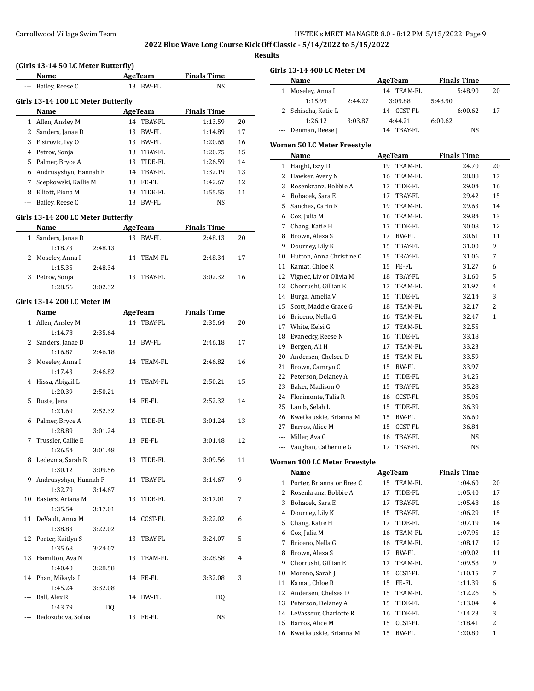**Results**

|     | (Girls 13-14 50 LC Meter Butterfly) |         |    |                |                    |    |
|-----|-------------------------------------|---------|----|----------------|--------------------|----|
|     | Name                                |         |    | <b>AgeTeam</b> | <b>Finals Time</b> |    |
|     | --- Bailey, Reese C                 |         |    | 13 BW-FL       | NS.                |    |
|     | Girls 13-14 100 LC Meter Butterfly  |         |    |                |                    |    |
|     | Name                                |         |    | AgeTeam        | <b>Finals Time</b> |    |
|     | 1 Allen, Ansley M                   |         |    | 14 TBAY-FL     | 1:13.59            | 20 |
|     | 2 Sanders, Janae D                  |         | 13 | BW-FL          | 1:14.89            | 17 |
|     | 3 Fistrovic, Ivy O                  |         |    | 13 BW-FL       | 1:20.65            | 16 |
|     | 4 Petrov, Sonja                     |         |    | 13 TBAY-FL     | 1:20.75            | 15 |
|     | 5 Palmer, Bryce A                   |         |    | 13 TIDE-FL     | 1:26.59            | 14 |
|     | 6 Andrusyshyn, Hannah F             |         |    | 14 TBAY-FL     | 1:32.19            | 13 |
|     | 7 Scepkowski, Kallie M              |         |    | 13 FE-FL       | 1:42.67            | 12 |
|     | 8 Elliott, Fiona M                  |         |    | 13 TIDE-FL     | 1:55.55            | 11 |
|     | --- Bailey, Reese C                 |         |    | 13 BW-FL       | NS                 |    |
|     |                                     |         |    |                |                    |    |
|     | Girls 13-14 200 LC Meter Butterfly  |         |    |                |                    |    |
|     | Name                                |         |    | <b>AgeTeam</b> | <b>Finals Time</b> |    |
|     | 1 Sanders, Janae D                  |         |    | 13 BW-FL       | 2:48.13            | 20 |
|     | 1:18.73                             | 2:48.13 |    |                |                    |    |
| 2   | Moseley, Anna I                     | 2:48.34 | 14 | TEAM-FL        | 2:48.34            | 17 |
| 3   | 1:15.35                             |         | 13 | TBAY-FL        |                    | 16 |
|     | Petrov, Sonja<br>1:28.56            | 3:02.32 |    |                | 3:02.32            |    |
|     |                                     |         |    |                |                    |    |
|     | Girls 13-14 200 LC Meter IM         |         |    |                |                    |    |
|     | Name                                |         |    | <b>AgeTeam</b> | <b>Finals Time</b> |    |
|     | 1 Allen, Ansley M                   |         |    | 14 TBAY-FL     | 2:35.64            | 20 |
|     | 1:14.78                             | 2:35.64 |    |                |                    |    |
|     | 2 Sanders, Janae D                  |         | 13 | BW-FL          | 2:46.18            | 17 |
|     | 1:16.87                             | 2:46.18 |    |                |                    |    |
| 3   | Moseley, Anna I                     |         | 14 | TEAM-FL        | 2:46.82            | 16 |
|     | 1:17.43                             | 2:46.82 |    |                |                    |    |
| 4   | Hissa, Abigail L                    |         | 14 | TEAM-FL        | 2:50.21            | 15 |
|     | 1:20.39                             | 2:50.21 |    |                |                    |    |
| 5   | Ruste, Jena                         |         |    | 14 FE-FL       | 2:52.32            | 14 |
|     | 1:21.69                             | 2:52.32 |    |                |                    |    |
| 6   | Palmer, Bryce A                     |         | 13 | TIDE-FL        | 3:01.24            | 13 |
|     | 1:28.89                             | 3:01.24 |    |                |                    |    |
| 7   | Trussler, Callie E                  |         |    | 13 FE-FL       | 3:01.48            | 12 |
|     | 1:26.54                             | 3:01.48 |    |                |                    |    |
|     | 8 Ledezma, Sarah R                  |         |    | 13 TIDE-FL     | 3:09.56            | 11 |
|     | 1:30.12                             | 3:09.56 |    |                |                    |    |
| 9   | Andrusyshyn, Hannah F               |         |    | 14 TBAY-FL     | 3:14.67            | 9  |
|     | 1:32.79                             | 3:14.67 |    |                |                    |    |
| 10  | Easters, Ariana M                   |         | 13 | TIDE-FL        | 3:17.01            | 7  |
|     | 1:35.54<br>DeVault, Anna M          | 3:17.01 |    |                |                    | 6  |
| 11  | 1:38.83                             |         |    | 14 CCST-FL     | 3:22.02            |    |
| 12  | Porter, Kaitlyn S                   | 3:22.02 | 13 | TBAY-FL        | 3:24.07            | 5  |
|     | 1:35.68                             | 3:24.07 |    |                |                    |    |
| 13  | Hamilton, Ava N                     |         | 13 | TEAM-FL        | 3:28.58            | 4  |
|     | 1:40.40                             | 3:28.58 |    |                |                    |    |
|     | 14 Phan, Mikayla L                  |         |    | 14 FE-FL       | 3:32.08            | 3  |
|     | 1:45.24                             | 3:32.08 |    |                |                    |    |
| --- | Ball, Alex R                        |         |    | 14 BW-FL       | DQ                 |    |
|     | 1:43.79                             | DQ      |    |                |                    |    |
| --- | Redozubova, Sofiia                  |         |    | 13 FE-FL       | NS                 |    |
|     |                                     |         |    |                |                    |    |

|                          | Girls 13-14 400 LC Meter IM        |                      |                    |    |
|--------------------------|------------------------------------|----------------------|--------------------|----|
|                          | Name                               | AgeTeam              | <b>Finals Time</b> |    |
| $1 \quad$                | Moseley, Anna I                    | 14 TEAM-FL           | 5:48.90            | 20 |
|                          | 1:15.99<br>2:44.27                 | 3:09.88              | 5:48.90            |    |
| 2                        | Schischa, Katie L                  | 14 CCST-FL           | 6:00.62            | 17 |
|                          | 1:26.12<br>3:03.87                 | 4:44.21              | 6:00.62            |    |
| $\sim$ $\sim$            | Denman, Reese J                    | 14 TBAY-FL           | NS                 |    |
|                          | <b>Women 50 LC Meter Freestyle</b> |                      |                    |    |
|                          | Name                               | AgeTeam              | <b>Finals Time</b> |    |
|                          | 1 Haight, Izzy D                   | 19<br><b>TEAM-FL</b> | 24.70              | 20 |
|                          | 2 Hawker, Avery N                  | 16<br>TEAM-FL        | 28.88              | 17 |
|                          | 3 Rosenkranz, Bobbie A             | TIDE-FL<br>17        | 29.04              | 16 |
|                          | 4 Bohacek, Sara E                  | TBAY-FL<br>17        | 29.42              | 15 |
|                          | 5 Sanchez, Carin K                 | TEAM-FL<br>19        | 29.63              | 14 |
|                          | 6 Cox, Julia M                     | 16 TEAM-FL           | 29.84              | 13 |
|                          | 7 Chang, Katie H                   | 17<br>TIDE-FL        | 30.08              | 12 |
|                          | 8 Brown, Alexa S                   | BW-FL<br>17          | 30.61              | 11 |
| 9                        | Dourney, Lily K                    | 15<br>TBAY-FL        | 31.00              | 9  |
| 10                       | Hutton, Anna Christine C           | 15<br>TBAY-FL        | 31.06              | 7  |
|                          | 11 Kamat, Chloe R                  | 15 FE-FL             | 31.27              | 6  |
| 12                       | Vignec, Liv or Olivia M            | TBAY-FL<br>18        | 31.60              | 5  |
| 13                       | Chorrushi, Gillian E               | TEAM-FL<br>17        | 31.97              | 4  |
|                          | 14 Burga, Amelia V                 | TIDE-FL<br>15        | 32.14              | 3  |
| 15                       | Scott, Maddie Grace G              | <b>TEAM-FL</b><br>18 | 32.17              | 2  |
|                          | 16 Briceno, Nella G                | TEAM-FL<br>16        | 32.47              | 1  |
|                          | 17 White, Kelsi G                  | 17<br>TEAM-FL        | 32.55              |    |
|                          | 18 Evanecky, Reese N               | TIDE-FL<br>16        | 33.18              |    |
| 19                       | Bergen, Ali H                      | 17<br>TEAM-FL        | 33.23              |    |
|                          | 20 Andersen, Chelsea D             | 15<br>TEAM-FL        | 33.59              |    |
|                          | 21 Brown, Camryn C                 | 15 BW-FL             | 33.97              |    |
|                          | 22 Peterson, Delaney A             | TIDE-FL<br>15        | 34.25              |    |
| 23                       | Baker, Madison O                   | 15<br>TBAY-FL        | 35.28              |    |
|                          | 24 Florimonte, Talia R             | 16<br>CCST-FL        | 35.95              |    |
| 25                       | Lamb, Selah L                      | TIDE-FL<br>15        | 36.39              |    |
|                          | 26 Kwetkauskie, Brianna M          | 15<br>BW-FL          | 36.60              |    |
|                          | 27 Barros, Alice M                 | <b>CCST-FL</b><br>15 | 36.84              |    |
|                          | --- Miller, Ava G                  | TBAY-FL<br>16        | NS                 |    |
| $\overline{\phantom{a}}$ | Vaughan, Catherine G               | TBAY-FL<br>17        | NS                 |    |
|                          |                                    |                      |                    |    |
|                          | Women 100 LC Meter Freestyle       |                      |                    |    |
|                          | Name                               | AgeTeam              | <b>Finals Time</b> |    |
| $\mathbf{1}$             | Porter, Brianna or Bree C          | TEAM-FL<br>15        | 1:04.60            | 20 |
| 2                        | Rosenkranz, Bobbie A               | 17<br>TIDE-FL        | 1:05.40            | 17 |
| 3                        | Bohacek, Sara E                    | 17<br>TBAY-FL        | 1:05.48            | 16 |
| 4                        | Dourney, Lily K                    | 15<br>TBAY-FL        | 1:06.29            | 15 |
| 5                        | Chang, Katie H                     | 17<br>TIDE-FL        | 1:07.19            | 14 |
| 6                        | Cox, Julia M                       | TEAM-FL<br>16        | 1:07.95            | 13 |
| 7                        | Briceno, Nella G                   | 16<br>TEAM-FL        | 1:08.17            | 12 |
| 8                        | Brown, Alexa S                     | BW-FL<br>17          | 1:09.02            | 11 |
| 9                        | Chorrushi, Gillian E               | TEAM-FL<br>17        | 1:09.58            | 9  |
| 10                       | Moreno, Sarah J                    | <b>CCST-FL</b><br>15 | 1:10.15            | 7  |
| 11                       | Kamat, Chloe R                     | FE-FL<br>15          | 1:11.39            | 6  |
| 12                       | Andersen, Chelsea D                | TEAM-FL<br>15        | 1:12.26            | 5  |
| 13                       | Peterson, Delaney A                | 15<br>TIDE-FL        | 1:13.04            | 4  |
| 14                       | LeVasseur, Charlotte R             | TIDE-FL<br>16        | 1:14.23            | 3  |

15 Barros, Alice M 15 CCST-FL 1:18.41 2 Kwetkauskie, Brianna M 15 BW-FL 1:20.80 1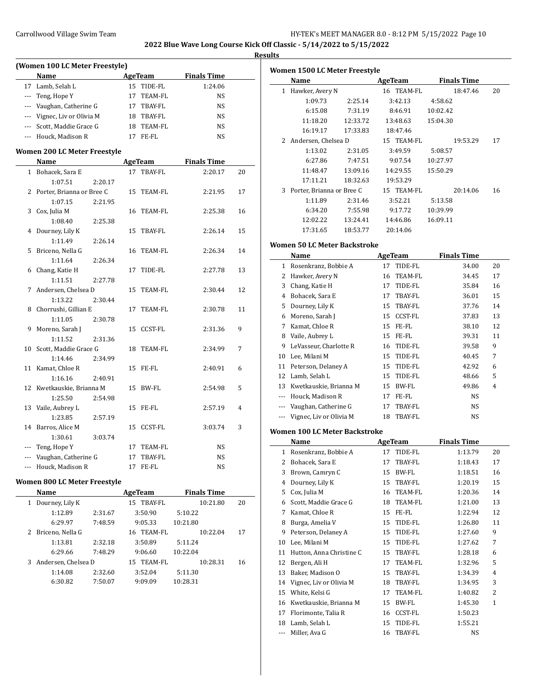$\overline{\phantom{a}}$ 

 $\overline{\phantom{a}}$ 

### **Results**

|    |                                |         |    |                | 2022 Diuc wave Long course in |    |
|----|--------------------------------|---------|----|----------------|-------------------------------|----|
|    | (Women 100 LC Meter Freestyle) |         |    |                |                               |    |
|    | Name                           |         |    | <b>AgeTeam</b> | <b>Finals Time</b>            |    |
|    | 17 Lamb, Selah L               |         |    | 15 TIDE-FL     | 1:24.06                       |    |
|    | --- Teng, Hope Y               |         |    | 17 TEAM-FL     | NS                            |    |
|    | --- Vaughan, Catherine G       |         |    | 17 TBAY-FL     | <b>NS</b>                     |    |
|    | --- Vignec, Liv or Olivia M    |         |    | 18 TBAY-FL     | NS                            |    |
|    | --- Scott, Maddie Grace G      |         |    | 18 TEAM-FL     | NS                            |    |
|    | --- Houck. Madison R           |         |    | 17 FE-FL       | NS                            |    |
|    | Women 200 LC Meter Freestyle   |         |    |                |                               |    |
|    | Name                           |         |    | <b>AgeTeam</b> | <b>Finals Time</b>            |    |
|    | 1 Bohacek, Sara E              |         |    | 17 TBAY-FL     | 2:20.17                       | 20 |
|    | 1:07.51                        | 2:20.17 |    |                |                               |    |
|    | 2 Porter, Brianna or Bree C    |         | 15 | TEAM-FL        | 2:21.95                       | 17 |
|    | 1:07.15                        | 2:21.95 |    |                |                               |    |
|    | 3 Cox, Julia M                 |         |    | 16 TEAM-FL     | 2:25.38                       | 16 |
|    | 1:08.40                        | 2:25.38 |    |                |                               |    |
|    | 4 Dourney, Lily K              |         | 15 | TBAY-FL        | 2:26.14                       | 15 |
|    | 1:11.49                        | 2:26.14 |    |                |                               |    |
| 5. | Briceno, Nella G               |         |    | 16 TEAM-FL     | 2:26.34                       | 14 |
|    | 1:11.64                        | 2:26.34 |    |                |                               |    |
|    | 6 Chang, Katie H               |         | 17 | TIDE-FL        | 2:27.78                       | 13 |
|    | 1:11.51                        | 2:27.78 |    |                |                               |    |
| 7  | Andersen, Chelsea D            |         |    | 15 TEAM-FL     | 2:30.44                       | 12 |
|    | 1:13.22                        | 2:30.44 |    |                |                               |    |
|    | 8 Chorrushi, Gillian E         |         | 17 | TEAM-FL        | 2:30.78                       | 11 |
|    | 1:11.05                        | 2:30.78 |    |                |                               |    |
|    | 9 Moreno, Sarah J              |         |    | 15 CCST-FL     | 2:31.36                       | 9  |
|    | 1:11.52                        | 2:31.36 |    |                |                               |    |
|    | 10 Scott, Maddie Grace G       |         | 18 | TEAM-FL        | 2:34.99                       | 7  |
|    | 1:14.46                        | 2:34.99 |    |                |                               |    |
| 11 | Kamat, Chloe R                 |         |    | 15 FE-FL       | 2:40.91                       | 6  |
|    | 1:16.16                        | 2:40.91 |    |                |                               |    |
|    | 12 Kwetkauskie, Brianna M      |         | 15 | BW-FL          | 2:54.98                       | 5  |
|    | 1:25.50                        | 2:54.98 |    |                |                               |    |
|    | 13 Vaile, Aubrey L             |         |    | 15 FE-FL       | 2:57.19                       | 4  |
|    | 1:23.85                        | 2:57.19 |    |                |                               |    |
|    | 14 Barros, Alice M             |         |    | 15 CCST-FL     | 3:03.74                       | 3  |
|    | 1:30.61                        | 3:03.74 |    |                |                               |    |
|    | --- Teng, Hope Y               |         | 17 | <b>TEAM-FL</b> | NS                            |    |
|    | --- Vaughan, Catherine G       |         | 17 | <b>TBAY-FL</b> | <b>NS</b>                     |    |

## **Women 800 LC Meter Freestyle**

|   | Name                  |         | AgeTeam       | <b>Finals Time</b> |    |
|---|-----------------------|---------|---------------|--------------------|----|
| 1 | Dourney, Lily K       |         | 15 TBAY-FL    | 10:21.80           | 20 |
|   | 1:12.89               | 2:31.67 | 3:50.90       | 5:10.22            |    |
|   | 6:29.97               | 7:48.59 | 9:05.33       | 10:21.80           |    |
|   | 2 Briceno, Nella G    |         | TEAM-FL<br>16 | 10:22.04           | 17 |
|   | 1:13.81               | 2:32.18 | 3:50.89       | 5:11.24            |    |
|   | 6:29.66               | 7:48.29 | 9:06.60       | 10:22.04           |    |
|   | 3 Andersen, Chelsea D |         | 15 TEAM-FL    | 10:28.31           | 16 |
|   | 1:14.08               | 2:32.60 | 3:52.04       | 5:11.30            |    |
|   | 6:30.82               | 7:50.07 | 9:09.09       | 10:28.31           |    |
|   |                       |         |               |                    |    |

--- Houck, Madison R 17 FE-FL NS

|   | Women 1500 LC Meter Freestyle |          |         |            |          |                    |    |
|---|-------------------------------|----------|---------|------------|----------|--------------------|----|
|   | Name                          |          | AgeTeam |            |          | <b>Finals Time</b> |    |
| 1 | Hawker, Avery N               |          |         | 16 TEAM-FL |          | 18:47.46           | 20 |
|   | 1:09.73                       | 2:25.14  |         | 3:42.13    | 4:58.62  |                    |    |
|   | 6:15.08                       | 7:31.19  |         | 8:46.91    | 10:02.42 |                    |    |
|   | 11:18.20                      | 12:33.72 |         | 13:48.63   | 15:04.30 |                    |    |
|   | 16:19.17                      | 17:33.83 |         | 18:47.46   |          |                    |    |
| 2 | Andersen, Chelsea D           |          |         | 15 TEAM-FL |          | 19:53.29           | 17 |
|   | 1:13.02                       | 2:31.05  |         | 3:49.59    | 5:08.57  |                    |    |
|   | 6:27.86                       | 7:47.51  |         | 9:07.54    | 10:27.97 |                    |    |
|   | 11:48.47                      | 13:09.16 |         | 14:29.55   | 15:50.29 |                    |    |
|   | 17:11.21                      | 18:32.63 |         | 19:53.29   |          |                    |    |
| 3 | Porter, Brianna or Bree C     |          |         | 15 TEAM-FL |          | 20:14.06           | 16 |
|   | 1:11.89                       | 2:31.46  |         | 3:52.21    | 5:13.58  |                    |    |
|   | 6:34.20                       | 7:55.98  |         | 9:17.72    | 10:39.99 |                    |    |
|   | 12:02.22                      | 13:24.41 |         | 14:46.86   | 16:09.11 |                    |    |
|   | 17:31.65                      | 18:53.77 |         | 20:14.06   |          |                    |    |

# **Women 50 LC Meter Backstroke**

|    | Name                    |    | AgeTeam        | Finals Time |    |  |
|----|-------------------------|----|----------------|-------------|----|--|
| 1  | Rosenkranz, Bobbie A    | 17 | TIDE-FL        | 34.00       | 20 |  |
| 2  | Hawker, Avery N         | 16 | TEAM-FL        | 34.45       | 17 |  |
| 3  | Chang, Katie H          | 17 | TIDE-FL        | 35.84       | 16 |  |
| 4  | Bohacek, Sara E         | 17 | TBAY-FL        | 36.01       | 15 |  |
| 5  | Dourney, Lily K         | 15 | TBAY-FL        | 37.76       | 14 |  |
| 6  | Moreno, Sarah J         | 15 | <b>CCST-FL</b> | 37.83       | 13 |  |
| 7  | Kamat, Chloe R          | 15 | FE-FL          | 38.10       | 12 |  |
| 8  | Vaile, Aubrey L         | 15 | FE-FL          | 39.31       | 11 |  |
| 9  | LeVasseur, Charlotte R  | 16 | TIDE-FL        | 39.58       | 9  |  |
| 10 | Lee, Milani M           | 15 | TIDE-FL        | 40.45       | 7  |  |
| 11 | Peterson, Delaney A     | 15 | TIDE-FL        | 42.92       | 6  |  |
| 12 | Lamb, Selah L           | 15 | TIDE-FL        | 48.66       | 5  |  |
| 13 | Kwetkauskie, Brianna M  | 15 | BW-FL          | 49.86       | 4  |  |
|    | Houck, Madison R        | 17 | FE-FL          | <b>NS</b>   |    |  |
|    | Vaughan, Catherine G    | 17 | TBAY-FL        | NS          |    |  |
|    | Vignec, Liv or Olivia M | 18 | TBAY-FL        | NS          |    |  |

# **Women 100 LC Meter Backstroke**

|       | Name                     | AgeTeam       | <b>Finals Time</b> |    |
|-------|--------------------------|---------------|--------------------|----|
| 1     | Rosenkranz, Bobbie A     | TIDE-FL<br>17 | 1:13.79            | 20 |
| 2     | Bohacek, Sara E          | TBAY-FL<br>17 | 1:18.43            | 17 |
| 3     | Brown, Camryn C          | 15<br>BW-FL   | 1:18.51            | 16 |
| 4     | Dourney, Lily K          | 15<br>TBAY-FL | 1:20.19            | 15 |
| 5     | Cox, Julia M             | TEAM-FL<br>16 | 1:20.36            | 14 |
| 6     | Scott, Maddie Grace G    | TEAM-FL<br>18 | 1:21.00            | 13 |
| 7     | Kamat, Chloe R           | FE-FL<br>15   | 1:22.94            | 12 |
| 8     | Burga, Amelia V          | TIDE-FL<br>15 | 1:26.80            | 11 |
| 9     | Peterson, Delaney A      | TIDE-FL<br>15 | 1:27.60            | 9  |
| 10    | Lee, Milani M            | TIDE-FL<br>15 | 1:27.62            | 7  |
| 11    | Hutton, Anna Christine C | TBAY-FL<br>15 | 1:28.18            | 6  |
| 12    | Bergen, Ali H            | TEAM-FL<br>17 | 1:32.96            | 5  |
| 13    | Baker, Madison O         | TBAY-FL<br>15 | 1:34.39            | 4  |
| 14    | Vignec, Liv or Olivia M  | TBAY-FL<br>18 | 1:34.95            | 3  |
| 15    | White, Kelsi G           | TEAM-FL<br>17 | 1:40.82            | 2  |
| 16    | Kwetkauskie, Brianna M   | BW-FL<br>15   | 1:45.30            | 1  |
| 17    | Florimonte, Talia R      | CCST-FL<br>16 | 1:50.23            |    |
| 18    | Lamb, Selah L            | TIDE-FL<br>15 | 1:55.21            |    |
| $---$ | Miller, Ava G            | 16 TBAY-FL    | NS                 |    |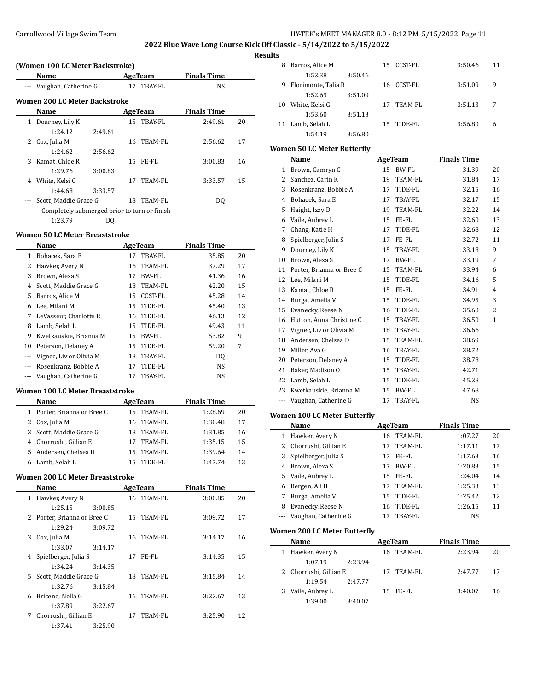**2022 Blue Wave Long Course Kick Off Classic - 5/14/2022 to 5/15/2022**

### **Results**

|          | (Women 100 LC Meter Backstroke)              |         |     |                |                    |    |  |
|----------|----------------------------------------------|---------|-----|----------------|--------------------|----|--|
|          | Name                                         |         |     | <b>AgeTeam</b> | <b>Finals Time</b> |    |  |
| $\cdots$ | Vaughan, Catherine G                         |         |     | 17 TBAY-FL     | NS                 |    |  |
|          | Women 200 LC Meter Backstroke                |         |     |                |                    |    |  |
|          | Name                                         |         |     | AgeTeam        | <b>Finals Time</b> |    |  |
| 1        | Dourney, Lily K                              |         |     | 15 TBAY-FL     | 2:49.61            | 20 |  |
|          | 1:24.12                                      | 2:49.61 |     |                |                    |    |  |
| 2        | Cox, Julia M                                 |         | 16  | TEAM-FL        | 2:56.62            | 17 |  |
|          | 1:24.62                                      | 2:56.62 |     |                |                    |    |  |
| 3        | Kamat, Chloe R                               |         |     | 15 FE-FL       | 3:00.83            | 16 |  |
|          | 1:29.76                                      | 3:00.83 |     |                |                    |    |  |
| 4        | White, Kelsi G                               |         | 17  | TEAM-FL        | 3:33.57            | 15 |  |
|          | 1:44.68                                      | 3:33.57 |     |                |                    |    |  |
| ---      | Scott, Maddie Grace G                        |         | 18. | TEAM-FL        | DO                 |    |  |
|          | Completely submerged prior to turn or finish |         |     |                |                    |    |  |
|          | 1:23.79                                      | DO      |     |                |                    |    |  |

#### **Women 50 LC Meter Breaststroke**

 $\overline{a}$ 

 $\overline{a}$ 

|    | Name                    |    | AgeTeam        | <b>Finals Time</b> |    |
|----|-------------------------|----|----------------|--------------------|----|
| 1  | Bohacek, Sara E         | 17 | TBAY-FL        | 35.85              | 20 |
| 2  | Hawker, Avery N         |    | 16 TEAM-FL     | 37.29              | 17 |
| 3  | Brown, Alexa S          | 17 | BW-FL          | 41.36              | 16 |
| 4  | Scott. Maddie Grace G   | 18 | TEAM-FL        | 42.20              | 15 |
| 5  | Barros, Alice M         | 15 | CCST-FL        | 45.28              | 14 |
| 6  | Lee, Milani M           |    | 15 TIDE-FL     | 45.40              | 13 |
| 7  | LeVasseur, Charlotte R  |    | 16 TIDE-FL     | 46.13              | 12 |
| 8  | Lamb, Selah L           | 15 | TIDE-FL        | 49.43              | 11 |
| 9  | Kwetkauskie, Brianna M  | 15 | BW-FL          | 53.82              | 9  |
| 10 | Peterson, Delaney A     | 15 | TIDE-FL        | 59.20              | 7  |
|    | Vignec, Liv or Olivia M | 18 | <b>TBAY-FL</b> | D <sub>0</sub>     |    |
|    | Rosenkranz, Bobbie A    | 17 | TIDE-FL        | NS                 |    |
|    | Vaughan, Catherine G    | 17 | TBAY-FL        | NS                 |    |
|    |                         |    |                |                    |    |

#### **Women 100 LC Meter Breaststroke**

| <b>Name</b>                 |     | AgeTeam    | <b>Finals Time</b> |    |
|-----------------------------|-----|------------|--------------------|----|
| 1 Porter, Brianna or Bree C |     | 15 TEAM-FL | 1:28.69            | 20 |
| 2 Cox, Julia M              | 16. | TEAM-FL    | 1:30.48            | 17 |
| 3 Scott. Maddie Grace G     | 18. | TEAM-FL    | 1:31.85            | 16 |
| 4 Chorrushi, Gillian E      | 17  | TEAM-FL    | 1:35.15            | 15 |
| 5 Andersen, Chelsea D       | 15. | TEAM-FL    | 1:39.64            | 14 |
| Lamb, Selah L               |     | TIDE-FL    | 1:47.74            | 13 |

#### **Women 200 LC Meter Breaststroke**

|    | <b>Name</b>                 |         | AgeTeam    | <b>Finals Time</b> |    |
|----|-----------------------------|---------|------------|--------------------|----|
| 1  | Hawker, Avery N             |         | 16 TEAM-FL | 3:00.85            | 20 |
|    | 1:25.15                     | 3:00.85 |            |                    |    |
|    | 2 Porter, Brianna or Bree C |         | 15 TEAM-FL | 3:09.72            | 17 |
|    | 1:29.24                     | 3:09.72 |            |                    |    |
| 3  | Cox, Julia M                |         | 16 TEAM-FL | 3:14.17            | 16 |
|    | 1:33.07                     | 3:14.17 |            |                    |    |
|    | Spielberger, Julia S        |         | 17 FE-FL   | 3:14.35            | 15 |
|    | 1:34.24                     | 3:14.35 |            |                    |    |
| 5. | Scott, Maddie Grace G       |         | 18 TEAM-FL | 3:15.84            | 14 |
|    | 1:32.76                     | 3:15.84 |            |                    |    |
| 6  | Briceno, Nella G            |         | 16 TEAM-FL | 3:22.67            | 13 |
|    | 1:37.89                     | 3:22.67 |            |                    |    |
| 7  | Chorrushi, Gillian E        |         | 17 TEAM-FL | 3:25.90            | 12 |
|    | 1:37.41                     | 3:25.90 |            |                    |    |

| -- |                     |         |     |            |         |    |
|----|---------------------|---------|-----|------------|---------|----|
| 8  | Barros, Alice M     |         |     | 15 CCST-FL | 3:50.46 | 11 |
|    | 1:52.38             | 3:50.46 |     |            |         |    |
| 9  | Florimonte, Talia R |         |     | 16 CCST-FL | 3:51.09 | 9  |
|    | 1:52.69             | 3:51.09 |     |            |         |    |
| 10 | White, Kelsi G      |         | 17  | TEAM-FL    | 3:51.13 | 7  |
|    | 1:53.60             | 3:51.13 |     |            |         |    |
|    | Lamb, Selah L       |         | 15. | TIDE-FL    | 3:56.80 | 6  |
|    | 1:54.19             | 3:56.80 |     |            |         |    |

## **Women 50 LC Meter Butterfly**

|    | Name                      |    | AgeTeam        | <b>Finals Time</b> |              |
|----|---------------------------|----|----------------|--------------------|--------------|
| 1  | Brown, Camryn C           | 15 | <b>BW-FL</b>   | 31.39              | 20           |
| 2  | Sanchez, Carin K          | 19 | TEAM-FL        | 31.84              | 17           |
| 3  | Rosenkranz, Bobbie A      | 17 | TIDE-FL        | 32.15              | 16           |
| 4  | Bohacek, Sara E           | 17 | TBAY-FL        | 32.17              | 15           |
| 5  | Haight, Izzy D            | 19 | <b>TEAM-FL</b> | 32.22              | 14           |
| 6  | Vaile, Aubrey L           | 15 | FE-FL          | 32.60              | 13           |
| 7  | Chang, Katie H            | 17 | TIDE-FL        | 32.68              | 12           |
| 8  | Spielberger, Julia S      | 17 | FE-FL          | 32.72              | 11           |
| 9  | Dourney, Lily K           | 15 | TBAY-FL        | 33.18              | 9            |
| 10 | Brown, Alexa S            | 17 | <b>BW-FL</b>   | 33.19              | 7            |
| 11 | Porter, Brianna or Bree C | 15 | <b>TEAM-FL</b> | 33.94              | 6            |
| 12 | Lee, Milani M             | 15 | TIDE-FL        | 34.16              | 5            |
| 13 | Kamat, Chloe R            | 15 | FE-FL          | 34.91              | 4            |
| 14 | Burga, Amelia V           | 15 | TIDE-FL        | 34.95              | 3            |
| 15 | Evanecky, Reese N         | 16 | TIDE-FL        | 35.60              | 2            |
| 16 | Hutton, Anna Christine C  | 15 | TBAY-FL        | 36.50              | $\mathbf{1}$ |
| 17 | Vignec, Liv or Olivia M   | 18 | <b>TBAY-FL</b> | 36.66              |              |
| 18 | Andersen, Chelsea D       | 15 | <b>TEAM-FL</b> | 38.69              |              |
| 19 | Miller, Ava G             | 16 | TBAY-FL        | 38.72              |              |
| 20 | Peterson, Delaney A       | 15 | TIDE-FL        | 38.78              |              |
| 21 | Baker, Madison O          | 15 | <b>TBAY-FL</b> | 42.71              |              |
| 22 | Lamb, Selah L             | 15 | TIDE-FL        | 45.28              |              |
| 23 | Kwetkauskie, Brianna M    | 15 | BW-FL          | 47.68              |              |
|    | Vaughan, Catherine G      | 17 | TBAY-FL        | <b>NS</b>          |              |

## **Women 100 LC Meter Butterfly**

|   | Name                     |    | AgeTeam  | <b>Finals Time</b> |    |  |
|---|--------------------------|----|----------|--------------------|----|--|
| 1 | Hawker, Avery N          | 16 | TEAM-FL  | 1:07.27            | 20 |  |
|   | 2 Chorrushi, Gillian E   | 17 | TEAM-FL  | 1:17.11            | 17 |  |
|   | 3 Spielberger, Julia S   | 17 | FE-FL    | 1:17.63            | 16 |  |
| 4 | Brown, Alexa S           | 17 | BW-FL    | 1:20.83            | 15 |  |
|   | 5 Vaile, Aubrey L        |    | 15 FE-FL | 1:24.04            | 14 |  |
| 6 | Bergen, Ali H            | 17 | TEAM-FL  | 1:25.33            | 13 |  |
|   | Burga, Amelia V          | 15 | TIDE-FL  | 1:25.42            | 12 |  |
| 8 | Evanecky, Reese N        | 16 | TIDE-FL  | 1:26.15            | 11 |  |
|   | --- Vaughan, Catherine G |    | TBAY-FL  | NS                 |    |  |

### **Women 200 LC Meter Butterfly**

| Name                   |         |    | AgeTeam    | <b>Finals Time</b> |    |
|------------------------|---------|----|------------|--------------------|----|
| 1 Hawker, Avery N      |         |    | 16 TEAM-FL | 2.23.94            | 20 |
| 1:07.19                | 2.23.94 |    |            |                    |    |
| 2 Chorrushi, Gillian E |         | 17 | TEAM-FL    | 2:47.77            | 17 |
| 1:19.54                | 2.47.77 |    |            |                    |    |
| 3 Vaile, Aubrey L      |         |    | 15 FE-FL   | 3:40.07            | 16 |
| 1:39.00                | 3:40.07 |    |            |                    |    |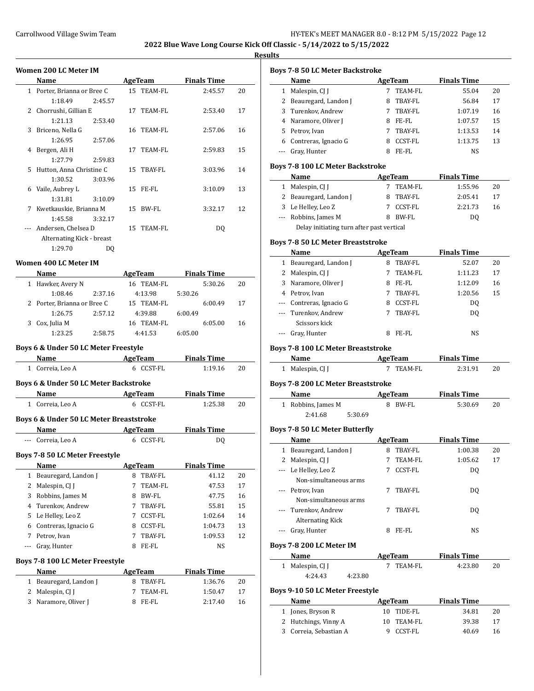#### **Results**

|                | Women 200 LC Meter IM                            |                |    |                          |         |                               |    |
|----------------|--------------------------------------------------|----------------|----|--------------------------|---------|-------------------------------|----|
|                | <b>Name</b>                                      |                |    | AgeTeam                  |         | <b>Finals Time</b>            |    |
|                | 1 Porter, Brianna or Bree C                      |                |    | 15 TEAM-FL               |         | 2:45.57                       | 20 |
|                | 1:18.49                                          | 2:45.57        |    |                          |         |                               |    |
|                | 2 Chorrushi, Gillian E                           |                |    | 17 TEAM-FL               |         | 2:53.40                       | 17 |
|                | 1:21.13                                          | 2:53.40        |    |                          |         |                               |    |
| 3              | Briceno, Nella G                                 |                |    | 16 TEAM-FL               |         | 2:57.06                       | 16 |
|                | 1:26.95                                          | 2:57.06        |    |                          |         |                               |    |
| $\overline{4}$ | Bergen, Ali H                                    |                | 17 | TEAM-FL                  |         | 2:59.83                       | 15 |
|                | 1:27.79                                          | 2:59.83        |    |                          |         |                               |    |
| 5              | Hutton, Anna Christine C                         |                | 15 | TBAY-FL                  |         | 3:03.96                       | 14 |
|                | 1:30.52                                          | 3:03.96        |    |                          |         |                               |    |
|                | 6 Vaile, Aubrey L                                |                | 15 | FE-FL                    |         | 3:10.09                       | 13 |
|                | 1:31.81                                          | 3:10.09        |    |                          |         |                               |    |
| 7              | Kwetkauskie, Brianna M                           |                |    | 15 BW-FL                 |         | 3:32.17                       | 12 |
|                | 1:45.58                                          | 3:32.17        |    |                          |         |                               |    |
|                | Andersen, Chelsea D                              |                |    | 15 TEAM-FL               |         | DQ                            |    |
|                | Alternating Kick - breast                        |                |    |                          |         |                               |    |
|                | 1:29.70                                          | D <sub>0</sub> |    |                          |         |                               |    |
|                | Women 400 LC Meter IM                            |                |    |                          |         |                               |    |
|                |                                                  |                |    |                          |         |                               |    |
|                | <b>Name</b>                                      |                |    | <b>AgeTeam</b>           |         | <b>Finals Time</b><br>5:30.26 | 20 |
|                | 1 Hawker, Avery N<br>1:08.46                     |                |    | 16 TEAM-FL               |         |                               |    |
|                |                                                  | 2:37.16        |    | 4:13.98                  | 5:30.26 |                               |    |
|                | 2 Porter, Brianna or Bree C                      | 2:57.12        |    | 15 TEAM-FL               |         | 6:00.49                       | 17 |
|                | 1:26.75<br>3 Cox, Julia M                        |                |    | 4:39.88<br>16 TEAM-FL    | 6:00.49 | 6:05.00                       | 16 |
|                | 1:23.25                                          | 2:58.75        |    | 4:41.53                  |         |                               |    |
|                |                                                  |                |    |                          | 6:05.00 |                               |    |
|                | Boys 6 & Under 50 LC Meter Freestyle             |                |    |                          |         |                               |    |
|                | Name                                             |                |    | AgeTeam                  |         | <b>Finals Time</b>            |    |
|                | 1 Correia, Leo A                                 |                |    | 6 CCST-FL                |         | 1:19.16                       | 20 |
|                |                                                  |                |    |                          |         |                               |    |
|                | <b>Boys 6 &amp; Under 50 LC Meter Backstroke</b> |                |    |                          |         |                               |    |
|                | Name                                             |                |    | <b>Example 2</b> AgeTeam |         | <b>Finals Time</b>            |    |
|                | 1 Correia, Leo A                                 |                |    | 6 CCST-FL                |         | 1:25.38                       | 20 |
|                | Boys 6 & Under 50 LC Meter Breaststroke          |                |    |                          |         |                               |    |
|                | Name AgeTeam                                     |                |    |                          |         | <b>Finals Time</b>            |    |
|                | --- Correia, Leo A                               |                |    | 6 CCST-FL                |         | DQ                            |    |
|                | Boys 7-8 50 LC Meter Freestyle                   |                |    |                          |         |                               |    |
|                | Name                                             |                |    | <b>AgeTeam</b>           |         | <b>Finals Time</b>            |    |
|                | 1 Dogurogard Landon L                            |                |    | $O$ TD AV CI             |         | $\frac{1111}{2}$              | າ∩ |

| 1       | Beauregard, Landon J            | 8 | TBAY-FL        | 41.12              | 20 |  |
|---------|---------------------------------|---|----------------|--------------------|----|--|
| 2       | Malespin, CJ J                  | 7 | TEAM-FL        | 47.53              | 17 |  |
| 3       | Robbins, James M                | 8 | BW-FL          | 47.75              | 16 |  |
| 4       | Turenkov. Andrew                |   | TBAY-FL        | 55.81              | 15 |  |
| 5.      | Le Helley, Leo Z                |   | CCST-FL        | 1:02.64            | 14 |  |
| 6       | Contreras, Ignacio G            | 8 | <b>CCST-FL</b> | 1:04.73            | 13 |  |
| 7       | Petrov, Ivan                    | 7 | TBAY-FL        | 1:09.53            | 12 |  |
| $- - -$ | Gray, Hunter                    | 8 | FE-FL          | NS                 |    |  |
|         | Boys 7-8 100 LC Meter Freestyle |   |                |                    |    |  |
|         | Name                            |   | AgeTeam        | <b>Finals Time</b> |    |  |
| 1       | Beauregard, Landon J            | 8 | TBAY-FL        | 1:36.76            | 20 |  |
| 2       | Malespin, CJ J                  | 7 | TEAM-FL        | 1:50.47            | 17 |  |
| 3       | Naramore, Oliver J              | 8 | FE-FL          | 2:17.40            | 16 |  |
|         |                                 |   |                |                    |    |  |

| Name<br><b>AgeTeam</b><br><b>TEAM-FL</b><br>1 Malespin, CJ J<br>7<br>2 Beauregard, Landon J<br>8<br>TBAY-FL<br>Turenkov, Andrew<br>3<br>TBAY-FL<br>7<br>4 Naramore, Oliver J<br>8 FE-FL<br>5 Petrov, Ivan<br>TBAY-FL<br>7<br>6 Contreras, Ignacio G<br>CCST-FL<br>8. | <b>Finals Time</b>          |    |
|----------------------------------------------------------------------------------------------------------------------------------------------------------------------------------------------------------------------------------------------------------------------|-----------------------------|----|
|                                                                                                                                                                                                                                                                      |                             |    |
|                                                                                                                                                                                                                                                                      | 55.04                       | 20 |
|                                                                                                                                                                                                                                                                      | 56.84                       | 17 |
|                                                                                                                                                                                                                                                                      | 1:07.19                     | 16 |
|                                                                                                                                                                                                                                                                      | 1:07.57                     | 15 |
|                                                                                                                                                                                                                                                                      | 1:13.53                     | 14 |
|                                                                                                                                                                                                                                                                      | 1:13.75                     | 13 |
| --- Gray, Hunter<br>8 FE-FL                                                                                                                                                                                                                                          | NS                          |    |
|                                                                                                                                                                                                                                                                      |                             |    |
| <b>Boys 7-8 100 LC Meter Backstroke</b>                                                                                                                                                                                                                              | <b>Finals Time</b>          |    |
| Name<br><b>AgeTeam</b><br>1 Malespin, CJ J<br>7 TEAM-FL                                                                                                                                                                                                              | 1:55.96                     | 20 |
| 2 Beauregard, Landon J<br>8 TBAY-FL                                                                                                                                                                                                                                  | 2:05.41                     | 17 |
| 3 Le Helley, Leo Z                                                                                                                                                                                                                                                   | 2:21.73                     |    |
| 7 CCST-FL                                                                                                                                                                                                                                                            |                             | 16 |
| --- Robbins, James M<br>8 BW-FL                                                                                                                                                                                                                                      | DQ                          |    |
| Delay initiating turn after past vertical                                                                                                                                                                                                                            |                             |    |
| <b>Boys 7-8 50 LC Meter Breaststroke</b>                                                                                                                                                                                                                             |                             |    |
| Name<br>AgeTeam                                                                                                                                                                                                                                                      | <b>Finals Time</b>          |    |
| 1 Beauregard, Landon J<br>8 TBAY-FL                                                                                                                                                                                                                                  | 52.07                       | 20 |
| 2 Malespin, CJ J<br>TEAM-FL<br>7                                                                                                                                                                                                                                     | 1:11.23                     | 17 |
| 3<br>Naramore, Oliver J<br>8 FE-FL                                                                                                                                                                                                                                   | 1:12.09                     | 16 |
| 4 Petrov. Ivan<br>TBAY-FL<br>7                                                                                                                                                                                                                                       | 1:20.56                     | 15 |
| --- Contreras, Ignacio G<br>8 CCST-FL                                                                                                                                                                                                                                | DQ                          |    |
| --- Turenkov, Andrew<br>TBAY-FL<br>7                                                                                                                                                                                                                                 | DQ                          |    |
| Scissors kick                                                                                                                                                                                                                                                        |                             |    |
| --- Gray, Hunter<br>8 FE-FL                                                                                                                                                                                                                                          | NS                          |    |
|                                                                                                                                                                                                                                                                      |                             |    |
| <b>Boys 7-8 100 LC Meter Breaststroke</b><br>Name                                                                                                                                                                                                                    | <b>Finals Time</b>          |    |
| AgeTeam<br>1 Malespin, CJ J<br>7 TEAM-FL                                                                                                                                                                                                                             | 2:31.91                     | 20 |
|                                                                                                                                                                                                                                                                      |                             |    |
|                                                                                                                                                                                                                                                                      |                             |    |
|                                                                                                                                                                                                                                                                      | <b>Finals Time</b>          |    |
| Name<br><b>AgeTeam</b>                                                                                                                                                                                                                                               |                             |    |
| 8 BW-FL<br>1 Robbins, James M                                                                                                                                                                                                                                        | 5:30.69                     | 20 |
| 2:41.68<br>5:30.69                                                                                                                                                                                                                                                   |                             |    |
|                                                                                                                                                                                                                                                                      |                             |    |
| <b>AgeTeam</b><br>Name                                                                                                                                                                                                                                               | <b>Finals Time</b>          |    |
| 8<br>1                                                                                                                                                                                                                                                               |                             | 20 |
| Beauregard, Landon J<br>TBAY-FL<br>7<br>TEAM-FL                                                                                                                                                                                                                      | 1:00.38<br>1:05.62          | 17 |
| 2 Malespin, CJ J<br>--- Le Helley, Leo Z<br>CCST-FL<br>7                                                                                                                                                                                                             | DQ                          |    |
|                                                                                                                                                                                                                                                                      |                             |    |
| Non-simultaneous arms<br>Petrov, Ivan<br>7<br>TBAY-FL                                                                                                                                                                                                                | DQ                          |    |
| Non-simultaneous arms                                                                                                                                                                                                                                                |                             |    |
| Turenkov, Andrew<br>7<br>TBAY-FL                                                                                                                                                                                                                                     |                             |    |
| <b>Alternating Kick</b>                                                                                                                                                                                                                                              | DQ                          |    |
| 8 FE-FL                                                                                                                                                                                                                                                              |                             |    |
| --- Gray, Hunter                                                                                                                                                                                                                                                     | NS                          |    |
|                                                                                                                                                                                                                                                                      |                             |    |
| Name<br>AgeTeam                                                                                                                                                                                                                                                      | <b>Finals Time</b>          |    |
| $\mathbf{1}$<br>TEAM-FL<br>Malespin, CJ J<br>7                                                                                                                                                                                                                       | 4:23.80                     | 20 |
| 4:24.43<br>4:23.80                                                                                                                                                                                                                                                   |                             |    |
|                                                                                                                                                                                                                                                                      |                             |    |
|                                                                                                                                                                                                                                                                      |                             |    |
| <b>Boys 7-8 200 LC Meter Breaststroke</b><br><b>Boys 7-8 50 LC Meter Butterfly</b><br>Boys 7-8 200 LC Meter IM<br>Boys 9-10 50 LC Meter Freestyle<br>Name<br><b>AgeTeam</b><br>1 Jones, Bryson R<br>10 TIDE-FL                                                       | <b>Finals Time</b><br>34.81 | 20 |

3 Correia, Sebastian A 9 CCST-FL 40.69 16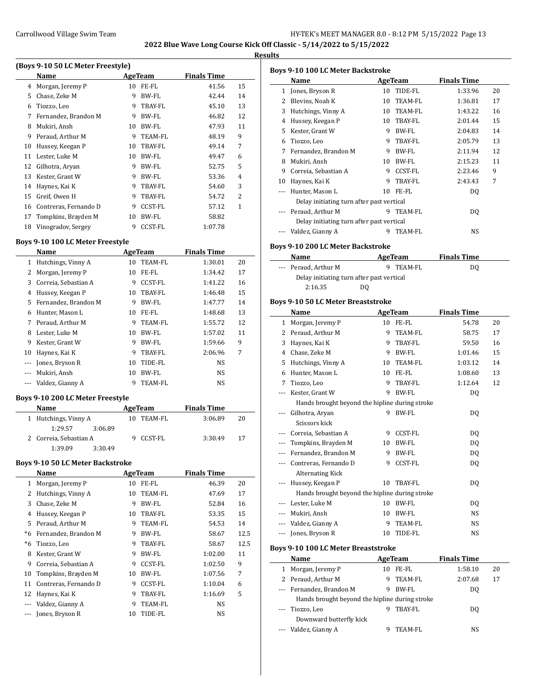**Results**

|    | Name                  |    | AgeTeam        | <b>Finals Time</b> |    |
|----|-----------------------|----|----------------|--------------------|----|
| 4  | Morgan, Jeremy P      | 10 | FE-FL          | 41.56              | 15 |
| 5  | Chase, Zeke M         | 9  | BW-FL          | 42.44              | 14 |
| 6  | Tiozzo, Leo           | 9  | TBAY-FL        | 45.10              | 13 |
| 7  | Fernandez, Brandon M  | 9  | BW-FL          | 46.82              | 12 |
| 8  | Mukiri, Ansh          | 10 | BW-FL          | 47.93              | 11 |
| 9  | Peraud, Arthur M      | 9  | <b>TEAM-FL</b> | 48.19              | 9  |
| 10 | Hussey, Keegan P      | 10 | TBAY-FL        | 49.14              | 7  |
| 11 | Lester, Luke M        | 10 | BW-FL          | 49.47              | 6  |
| 12 | Gilhotra, Aryan       | 9  | BW-FL          | 52.75              | 5  |
| 13 | Kester, Grant W       | 9  | BW-FL          | 53.36              | 4  |
| 14 | Haynes, Kai K         | 9  | TBAY-FL        | 54.60              | 3  |
| 15 | Greif, Owen H         | 9  | TBAY-FL        | 54.72              | 2  |
| 16 | Contreras, Fernando D | 9  | CCST-FL        | 57.12              | 1  |
| 17 | Tompkins, Brayden M   | 10 | BW-FL          | 58.82              |    |
| 18 | Vinogradov, Sergey    | 9  | CCST-FL        | 1:07.78            |    |

### **Boys 9-10 100 LC Meter Freestyle**

 $\overline{a}$ 

 $\overline{a}$ 

|    | Name                 |    | AgeTeam        | <b>Finals Time</b> |    |
|----|----------------------|----|----------------|--------------------|----|
| 1  | Hutchings, Vinny A   | 10 | TEAM-FL        | 1:30.01            | 20 |
|    | Morgan, Jeremy P     | 10 | FE-FL          | 1:34.42            | 17 |
| 3  | Correia. Sebastian A | 9  | <b>CCST-FL</b> | 1:41.22            | 16 |
| 4  | Hussey, Keegan P     | 10 | TBAY-FL        | 1:46.48            | 15 |
| 5. | Fernandez, Brandon M | 9  | BW-FL          | 1:47.77            | 14 |
| 6  | Hunter, Mason L      | 10 | FE-FL          | 1:48.68            | 13 |
| 7  | Peraud, Arthur M     | 9  | TEAM-FL        | 1:55.72            | 12 |
| 8  | Lester, Luke M       | 10 | BW-FL          | 1:57.02            | 11 |
| 9  | Kester, Grant W      | 9  | BW-FL          | 1:59.66            | 9  |
| 10 | Haynes, Kai K        | 9  | TBAY-FL        | 2:06.96            | 7  |
|    | Jones, Bryson R      | 10 | TIDE-FL        | NS                 |    |
|    | Mukiri, Ansh         | 10 | BW-FL          | NS                 |    |
|    | Valdez, Gianny A     | 9  | TEAM-FL        | NS                 |    |

## **Boys 9-10 200 LC Meter Freestyle**

| Name |                        |         |    | AgeTeam | <b>Finals Time</b> |    |
|------|------------------------|---------|----|---------|--------------------|----|
|      | 1 Hutchings, Vinny A   |         | 10 | TEAM-FL | 3:06.89            | 20 |
|      | 1:29.57                | 3:06.89 |    |         |                    |    |
|      | 2 Correia, Sebastian A |         |    | CCST-FL | 3:30.49            | 17 |
|      | 1:39.09                | 3:30.49 |    |         |                    |    |

#### **Boys 9-10 50 LC Meter Backstroke**

| Name                  |    |         | <b>Finals Time</b> |      |
|-----------------------|----|---------|--------------------|------|
| Morgan, Jeremy P      | 10 | FE-FL   | 46.39              | 20   |
| Hutchings, Vinny A    | 10 | TEAM-FL | 47.69              | 17   |
| Chase, Zeke M         | 9  | BW-FL   | 52.84              | 16   |
| Hussey, Keegan P      | 10 | TBAY-FL | 53.35              | 15   |
| Peraud, Arthur M      | 9  | TEAM-FL | 54.53              | 14   |
| Fernandez, Brandon M  | 9  | BW-FL   | 58.67              | 12.5 |
| Tiozzo, Leo           | 9  | TBAY-FL | 58.67              | 12.5 |
| Kester, Grant W       | 9  | BW-FL   | 1:02.00            | 11   |
| Correia, Sebastian A  | 9  | CCST-FL | 1:02.50            | 9    |
| Tompkins, Brayden M   | 10 | BW-FL   | 1:07.56            | 7    |
| Contreras, Fernando D | 9  | CCST-FL | 1:10.04            | 6    |
| Haynes, Kai K         | 9  | TBAY-FL | 1:16.69            | 5    |
| Valdez, Gianny A      | 9  | TEAM-FL | NS                 |      |
| Jones, Bryson R       | 10 | TIDE-FL | NS                 |      |
|                       |    |         | AgeTeam            |      |

|                          | <b>Boys 9-10 100 LC Meter Backstroke</b>       |    |              |                    |    |
|--------------------------|------------------------------------------------|----|--------------|--------------------|----|
|                          | Name                                           |    | AgeTeam      | <b>Finals Time</b> |    |
|                          | 1 Jones, Bryson R                              |    | 10 TIDE-FL   | 1:33.96            | 20 |
|                          | 2 Blevins, Noah K                              | 10 | TEAM-FL      | 1:36.81            | 17 |
|                          | 3 Hutchings, Vinny A                           |    | 10 TEAM-FL   | 1:43.22            | 16 |
|                          | 4 Hussey, Keegan P                             |    | 10 TBAY-FL   | 2:01.44            | 15 |
|                          | 5 Kester, Grant W                              |    | 9 BW-FL      | 2:04.83            | 14 |
|                          | 6 Tiozzo, Leo                                  |    | 9 TBAY-FL    | 2:05.79            | 13 |
|                          | 7 Fernandez, Brandon M                         |    | 9 BW-FL      | 2:11.94            | 12 |
|                          | 8 Mukiri, Ansh                                 |    | 10 BW-FL     | 2:15.23            | 11 |
|                          | 9 Correia, Sebastian A                         | 9  | CCST-FL      | 2:23.46            | 9  |
| 10                       | Haynes, Kai K                                  | 9. | TBAY-FL      | 2:43.43            | 7  |
| ---                      | Hunter, Mason L                                |    | 10 FE-FL     | DQ                 |    |
|                          | Delay initiating turn after past vertical      |    |              |                    |    |
|                          | Peraud, Arthur M                               | 9  | TEAM-FL      | DQ                 |    |
|                          | Delay initiating turn after past vertical      |    |              |                    |    |
|                          | --- Valdez, Gianny A                           |    | 9 TEAM-FL    | NS                 |    |
|                          |                                                |    |              |                    |    |
|                          | <b>Boys 9-10 200 LC Meter Backstroke</b>       |    |              |                    |    |
|                          | Name                                           |    | AgeTeam      | <b>Finals Time</b> |    |
|                          | Peraud, Arthur M                               |    | 9 TEAM-FL    | DQ                 |    |
|                          | Delay initiating turn after past vertical      |    |              |                    |    |
|                          | 2:16.35<br>DQ                                  |    |              |                    |    |
|                          |                                                |    |              |                    |    |
|                          | <b>Boys 9-10 50 LC Meter Breaststroke</b>      |    |              |                    |    |
|                          | Name                                           |    | AgeTeam      | <b>Finals Time</b> |    |
| $\mathbf{1}$             | Morgan, Jeremy P                               |    | 10 FE-FL     | 54.78              | 20 |
|                          | 2 Peraud, Arthur M                             | 9  | TEAM-FL      | 58.75              | 17 |
|                          | 3 Haynes, Kai K                                | 9. | TBAY-FL      | 59.50              | 16 |
|                          | 4 Chase, Zeke M                                |    | 9 BW-FL      | 1:01.46            | 15 |
|                          | 5 Hutchings, Vinny A                           |    | 10 TEAM-FL   | 1:03.12            | 14 |
|                          | 6 Hunter, Mason L                              |    | 10 FE-FL     | 1:08.60            | 13 |
| 7                        | Tiozzo, Leo                                    | 9. | TBAY-FL      | 1:12.64            | 12 |
| $\overline{\phantom{a}}$ | Kester, Grant W                                | 9  | BW-FL        | DQ                 |    |
|                          | Hands brought beyond the hipline during stroke |    |              |                    |    |
| $\cdots$                 | Gilhotra, Aryan                                |    | 9 BW-FL      | DQ                 |    |
|                          | Scissors kick                                  |    |              |                    |    |
|                          | --- Correia, Sebastian A                       | 9  | CCST-FL      | DQ                 |    |
|                          | --- Tompkins, Brayden M                        | 10 | BW-FL        | DQ                 |    |
| $---$                    | Fernandez, Brandon M                           | 9  | <b>BW-FL</b> | DQ                 |    |
|                          | --- Contreras, Fernando D                      |    | 9 CCST-FL    | DQ                 |    |
|                          | Alternating Kick                               |    |              |                    |    |
|                          | Hussey, Keegan P                               |    | 10 TBAY-FL   | DQ                 |    |
|                          | Hands brought beyond the hipline during stroke |    |              |                    |    |
|                          | --- Lester, Luke M                             |    | 10 BW-FL     | DQ                 |    |
|                          | --- Mukiri, Ansh                               |    | 10 BW-FL     | NS                 |    |
|                          | --- Valdez, Gianny A                           |    | 9 TEAM-FL    | NS                 |    |
|                          | --- Jones, Bryson R                            |    | 10 TIDE-FL   | NS                 |    |
|                          |                                                |    |              |                    |    |
|                          | <b>Boys 9-10 100 LC Meter Breaststroke</b>     |    |              |                    |    |
|                          | Name                                           |    | AgeTeam      | <b>Finals Time</b> |    |
|                          | 1 Morgan, Jeremy P                             |    | 10 FE-FL     | 1:58.10            | 20 |
|                          | 2 Peraud, Arthur M                             | 9  | TEAM-FL      | 2:07.68            | 17 |
| ---                      | Fernandez, Brandon M                           | 9  | BW-FL        | DQ                 |    |
|                          | Hands brought beyond the hipline during stroke |    |              |                    |    |
| ---                      | Tiozzo, Leo                                    |    | 9 TBAY-FL    | DQ                 |    |
|                          | Downward butterfly kick                        |    |              |                    |    |
|                          | --- Valdez, Gianny A                           |    | 9 TEAM-FL    | NS                 |    |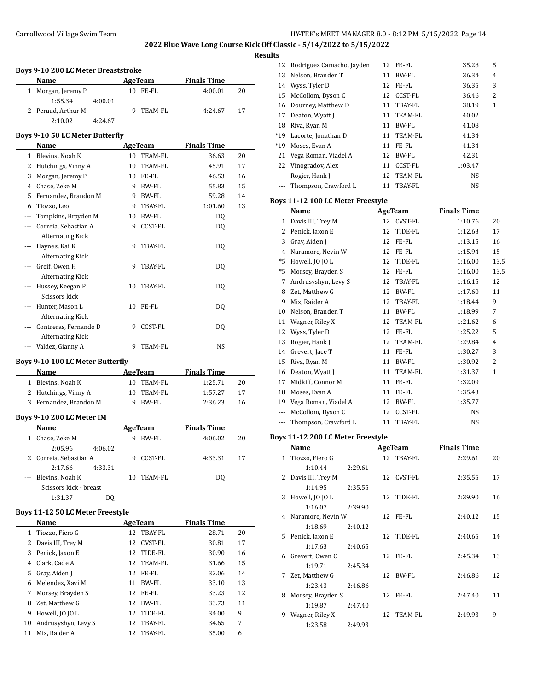**2022 Blue Wave Long Course Kick Off Classic - 5/14/2022 to 5/15/2022**

## **Results**

|                | Name                             |     | AgeTeam        | <b>Finals Time</b> |    |
|----------------|----------------------------------|-----|----------------|--------------------|----|
|                | 1 Morgan, Jeremy P               |     | 10 FE-FL       | 4:00.01            | 20 |
|                | 1:55.34<br>4:00.01               |     |                |                    |    |
|                | 2 Peraud, Arthur M               | 9   | TEAM-FL        | 4:24.67            | 17 |
|                | 2:10.02<br>4:24.67               |     |                |                    |    |
|                |                                  |     |                |                    |    |
|                | Boys 9-10 50 LC Meter Butterfly  |     |                |                    |    |
|                | Name                             |     | AgeTeam        | <b>Finals Time</b> |    |
|                | 1 Blevins, Noah K                |     | 10 TEAM-FL     | 36.63              | 20 |
|                | 2 Hutchings, Vinny A             |     | 10 TEAM-FL     | 45.91              | 17 |
|                | 3 Morgan, Jeremy P               |     | 10 FE-FL       | 46.53              | 16 |
|                | 4 Chase, Zeke M                  |     | 9 BW-FL        | 55.83              | 15 |
|                | 5 Fernandez, Brandon M           |     | 9 BW-FL        | 59.28              | 14 |
|                | 6 Tiozzo, Leo                    |     | 9 TBAY-FL      | 1:01.60            | 13 |
|                | --- Tompkins, Brayden M          |     | 10 BW-FL       | DQ                 |    |
|                | --- Correia, Sebastian A         | 9   | <b>CCST-FL</b> | DQ                 |    |
|                | <b>Alternating Kick</b>          |     |                |                    |    |
| ---            | Haynes, Kai K                    | 9   | TBAY-FL        | DQ                 |    |
|                | <b>Alternating Kick</b>          |     |                |                    |    |
| $---$          | Greif, Owen H                    | 9   | TBAY-FL        | DQ                 |    |
|                | <b>Alternating Kick</b>          |     |                |                    |    |
|                | Hussey, Keegan P                 | 10  | TBAY-FL        | DQ                 |    |
|                | Scissors kick                    |     |                |                    |    |
|                | Hunter, Mason L                  |     | 10 FE-FL       | DO.                |    |
|                | <b>Alternating Kick</b>          |     |                |                    |    |
| $\overline{a}$ | Contreras, Fernando D            | 9   | CCST-FL        | DQ                 |    |
|                | <b>Alternating Kick</b>          |     |                |                    |    |
|                | --- Valdez, Gianny A             | 9   | <b>TEAM-FL</b> | NS                 |    |
|                |                                  |     |                |                    |    |
|                | Boys 9-10 100 LC Meter Butterfly |     |                |                    |    |
|                | Name                             |     | AgeTeam        | <b>Finals Time</b> |    |
|                | 1 Blevins, Noah K                |     | 10 TEAM-FL     | 1:25.71            | 20 |
|                | 2 Hutchings, Vinny A             | 10  | TEAM-FL        | 1:57.27            | 17 |
|                | 3 Fernandez, Brandon M           |     | 9 BW-FL        | 2:36.23            | 16 |
|                | Boys 9-10 200 LC Meter IM        |     |                |                    |    |
|                | Name                             |     |                |                    |    |
|                |                                  |     | <b>AgeTeam</b> | <b>Finals Time</b> |    |
| 1              | Chase, Zeke M                    | 9   | <b>BW-FL</b>   | 4:06.02            | 20 |
|                | 2:05.96<br>4:06.02               |     |                |                    |    |
| 2              | Correia, Sebastian A             |     | 9 CCST-FL      | 4:33.31            | 17 |
|                | 2:17.66<br>4:33.31               |     |                |                    |    |
| ---            | Blevins, Noah K                  | 10  | <b>TEAM-FL</b> | DQ                 |    |
|                | Scissors kick - breast           |     |                |                    |    |
|                | 1:31.37<br>DQ                    |     |                |                    |    |
|                | Boys 11-12 50 LC Meter Freestyle |     |                |                    |    |
|                | Name                             |     | <b>AgeTeam</b> | <b>Finals Time</b> |    |
| 1              | Tiozzo, Fiero G                  |     | 12 TBAY-FL     | 28.71              | 20 |
|                | 2 Dovie III Troy M               | 1.2 | $CUPT$ EI      | 20.01              | 17 |

|    | Name                | AgeTeam |                | <b>Finals Time</b> |    |
|----|---------------------|---------|----------------|--------------------|----|
|    | 1 Tiozzo, Fiero G   |         | 12 TBAY-FL     | 28.71              | 20 |
| 2  | Davis III, Trey M   | 12      | <b>CVST-FL</b> | 30.81              | 17 |
| 3  | Penick, Jaxon E     | 12      | TIDE-FL        | 30.90              | 16 |
| 4  | Clark, Cade A       |         | 12 TEAM-FL     | 31.66              | 15 |
| 5  | Gray, Aiden J       | 12      | FE-FL          | 32.06              | 14 |
| 6  | Melendez, Xavi M    | 11      | BW-FL          | 33.10              | 13 |
| 7  | Morsey, Brayden S   | 12      | FE-FL          | 33.23              | 12 |
| 8  | Zet. Matthew G      | 12      | BW-FL          | 33.73              | 11 |
| 9  | Howell, JO JO L     | 12      | TIDE-FL        | 34.00              | 9  |
| 10 | Andrusyshyn, Levy S | 12      | TBAY-FL        | 34.65              | 7  |
| 11 | Mix. Raider A       | 12      | TBAY-FL        | 35.00              | 6  |
|    |                     |         |                |                    |    |

| ய        |                              |    |            |           |   |  |
|----------|------------------------------|----|------------|-----------|---|--|
|          | 12 Rodriguez Camacho, Jayden |    | 12 FE-FL   | 35.28     | 5 |  |
| 13       | Nelson, Branden T            | 11 | BW-FL      | 36.34     | 4 |  |
|          | 14 Wyss, Tyler D             |    | 12 FE-FL   | 36.35     | 3 |  |
| 15       | McCollom, Dyson C            |    | 12 CCST-FL | 36.46     | 2 |  |
|          | 16 Dourney, Matthew D        |    | 11 TBAY-FL | 38.19     | 1 |  |
| 17       | Deaton, Wyatt J              | 11 | TEAM-FL    | 40.02     |   |  |
| 18       | Riva, Ryan M                 | 11 | BW-FL      | 41.08     |   |  |
| $*19$    | Lacorte, Jonathan D          | 11 | TEAM-FL    | 41.34     |   |  |
| $*19$    | Moses, Evan A                | 11 | FE-FL      | 41.34     |   |  |
| 21       | Vega Roman, Viadel A         |    | 12 BW-FL   | 42.31     |   |  |
|          | 22 Vinogradov, Alex          | 11 | CCST-FL    | 1:03.47   |   |  |
|          | Rogier, Hank J               |    | 12 TEAM-FL | NS.       |   |  |
| $\cdots$ | Thompson, Crawford L         | 11 | TBAY-FL    | <b>NS</b> |   |  |

## **Boys 11-12 100 LC Meter Freestyle**

|      | Name                 |    | AgeTeam        | <b>Finals Time</b> |              |
|------|----------------------|----|----------------|--------------------|--------------|
| 1    | Davis III, Trey M    | 12 | <b>CVST-FL</b> | 1:10.76            | 20           |
| 2    | Penick, Jaxon E      | 12 | TIDE-FL        | 1:12.63            | 17           |
| 3    | Gray, Aiden J        | 12 | FE-FL          | 1:13.15            | 16           |
| 4    | Naramore, Nevin W    | 12 | FE-FL          | 1:15.94            | 15           |
| $*5$ | Howell, JO JO L      | 12 | TIDE-FL        | 1:16.00            | 13.5         |
| $*5$ | Morsey, Brayden S    | 12 | FE-FL          | 1:16.00            | 13.5         |
| 7    | Andrusyshyn, Levy S  | 12 | TBAY-FL        | 1:16.15            | 12           |
| 8    | Zet, Matthew G       | 12 | <b>BW-FL</b>   | 1:17.60            | 11           |
| 9    | Mix, Raider A        | 12 | TBAY-FL        | 1:18.44            | 9            |
| 10   | Nelson, Branden T    | 11 | <b>BW-FL</b>   | 1:18.99            | 7            |
| 11   | Wagner, Riley X      | 12 | <b>TEAM-FL</b> | 1:21.62            | 6            |
| 12   | Wyss, Tyler D        | 12 | FE-FL          | 1:25.22            | 5            |
| 13   | Rogier, Hank J       | 12 | TEAM-FL        | 1:29.84            | 4            |
| 14   | Grevert, Jace T      | 11 | FE-FL          | 1:30.27            | 3            |
| 15   | Riva, Ryan M         | 11 | BW-FL          | 1:30.92            | 2            |
| 16   | Deaton, Wyatt J      | 11 | TEAM-FL        | 1:31.37            | $\mathbf{1}$ |
| 17   | Midkiff, Connor M    | 11 | FE-FL          | 1:32.09            |              |
| 18   | Moses, Evan A        | 11 | FE-FL          | 1:35.43            |              |
| 19   | Vega Roman, Viadel A | 12 | BW-FL          | 1:35.77            |              |
|      | McCollom, Dyson C    | 12 | <b>CCST-FL</b> | NS.                |              |
| ---  | Thompson, Crawford L | 11 | <b>TBAY-FL</b> | NS                 |              |

## **Boys 11-12 200 LC Meter Freestyle**

| Name                 |                    | AgeTeam    | <b>Finals Time</b> |    |
|----------------------|--------------------|------------|--------------------|----|
| 1 Tiozzo, Fiero G    |                    | 12 TBAY-FL | 2:29.61            | 20 |
|                      | 2:29.61<br>1:10.44 |            |                    |    |
| 2 Davis III, Trey M  |                    | 12 CVST-FL | 2:35.55            | 17 |
|                      | 1:14.95<br>2:35.55 |            |                    |    |
| Howell, JO JO L<br>3 |                    | 12 TIDE-FL | 2:39.90            | 16 |
|                      | 1:16.07<br>2:39.90 |            |                    |    |
| 4 Naramore, Nevin W  |                    | 12 FE-FL   | 2:40.12            | 15 |
|                      | 1:18.69<br>2:40.12 |            |                    |    |
| 5 Penick, Jaxon E    |                    | 12 TIDE-FL | 2:40.65            | 14 |
|                      | 1:17.63<br>2:40.65 |            |                    |    |
| 6 Grevert, Owen C    |                    | 12 FE-FL   | 2:45.34            | 13 |
|                      | 1:19.71<br>2:45.34 |            |                    |    |
| Zet, Matthew G<br>7  |                    | 12 BW-FL   | 2:46.86            | 12 |
|                      | 1:23.43<br>2:46.86 |            |                    |    |
| 8                    | Morsey, Brayden S  | 12 FE-FL   | 2:47.40            | 11 |
|                      | 1:19.87<br>2:47.40 |            |                    |    |
| Wagner, Riley X<br>9 |                    | 12 TEAM-FL | 2:49.93            | 9  |
|                      | 1:23.58<br>2:49.93 |            |                    |    |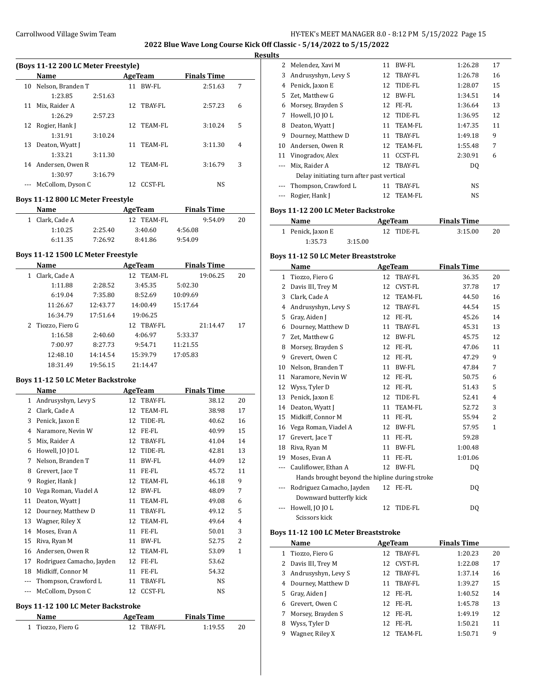**2022 Blue Wave Long Course Kick Off Classic - 5/14/2022 to 5/15/2022**

#### **Results**

 $\frac{1}{2}$ 

|    | (Boys 11-12 200 LC Meter Freestyle) |         |     |            |                    |   |  |  |  |
|----|-------------------------------------|---------|-----|------------|--------------------|---|--|--|--|
|    | <b>Name</b>                         |         |     | AgeTeam    | <b>Finals Time</b> |   |  |  |  |
| 10 | Nelson, Branden T                   |         | 11  | BW-FL      | 2:51.63            | 7 |  |  |  |
|    | 1:23.85                             | 2:51.63 |     |            |                    |   |  |  |  |
| 11 | Mix, Raider A                       |         | 12. | TBAY-FL    | 2:57.23            | 6 |  |  |  |
|    | 1:26.29                             | 2:57.23 |     |            |                    |   |  |  |  |
|    | 12 Rogier, Hank J                   |         |     | 12 TEAM-FL | 3:10.24            | 5 |  |  |  |
|    | 1:31.91                             | 3:10.24 |     |            |                    |   |  |  |  |
| 13 | Deaton, Wyatt J                     |         | 11  | TEAM-FL    | 3:11.30            | 4 |  |  |  |
|    | 1:33.21                             | 3:11.30 |     |            |                    |   |  |  |  |
| 14 | Andersen, Owen R                    |         | 12. | TEAM-FL    | 3:16.79            | 3 |  |  |  |
|    | 1:30.97                             | 3:16.79 |     |            |                    |   |  |  |  |
|    | McCollom, Dyson C                   |         | 12. | CCST-FL    | <b>NS</b>          |   |  |  |  |

#### **Boys 11-12 800 LC Meter Freestyle**

| Name |                 |         | AgeTeam |            |         | <b>Finals Time</b> |    |
|------|-----------------|---------|---------|------------|---------|--------------------|----|
|      | 1 Clark, Cade A |         |         | 12 TEAM-FL |         | 9.54.09            | 20 |
|      | 1:10.25         | 2:25.40 |         | 3:40.60    | 4:56.08 |                    |    |
|      | 6:11.35         | 7:26.92 |         | 8:41.86    | 9:54.09 |                    |    |

## **Boys 11-12 1500 LC Meter Freestyle**

|   | Name              |          | AgeTeam    | <b>Finals Time</b> |    |
|---|-------------------|----------|------------|--------------------|----|
| 1 | Clark, Cade A     |          | 12 TEAM-FL | 19:06.25           | 20 |
|   | 1:11.88           | 2:28.52  | 3:45.35    | 5:02.30            |    |
|   | 6:19.04           | 7:35.80  | 8:52.69    | 10:09.69           |    |
|   | 11:26.67          | 12:43.77 | 14:00.49   | 15:17.64           |    |
|   | 16:34.79          | 17:51.64 | 19:06.25   |                    |    |
|   | 2 Tiozzo, Fiero G |          | 12 TBAY-FL | 21:14.47           | 17 |
|   | 1:16.58           | 2:40.60  | 4:06.97    | 5:33.37            |    |
|   | 7:00.97           | 8:27.73  | 9:54.71    | 11:21.55           |    |
|   | 12:48.10          | 14:14.54 | 15:39.79   | 17:05.83           |    |
|   | 18:31.49          | 19:56.15 | 21:14.47   |                    |    |

# **Boys 11-12 50 LC Meter Backstroke**

 $\overline{\phantom{a}}$ 

|     | Name                      |    | AgeTeam        | <b>Finals Time</b> |              |
|-----|---------------------------|----|----------------|--------------------|--------------|
| 1   | Andrusyshyn, Levy S       | 12 | TBAY-FL        | 38.12              | 20           |
| 2   | Clark, Cade A             | 12 | TEAM-FL        | 38.98              | 17           |
| 3   | Penick, Jaxon E           | 12 | TIDE-FL        | 40.62              | 16           |
| 4   | Naramore, Nevin W         | 12 | FE-FL          | 40.99              | 15           |
| 5   | Mix, Raider A             | 12 | TBAY-FL        | 41.04              | 14           |
| 6   | Howell, JO JO L           | 12 | TIDE-FL        | 42.81              | 13           |
| 7   | Nelson, Branden T         | 11 | <b>BW-FL</b>   | 44.09              | 12           |
| 8   | Grevert, Jace T           | 11 | FE-FL          | 45.72              | 11           |
| 9   | Rogier, Hank J            | 12 | TEAM-FL        | 46.18              | 9            |
| 10  | Vega Roman, Viadel A      | 12 | <b>BW-FL</b>   | 48.09              | 7            |
| 11  | Deaton, Wyatt J           | 11 | TEAM-FL        | 49.08              | 6            |
| 12  | Dourney, Matthew D        | 11 | TBAY-FL        | 49.12              | 5            |
| 13  | Wagner, Riley X           | 12 | TEAM-FL        | 49.64              | 4            |
| 14  | Moses, Evan A             | 11 | FE-FL          | 50.01              | 3            |
| 15  | Riva, Ryan M              | 11 | BW-FL          | 52.75              | 2            |
| 16  | Andersen, Owen R          | 12 | TEAM-FL        | 53.09              | $\mathbf{1}$ |
| 17  | Rodriguez Camacho, Jayden | 12 | FE-FL          | 53.62              |              |
| 18  | Midkiff, Connor M         | 11 | FE-FL          | 54.32              |              |
|     | Thompson, Crawford L      | 11 | TBAY-FL        | NS.                |              |
| --- | McCollom, Dyson C         | 12 | <b>CCST-FL</b> | <b>NS</b>          |              |

### **Boys 11-12 100 LC Meter Backstroke**

| Name              | AgeTeam    | <b>Finals Time</b> |    |
|-------------------|------------|--------------------|----|
| 1 Tiozzo, Fiero G | 12 TRAY-FL | 1:19.55            | 20 |

|    | 2 Melendez, Xavi M                        | 11 | BW-FL      | 1:26.28   | 17 |
|----|-------------------------------------------|----|------------|-----------|----|
| 3  | Andrusyshyn, Levy S                       | 12 | TBAY-FL    | 1:26.78   | 16 |
| 4  | Penick, Jaxon E                           | 12 | TIDE-FL    | 1:28.07   | 15 |
| 5. | Zet, Matthew G                            | 12 | BW-FL      | 1:34.51   | 14 |
| 6  | Morsey, Brayden S                         | 12 | FE-FL      | 1:36.64   | 13 |
| 7  | Howell, JO JO L                           | 12 | TIDE-FL    | 1:36.95   | 12 |
| 8  | Deaton, Wyatt J                           |    | 11 TEAM-FL | 1:47.35   | 11 |
| 9  | Dourney, Matthew D                        | 11 | TBAY-FL    | 1:49.18   | 9  |
| 10 | Andersen, Owen R                          |    | 12 TEAM-FL | 1:55.48   | 7  |
| 11 | Vinogradov, Alex                          | 11 | CCST-FL    | 2:30.91   | 6  |
|    | Mix, Raider A                             | 12 | TBAY-FL    | DO.       |    |
|    | Delay initiating turn after past vertical |    |            |           |    |
|    | Thompson, Crawford L                      | 11 | TBAY-FL    | <b>NS</b> |    |
|    | Rogier, Hank J                            | 12 | TEAM-FL    | <b>NS</b> |    |

## **Boys 11-12 200 LC Meter Backstroke**

| Name              |         | AgeTeam    | <b>Finals Time</b> |    |
|-------------------|---------|------------|--------------------|----|
| 1 Penick, Jaxon E |         | 12 TIDE-FL | 3:15.00            | 20 |
| 1:35.73           | 3:15.00 |            |                    |    |

#### **Boys 11-12 50 LC Meter Breaststroke**

|     | Name                                           |    | <b>AgeTeam</b> | <b>Finals Time</b> |                |
|-----|------------------------------------------------|----|----------------|--------------------|----------------|
| 1   | Tiozzo, Fiero G                                | 12 | <b>TBAY-FL</b> | 36.35              | 20             |
| 2   | Davis III, Trey M                              | 12 | <b>CVST-FL</b> | 37.78              | 17             |
| 3   | Clark, Cade A                                  | 12 | <b>TEAM-FL</b> | 44.50              | 16             |
| 4   | Andrusyshyn, Levy S                            | 12 | TBAY-FL        | 44.54              | 15             |
| 5   | Gray, Aiden J                                  | 12 | FE-FL          | 45.26              | 14             |
| 6   | Dourney, Matthew D                             | 11 | TBAY-FL        | 45.31              | 13             |
| 7   | Zet, Matthew G                                 | 12 | BW-FL          | 45.75              | 12             |
| 8   | Morsey, Brayden S                              | 12 | FE-FL          | 47.06              | 11             |
| 9   | Grevert, Owen C                                | 12 | FE-FL          | 47.29              | 9              |
| 10  | Nelson, Branden T                              | 11 | <b>BW-FL</b>   | 47.84              | 7              |
| 11  | Naramore, Nevin W                              | 12 | FE-FL          | 50.75              | 6              |
| 12  | Wyss, Tyler D                                  | 12 | FE-FL          | 51.43              | 5              |
| 13  | Penick, Jaxon E                                | 12 | TIDE-FL        | 52.41              | $\overline{4}$ |
| 14  | Deaton, Wyatt J                                | 11 | <b>TEAM-FL</b> | 52.72              | 3              |
| 15  | Midkiff, Connor M                              | 11 | FE-FL          | 55.94              | $\overline{2}$ |
| 16  | Vega Roman, Viadel A                           | 12 | BW-FL          | 57.95              | $\mathbf{1}$   |
| 17  | Grevert, Jace T                                | 11 | FE-FL          | 59.28              |                |
| 18  | Riva, Ryan M                                   | 11 | <b>BW-FL</b>   | 1:00.48            |                |
| 19  | Moses, Evan A                                  | 11 | FE-FL          | 1:01.06            |                |
| --- | Cauliflower, Ethan A                           | 12 | BW-FL          | DO.                |                |
|     | Hands brought beyond the hipline during stroke |    |                |                    |                |
|     | Rodriguez Camacho, Jayden                      |    | 12 FE-FL       | DQ                 |                |
|     | Downward butterfly kick                        |    |                |                    |                |
|     | Howell, JO JO L                                | 12 | TIDE-FL        | DQ                 |                |
|     | Scissors kick                                  |    |                |                    |                |

# **Boys 11-12 100 LC Meter Breaststroke**

|   | Name                  |     | AgeTeam | <b>Finals Time</b> |    |  |
|---|-----------------------|-----|---------|--------------------|----|--|
|   | 1 Tiozzo, Fiero G     | 12  | TBAY-FL | 1:20.23            | 20 |  |
|   | 2 Davis III, Trey M   | 12. | CVST-FL | 1:22.08            | 17 |  |
|   | 3 Andrusyshyn, Levy S | 12  | TBAY-FL | 1:37.14            | 16 |  |
|   | 4 Dourney, Matthew D  | 11  | TBAY-FL | 1:39.27            | 15 |  |
|   | 5 Gray, Aiden J       | 12. | FE-FL   | 1:40.52            | 14 |  |
| 6 | Grevert, Owen C       | 12. | FE-FL   | 1:45.78            | 13 |  |
| 7 | Morsey, Brayden S     | 12  | FE-FL   | 1:49.19            | 12 |  |
| 8 | Wyss, Tyler D         | 12  | FE-FL   | 1:50.21            | 11 |  |
| 9 | Wagner, Riley X       |     | TEAM-FL | 1:50.71            | 9  |  |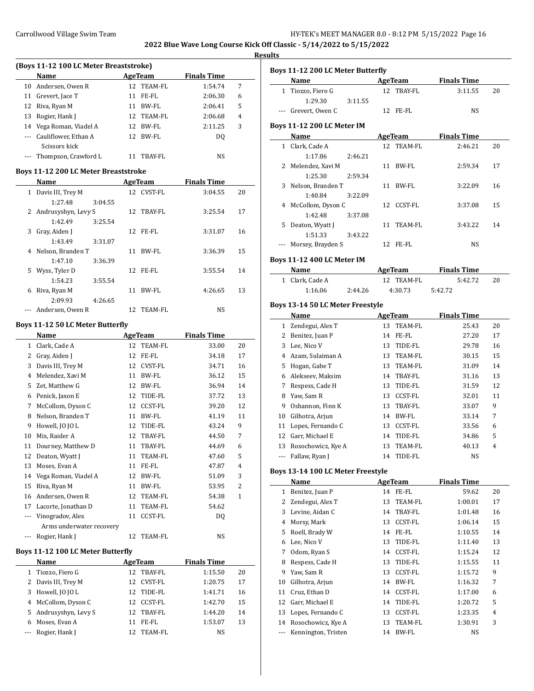# **Results**

| (Boys 11-12 100 LC Meter Breaststroke) |                                           |    |            |                    |   |  |  |
|----------------------------------------|-------------------------------------------|----|------------|--------------------|---|--|--|
|                                        | Name                                      |    | AgeTeam    | <b>Finals Time</b> |   |  |  |
|                                        | 10 Andersen, Owen R                       |    | 12 TEAM-FL | 1:54.74            | 7 |  |  |
| 11                                     | Grevert, Jace T                           | 11 | FE-FL      | 2:06.30            | 6 |  |  |
|                                        | 12 Riva, Ryan M                           | 11 | BW-FL      | 2:06.41            | 5 |  |  |
| 13                                     | Rogier, Hank J                            |    | 12 TEAM-FL | 2:06.68            | 4 |  |  |
|                                        | 14 Vega Roman, Viadel A                   |    | 12 BW-FL   | 2:11.25            | 3 |  |  |
|                                        | --- Cauliflower, Ethan A<br>Scissors kick |    | 12 BW-FL   | DO.                |   |  |  |
|                                        | --- Thompson, Crawford L                  | 11 | TBAY-FL    | NS                 |   |  |  |

## **Boys 11-12 200 LC Meter Breaststroke**

|              | <b>Name</b>           |         |    | AgeTeam    | <b>Finals Time</b> |    |
|--------------|-----------------------|---------|----|------------|--------------------|----|
| $\mathbf{1}$ | Davis III, Trey M     |         |    | 12 CVST-FL | 3:04.55            | 20 |
|              | 1:27.48               | 3:04.55 |    |            |                    |    |
|              | 2 Andrusyshyn, Levy S |         |    | 12 TBAY-FL | 3:25.54            | 17 |
|              | 1:42.49               | 3:25.54 |    |            |                    |    |
| 3            | Gray, Aiden J         |         |    | 12 FE-FL   | 3:31.07            | 16 |
|              | 1:43.49               | 3:31.07 |    |            |                    |    |
| 4            | Nelson, Branden T     |         | 11 | BW-FL      | 3:36.39            | 15 |
|              | 1:47.10               | 3:36.39 |    |            |                    |    |
|              | 5 Wyss, Tyler D       |         |    | 12 FE-FL   | 3:55.54            | 14 |
|              | 1:54.23               | 3:55.54 |    |            |                    |    |
| 6            | Riva, Ryan M          |         | 11 | BW-FL      | 4:26.65            | 13 |
|              | 2:09.93               | 4:26.65 |    |            |                    |    |
|              | Andersen, Owen R      |         | 12 | TEAM-FL    | NS                 |    |

### **Boys 11-12 50 LC Meter Butterfly**

|                | Name                     |    | <b>AgeTeam</b> | <b>Finals Time</b> |                |
|----------------|--------------------------|----|----------------|--------------------|----------------|
| 1              | Clark, Cade A            | 12 | <b>TEAM-FL</b> | 33.00              | 20             |
| 2              | Gray, Aiden J            | 12 | FE-FL          | 34.18              | 17             |
| 3              | Davis III, Trey M        | 12 | <b>CVST-FL</b> | 34.71              | 16             |
| $\overline{4}$ | Melendez, Xavi M         | 11 | BW-FL          | 36.12              | 15             |
| 5              | Zet, Matthew G           | 12 | BW-FL          | 36.94              | 14             |
| 6              | Penick, Jaxon E          | 12 | TIDE-FL        | 37.72              | 13             |
| 7              | McCollom, Dyson C        | 12 | <b>CCST-FL</b> | 39.20              | 12             |
| 8              | Nelson, Branden T        | 11 | BW-FL          | 41.19              | 11             |
| 9              | Howell, JO JO L          | 12 | TIDE-FL        | 43.24              | 9              |
| 10             | Mix, Raider A            | 12 | TBAY-FL        | 44.50              | 7              |
| 11             | Dourney, Matthew D       | 11 | TBAY-FL        | 44.69              | 6              |
| 12             | Deaton, Wyatt J          | 11 | TEAM-FL        | 47.60              | 5              |
| 13             | Moses, Evan A            | 11 | FE-FL          | 47.87              | 4              |
| 14             | Vega Roman, Viadel A     | 12 | BW-FL          | 51.09              | 3              |
| 15             | Riva, Ryan M             | 11 | BW-FL          | 53.95              | $\overline{c}$ |
| 16             | Andersen, Owen R         | 12 | TEAM-FL        | 54.38              | $\mathbf{1}$   |
| 17             | Lacorte, Jonathan D      | 11 | <b>TEAM-FL</b> | 54.62              |                |
| $\cdots$       | Vinogradov, Alex         | 11 | <b>CCST-FL</b> | DQ                 |                |
|                | Arms underwater recovery |    |                |                    |                |
|                | Rogier, Hank J           | 12 | TEAM-FL        | NS                 |                |
|                |                          |    |                |                    |                |

## **Boys 11-12 100 LC Meter Butterfly**

| Name                  |     | AgeTeam    | <b>Finals Time</b> |    |
|-----------------------|-----|------------|--------------------|----|
| 1 Tiozzo, Fiero G     | 12. | TBAY-FL    | 1:15.50            | 20 |
| 2 Davis III, Trey M   | 12. | CVST-FL    | 1:20.75            | 17 |
| 3 Howell, [O [O L     |     | 12 TIDE-FL | 1:41.71            | 16 |
| 4 McCollom, Dyson C   | 12. | CCST-FL    | 1:42.70            | 15 |
| 5 Andrusyshyn, Levy S |     | 12 TBAY-FL | 1:44.20            | 14 |
| 6 Moses, Evan A       | 11  | FE-FL      | 1:53.07            | 13 |
| --- Rogier, Hank J    | 12. | TEAM-FL    | NS                 |    |

|              | Boys 11-12 200 LC Meter Butterfly |         |    |                |                    |    |
|--------------|-----------------------------------|---------|----|----------------|--------------------|----|
|              | Name                              |         |    | <b>AgeTeam</b> | <b>Finals Time</b> |    |
| $\mathbf{1}$ | Tiozzo, Fiero G                   |         |    | 12 TBAY-FL     | 3:11.55            | 20 |
|              | 1:29.30                           | 3:11.55 |    |                |                    |    |
|              | --- Grevert, Owen C               |         |    | 12 FE-FL       | NS                 |    |
|              |                                   |         |    |                |                    |    |
|              | <b>Boys 11-12 200 LC Meter IM</b> |         |    |                |                    |    |
|              | Name                              |         |    | <b>AgeTeam</b> | <b>Finals Time</b> |    |
|              | 1 Clark, Cade A                   |         |    | 12 TEAM-FL     | 2:46.21            | 20 |
|              | 1:17.86                           | 2:46.21 |    |                |                    |    |
|              | 2 Melendez, Xavi M                |         | 11 | BW-FL          | 2:59.34            | 17 |
|              | 1:25.30                           | 2:59.34 |    |                |                    |    |
| 3            | Nelson, Branden T<br>1:40.84      | 3:22.09 | 11 | BW-FL          | 3:22.09            | 16 |
|              |                                   |         |    |                |                    |    |
|              | 4 McCollom, Dyson C<br>1:42.48    |         |    | 12 CCST-FL     | 3:37.08            | 15 |
|              |                                   | 3:37.08 |    |                |                    |    |
| 5            | Deaton, Wyatt J<br>1:51.33        | 3:43.22 | 11 | TEAM-FL        | 3:43.22            | 14 |
|              | --- Morsey, Brayden S             |         |    | 12 FE-FL       | NS                 |    |
|              |                                   |         |    |                |                    |    |
|              | <b>Boys 11-12 400 LC Meter IM</b> |         |    |                |                    |    |
|              | Name                              |         |    | <b>AgeTeam</b> | <b>Finals Time</b> |    |
|              | 1 Clark, Cade A                   |         |    | 12 TEAM-FL     | 5:42.72            | 20 |
|              | 1:16.06                           | 2:44.26 |    | 4:30.73        | 5:42.72            |    |
|              | Boys 13-14 50 LC Meter Freestyle  |         |    |                |                    |    |
|              |                                   |         |    | <b>AgeTeam</b> | <b>Finals Time</b> |    |
|              | Name                              |         |    |                |                    |    |
|              | 1 Zendegui, Alex T                |         |    | 13 TEAM-FL     | 25.43              | 20 |
|              | 2 Benitez, Juan P                 |         |    | 14 FE-FL       | 27.20              | 17 |
|              | 3 Lee, Nico V                     |         |    | 13 TIDE-FL     | 29.78              | 16 |
|              | 4 Azam, Sulaiman A                |         |    | 13 TEAM-FL     | 30.15              | 15 |
|              | 5 Hogan, Gabe T                   |         |    | 13 TEAM-FL     | 31.09              | 14 |
|              | 6 Alekseev, Maksim                |         |    | 14 TBAY-FL     | 31.16              | 13 |
|              | 7 Respess, Cade H                 |         |    | 13 TIDE-FL     | 31.59              | 12 |
|              | 8 Yaw, Sam R                      |         |    | 13 CCST-FL     | 32.01              | 11 |
|              | 9 Oshannon, Finn K                |         |    | 13 TBAY-FL     | 33.07              | 9  |
|              | 10 Gilhotra, Arjun                |         |    | 14 BW-FL       | 33.14              | 7  |
|              | 11 Lopes, Fernando C              |         |    | 13 CCST-FL     | 33.56              | 6  |
|              | 12 Garr, Michael E                |         |    | 14 TIDE-FL     | 34.86              | 5  |
| 13           | Rosochowicz, Kye A                |         |    | 13 TEAM-FL     | 40.13              | 4  |
| ---          | Fallaw, Ryan J                    |         | 14 | TIDE-FL        | NS                 |    |
|              | Boys 13-14 100 LC Meter Freestyle |         |    |                |                    |    |
|              | Name                              |         |    | AgeTeam        | <b>Finals Time</b> |    |
| $\mathbf{1}$ | Benitez, Juan P                   |         |    | 14 FE-FL       | 59.62              | 20 |
|              | 2 Zendegui, Alex T                |         | 13 | TEAM-FL        | 1:00.01            | 17 |
|              | 3 Levine, Aidan C                 |         | 14 | TBAY-FL        | 1:01.48            | 16 |
|              | 4 Morsy, Mark                     |         | 13 | <b>CCST-FL</b> | 1:06.14            | 15 |
| 5            | Roell, Brady W                    |         | 14 | FE-FL          | 1:10.55            | 14 |
| 6            | Lee, Nico V                       |         | 13 | TIDE-FL        | 1:11.40            | 13 |
| 7            | Odom, Ryan S                      |         | 14 | CCST-FL        | 1:15.24            | 12 |
| 8            | Respess, Cade H                   |         | 13 | TIDE-FL        | 1:15.55            | 11 |
| 9            |                                   |         | 13 |                |                    | 9  |
|              | Yaw, Sam R                        |         |    | CCST-FL        | 1:15.72            |    |
| 10           | Gilhotra, Arjun                   |         | 14 | BW-FL          | 1:16.32            | 7  |
| 11           | Cruz, Ethan D                     |         | 14 | CCST-FL        | 1:17.00            | 6  |
| 12           | Garr, Michael E                   |         | 14 | TIDE-FL        | 1:20.72            | 5  |
| 13           | Lopes, Fernando C                 |         | 13 | CCST-FL        | 1:23.35            | 4  |
| 14           | Rosochowicz, Kye A                |         | 13 | TEAM-FL        | 1:30.91            | 3  |

--- Kennington, Tristen 14 BW-FL NS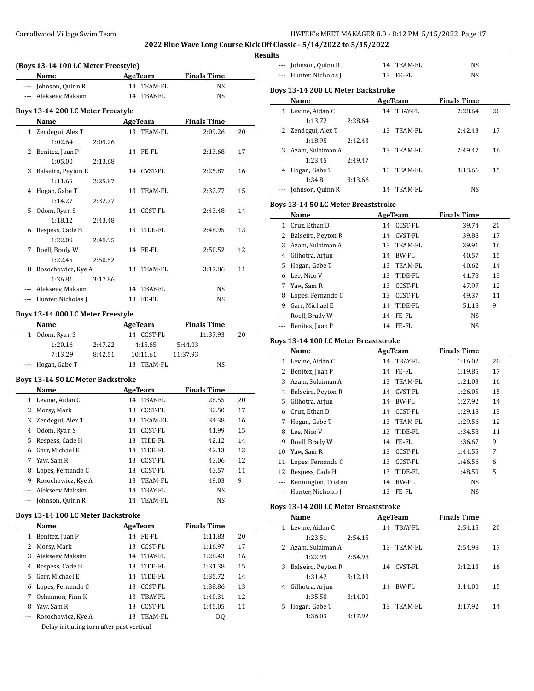$\overline{a}$ 

 $\overline{\phantom{a}}$ 

 $\overline{\phantom{a}}$ 

#### **Result**

|                      | (Boys 13-14 100 LC Meter Freestyle)      |    |                    |                    |    |
|----------------------|------------------------------------------|----|--------------------|--------------------|----|
|                      | Name                                     |    | <b>AgeTeam</b>     | <b>Finals Time</b> |    |
|                      | --- Johnson, Quinn R                     |    | 14 TEAM-FL         | NS                 |    |
|                      | --- Alekseev, Maksim                     |    | 14 TBAY-FL         | NS                 |    |
|                      |                                          |    |                    |                    |    |
|                      | Boys 13-14 200 LC Meter Freestyle        |    |                    |                    |    |
|                      | Name                                     |    | <b>AgeTeam</b>     | <b>Finals Time</b> |    |
| $\mathbf{1}$         | Zendegui, Alex T                         | 13 | TEAM-FL            | 2:09.26            | 20 |
|                      | 1:02.64<br>2:09.26                       |    |                    |                    |    |
| 2                    | Benitez, Juan P                          | 14 | FE-FL              | 2:13.68            | 17 |
|                      | 1:05.00<br>2:13.68                       |    |                    |                    |    |
| 3                    | Balseiro, Peyton R                       |    | 14 CVST-FL         | 2:25.87            | 16 |
|                      | 1:11.65<br>2:25.87                       |    |                    |                    |    |
| 4                    | Hogan, Gabe T                            | 13 | TEAM-FL            | 2:32.77            | 15 |
|                      | 1:14.27<br>2:32.77                       |    |                    |                    |    |
| 5                    | Odom, Ryan S                             | 14 | CCST-FL            | 2:43.48            | 14 |
|                      | 1:18.12<br>2:43.48                       |    |                    |                    |    |
| 6                    | Respess, Cade H                          | 13 | TIDE-FL            | 2:48.95            | 13 |
|                      | 1:22.09<br>2:48.95                       |    |                    |                    |    |
| 7                    | Roell, Brady W                           | 14 | FE-FL              | 2:50.52            | 12 |
|                      | 1:22.45<br>2:50.52                       |    |                    |                    |    |
| 8                    | Rosochowicz, Kye A                       | 13 | TEAM-FL            | 3:17.86            | 11 |
|                      | 1:36.81<br>3:17.86                       |    |                    |                    |    |
| ---                  | Alekseev, Maksim                         |    | 14 TBAY-FL         | NS                 |    |
|                      | --- Hunter, Nicholas J                   | 13 | FE-FL              | NS                 |    |
|                      | Boys 13-14 800 LC Meter Freestyle        |    |                    |                    |    |
|                      | Name                                     |    | <b>AgeTeam</b>     | <b>Finals Time</b> |    |
| 1                    | Odom, Ryan S                             |    | 14 CCST-FL         | 11:37.93           | 20 |
|                      | 1:20.16<br>2:47.22                       |    | 4:15.65            | 5:44.03            |    |
|                      | 7:13.29<br>8:42.51                       |    | 10:11.61           | 11:37.93           |    |
| $\cdots$             | Hogan, Gabe T                            |    | 13 TEAM-FL         | NS                 |    |
|                      |                                          |    |                    |                    |    |
|                      | <b>Boys 13-14 50 LC Meter Backstroke</b> |    |                    |                    |    |
|                      | Name                                     |    | <b>AgeTeam</b>     | <b>Finals Time</b> |    |
|                      | 1 Levine, Aidan C                        |    | 14 TBAY-FL         | 28.55              | 20 |
|                      | 2 Morsy, Mark                            |    | 13 CCST-FL         | 32.50              | 17 |
|                      | 3 Zendegui, Alex T                       |    | 13 TEAM-FL         | 34.38              | 16 |
|                      | 4 Odom, Ryan S                           |    | 14 CCST-FL         | 41.99              | 15 |
| 5                    | Respess, Cade H                          | 13 | TIDE-FL            | 42.12              | 14 |
| 6                    | Garr, Michael E                          | 14 | TIDE-FL            | 42.13              | 13 |
| 7                    | Yaw, Sam R                               | 13 | CCST-FL            | 43.06              | 12 |
| 8                    | Lopes, Fernando C                        | 13 | CCST-FL            | 43.57              | 11 |
| 9                    | Rosochowicz, Kye A                       | 13 | TEAM-FL            | 49.03              | 9  |
| ---                  | Alekseev, Maksim                         | 14 | TBAY-FL            | NS                 |    |
| $\scriptstyle\cdots$ | Johnson, Quinn R                         | 14 | TEAM-FL            | NS                 |    |
|                      | Boys 13-14 100 LC Meter Backstroke       |    |                    |                    |    |
|                      | Name                                     |    | <b>AgeTeam</b>     | <b>Finals Time</b> |    |
| $\mathbf{1}$         | Benitez, Juan P                          | 14 | FE-FL              | 1:11.83            | 20 |
| $\overline{2}$       | Morsy, Mark                              | 13 | CCST-FL            | 1:16.97            | 17 |
| 3                    | Alekseev, Maksim                         | 14 | TBAY-FL            | 1:26.43            | 16 |
| 4                    | Respess, Cade H                          | 13 | TIDE-FL            |                    | 15 |
| 5                    | Garr, Michael E                          | 14 |                    | 1:31.38            | 14 |
|                      | Lopes, Fernando C                        | 13 | TIDE-FL<br>CCST-FL | 1:35.72            | 13 |
| 6                    | 7 Oshannon, Finn K                       |    | 13 TBAY-FL         | 1:38.86<br>1:40.31 | 12 |
|                      |                                          |    |                    |                    |    |

--- Rosochowicz, Kye A 13 TEAM-FL DQ Delay initiating turn after past vertical

8 Yaw, Sam R 13 CCST-FL 1:45.05 11

| lts            |                                             |         |    |                |                    |    |
|----------------|---------------------------------------------|---------|----|----------------|--------------------|----|
| ---            | Johnson, Quinn R                            |         | 14 | <b>TEAM-FL</b> | <b>NS</b>          |    |
| $\overline{a}$ | Hunter, Nicholas J                          |         | 13 | FE-FL          | NS                 |    |
|                | <b>Boys 13-14 200 LC Meter Backstroke</b>   |         |    |                |                    |    |
|                | Name                                        |         |    | AgeTeam        | <b>Finals Time</b> |    |
|                | 1 Levine, Aidan C                           |         |    | 14 TBAY-FL     | 2:28.64            | 20 |
|                | 1:13.72                                     | 2:28.64 |    |                |                    |    |
| 2              | Zendegui, Alex T                            |         | 13 | TEAM-FL        | 2:42.43            | 17 |
|                | 1:18.95                                     | 2:42.43 |    |                |                    |    |
| 3              | Azam, Sulaiman A                            |         | 13 | TEAM-FL        | 2:49.47            | 16 |
|                | 1:23.45                                     | 2:49.47 |    |                |                    |    |
| 4              | Hogan, Gabe T                               |         | 13 | <b>TEAM-FL</b> | 3:13.66            | 15 |
|                | 1:34.81                                     | 3:13.66 |    |                |                    |    |
|                | Johnson, Quinn R                            |         |    | 14 TEAM-FL     | <b>NS</b>          |    |
|                | <b>Boys 13-14 50 LC Meter Breaststroke</b>  |         |    |                |                    |    |
|                | Name                                        |         |    | <b>AgeTeam</b> | <b>Finals Time</b> |    |
|                |                                             |         |    |                |                    |    |
| $\mathbf{1}$   | Cruz, Ethan D                               |         |    | 14 CCST-FL     | 39.74              | 20 |
| 2              | Balseiro, Peyton R                          |         |    | 14 CVST-FL     | 39.88              | 17 |
| 3              | Azam, Sulaiman A                            |         | 13 | <b>TEAM-FL</b> | 39.91              | 16 |
| 4              | Gilhotra, Arjun                             |         |    | 14 BW-FL       | 40.57              | 15 |
| 5              | Hogan, Gabe T                               |         |    | 13 TEAM-FL     | 40.62              | 14 |
| 6              | Lee, Nico V                                 |         | 13 | TIDE-FL        | 41.78              | 13 |
| 7              | Yaw, Sam R                                  |         | 13 | <b>CCST-FL</b> | 47.97              | 12 |
| 8              | Lopes, Fernando C                           |         | 13 | <b>CCST-FL</b> | 49.37              | 11 |
| 9              | Garr, Michael E                             |         | 14 | TIDE-FL        | 51.18              | 9  |
| $\overline{a}$ | Roell, Brady W                              |         | 14 | FE-FL          | NS                 |    |
| ---            | Benitez, Juan P                             |         |    | 14 FE-FL       | <b>NS</b>          |    |
|                | <b>Boys 13-14 100 LC Meter Breaststroke</b> |         |    |                |                    |    |
|                | Name                                        |         |    | <b>AgeTeam</b> | <b>Finals Time</b> |    |
| 1              | Levine, Aidan C                             |         | 14 | TBAY-FL        | 1:16.02            | 20 |
| $\overline{2}$ | Benitez, Juan P                             |         | 14 | FE-FL          | 1:19.85            | 17 |
| 3              | Azam. Sulaiman A                            |         | 13 | <b>TEAM-FL</b> | 1:21.03            | 16 |

# **Boys 13-14 200 LC Meter Breaststroke**

| Name                    | AgeTeam |    |         | <b>Finals Time</b> |    |  |
|-------------------------|---------|----|---------|--------------------|----|--|
| Levine, Aidan C<br>1    |         | 14 | TBAY-FL | 2:54.15            | 20 |  |
| 1:23.51                 | 2:54.15 |    |         |                    |    |  |
| 2 Azam, Sulaiman A      |         | 13 | TEAM-FL | 2:54.98            | 17 |  |
| 1:22.99                 | 2:54.98 |    |         |                    |    |  |
| Balseiro, Peyton R<br>3 |         | 14 | CVST-FL | 3:12.13            | 16 |  |
| 1:31.42                 | 3:12.13 |    |         |                    |    |  |
| Gilhotra, Arjun<br>4    |         | 14 | BW-FL   | 3:14.00            | 15 |  |
| 1:35.50                 | 3:14.00 |    |         |                    |    |  |
| Hogan, Gabe T<br>5      |         | 13 | TEAM-FL | 3:17.92            | 14 |  |
| 1:36.03                 | 3:17.92 |    |         |                    |    |  |

4 Balseiro, Peyton R 14 CVST-FL 1:26.05 15 5 Gilhotra, Arjun 14 BW-FL 1:27.92 14 6 Cruz, Ethan D 14 CCST-FL 1:29.18 13 7 Hogan, Gabe T 13 TEAM-FL 1:29.56 12 8 Lee, Nico V 13 TIDE-FL 1:34.58 11 9 Roell, Brady W 14 FE-FL 1:36.67 9 10 Yaw, Sam R 13 CCST-FL 1:44.55 7 11 Lopes, Fernando C 13 CCST-FL 1:46.56 6 12 Respess, Cade H 13 TIDE-FL 1:48.59 5 --- Kennington, Tristen 14 BW-FL NS --- Hunter, Nicholas J 13 FE-FL NS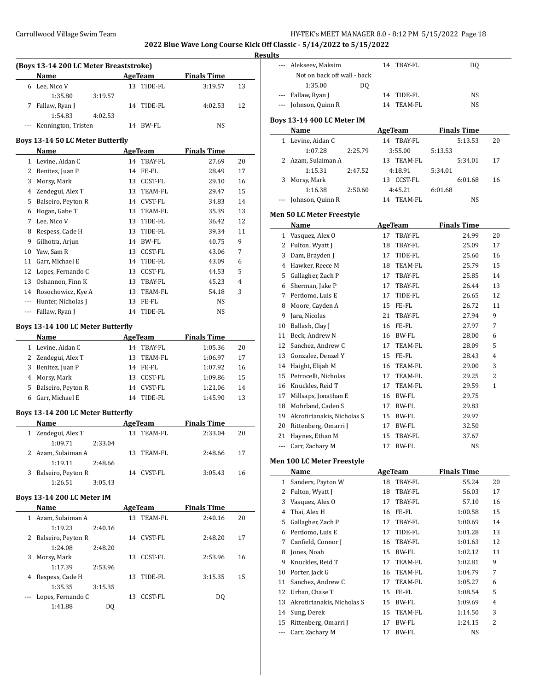### **Results**

|   | <b>Name</b>             |         | AgeTeam    | <b>Finals Time</b> |    |
|---|-------------------------|---------|------------|--------------------|----|
| 6 | Lee, Nico V             |         | 13 TIDE-FL | 3:19.57            | 13 |
|   | 1:35.80                 | 3:19.57 |            |                    |    |
| 7 | Fallaw, Ryan J          |         | 14 TIDE-FL | 4:02.53            | 12 |
|   | 1:54.83                 | 4:02.53 |            |                    |    |
|   | --- Kennington, Tristen |         | 14 BW-FL   | NS                 |    |

#### **Boys 13-14 50 LC Meter Butterfly**

|          | Name               |    | AgeTeam        | <b>Finals Time</b> |    |
|----------|--------------------|----|----------------|--------------------|----|
| 1        | Levine, Aidan C    | 14 | TBAY-FL        | 27.69              | 20 |
| 2        | Benitez, Juan P    | 14 | FE-FL          | 28.49              | 17 |
| 3        | Morsy, Mark        | 13 | <b>CCST-FL</b> | 29.10              | 16 |
| 4        | Zendegui, Alex T   | 13 | TEAM-FL        | 29.47              | 15 |
| 5        | Balseiro, Peyton R | 14 | <b>CVST-FL</b> | 34.83              | 14 |
| 6        | Hogan, Gabe T      | 13 | TEAM-FL        | 35.39              | 13 |
| 7        | Lee, Nico V        | 13 | TIDE-FL        | 36.42              | 12 |
| 8        | Respess, Cade H    | 13 | TIDE-FL        | 39.34              | 11 |
| 9        | Gilhotra, Arjun    | 14 | BW-FL          | 40.75              | 9  |
| 10       | Yaw, Sam R         | 13 | <b>CCST-FL</b> | 43.06              | 7  |
| 11       | Garr, Michael E    | 14 | TIDE-FL        | 43.09              | 6  |
| 12       | Lopes, Fernando C  | 13 | <b>CCST-FL</b> | 44.53              | 5  |
| 13       | Oshannon, Finn K   | 13 | TBAY-FL        | 45.23              | 4  |
| 14       | Rosochowicz, Kye A | 13 | TEAM-FL        | 54.18              | 3  |
| $\cdots$ | Hunter, Nicholas J | 13 | FE-FL          | NS                 |    |
|          | Fallaw, Ryan J     | 14 | TIDE-FL        | NS                 |    |

## **Boys 13-14 100 LC Meter Butterfly**

| <b>Name</b>          |     | AgeTeam    | <b>Finals Time</b> |    |
|----------------------|-----|------------|--------------------|----|
| 1 Levine, Aidan C    | 14  | TBAY-FL    | 1:05.36            | 20 |
| 2 Zendegui, Alex T   | 13. | TEAM-FL    | 1:06.97            | 17 |
| 3 Benitez, Juan P    | 14  | FE-FL      | 1:07.92            | 16 |
| 4 Morsy, Mark        |     | 13 CCST-FL | 1:09.86            | 15 |
| 5 Balseiro, Peyton R | 14  | CVST-FL    | 1:21.06            | 14 |
| 6 Garr, Michael E    | 14  | TIDE-FL    | 1:45.90            | 13 |

## **Boys 13-14 200 LC Meter Butterfly**

| Name                 |         |     | AgeTeam    | <b>Finals Time</b> |    |
|----------------------|---------|-----|------------|--------------------|----|
| 1 Zendegui, Alex T   |         | 13. | TEAM-FL    | 2:33.04            | 20 |
| 1:09.71              | 2:33.04 |     |            |                    |    |
| 2 Azam, Sulaiman A   |         |     | 13 TEAM-FL | 2:48.66            | 17 |
| 1:19.11              | 2:48.66 |     |            |                    |    |
| 3 Balseiro, Peyton R |         |     | 14 CVST-FL | 3:05.43            | 16 |
| 1:26.51              | 3:05.43 |     |            |                    |    |

#### **Boys 13-14 200 LC Meter IM**

 $\overline{\phantom{a}}$ 

| ╯ |                    |         |    |         |                    |    |
|---|--------------------|---------|----|---------|--------------------|----|
|   | <b>Name</b>        |         |    | AgeTeam | <b>Finals Time</b> |    |
| 1 | Azam, Sulaiman A   |         | 13 | TEAM-FL | 2:40.16            | 20 |
|   | 1:19.23            | 2:40.16 |    |         |                    |    |
| 2 | Balseiro, Peyton R |         | 14 | CVST-FL | 2:48.20            | 17 |
|   | 1:24.08            | 2:48.20 |    |         |                    |    |
| 3 | Morsy, Mark        |         | 13 | CCST-FL | 2:53.96            | 16 |
|   | 1:17.39            | 2:53.96 |    |         |                    |    |
| 4 | Respess, Cade H    |         | 13 | TIDE-FL | 3:15.35            | 15 |
|   | 1:35.35            | 3:15.35 |    |         |                    |    |
|   | Lopes, Fernando C  |         | 13 | CCST-FL | DO.                |    |
|   | 1:41.88            | DO      |    |         |                    |    |

|              | Alekseev, Maksim                  | TBAY-FL<br>14        | DQ                 |    |
|--------------|-----------------------------------|----------------------|--------------------|----|
|              | Not on back off wall - back       |                      |                    |    |
|              | 1:35.00<br>DO.                    |                      |                    |    |
| ---          | Fallaw, Ryan J                    | 14<br>TIDE-FL        | NS                 |    |
| $\cdots$     | Johnson, Quinn R                  | 14<br>TEAM-FL        | NS                 |    |
|              |                                   |                      |                    |    |
|              | <b>Boys 13-14 400 LC Meter IM</b> |                      |                    |    |
|              | Name                              | AgeTeam              | <b>Finals Time</b> |    |
|              | 1 Levine, Aidan C                 | 14 TBAY-FL           | 5:13.53            | 20 |
|              | 1:07.28<br>2:25.79                | 3:55.00              | 5:13.53            |    |
| 2            | Azam, Sulaiman A                  | 13 TEAM-FL           | 5:34.01            | 17 |
|              | 1:15.31<br>2:47.52                | 4:18.91              | 5:34.01            |    |
| 3            | Morsy, Mark                       | 13 CCST-FL           | 6:01.68            | 16 |
|              | 1:16.38<br>2:50.60                | 4:45.21              | 6:01.68            |    |
|              | Johnson, Quinn R                  | 14 TEAM-FL           | NS                 |    |
|              | Men 50 LC Meter Freestyle         |                      |                    |    |
|              | Name                              | <b>AgeTeam</b>       | <b>Finals Time</b> |    |
| $\mathbf{1}$ | Vasquez, Alex O                   | TBAY-FL<br>17        | 24.99              | 20 |
|              | 2 Fulton, Wyatt J                 | TBAY-FL<br>18        | 25.09              | 17 |
| 3            | Dam, Brayden J                    | 17<br>TIDE-FL        | 25.60              | 16 |
| 4            | Hawker, Reece M                   | <b>TEAM-FL</b><br>18 | 25.79              | 15 |
|              | 5 Gallagher, Zach P               | 17 TBAY-FL           | 25.85              | 14 |
|              | 6 Sherman, Jake P                 | 17 TBAY-FL           | 26.44              | 13 |
|              | 7 Perdomo, Luis E                 | 17<br>TIDE-FL        | 26.65              | 12 |
| 8            | Moore, Cayden A                   | 15<br>FE-FL          | 26.72              | 11 |
| 9            | Jara, Nicolas                     | 21<br>TBAY-FL        | 27.94              | 9  |
|              | 10 Ballash, Clay J                | 16 FE-FL             | 27.97              | 7  |
| 11           | Beck, Andrew N                    | BW-FL<br>16          | 28.00              | 6  |
| 12           | Sanchez, Andrew C                 | TEAM-FL<br>17        | 28.09              | 5  |
|              | 13 Gonzalez, Denzel Y             | FE-FL<br>15          | 28.43              | 4  |
|              | 14 Haight, Elijah M               | TEAM-FL<br>16        | 29.00              | 3  |
|              | 15 Petrocelli, Nicholas           | TEAM-FL<br>17        | 29.25              | 2  |
|              | 16 Knuckles, Reid T               | TEAM-FL<br>17        | 29.59              | 1  |
| 17           | Millsaps, Jonathan E              | 16 BW-FL             | 29.75              |    |
|              | 18 Mohrland, Caden S              | 17 BW-FL             | 29.83              |    |
| 19           | Akrotirianakis, Nicholas S        | 15 BW-FL             | 29.97              |    |
|              | 20 Rittenberg, Omarri J           | 17 BW-FL             | 32.50              |    |
| 21           | Haynes, Ethan M                   | TBAY-FL<br>15        | 37.67              |    |
| ---          | Carr, Zachary M                   | <b>BW-FL</b><br>17   | NS                 |    |
|              |                                   |                      |                    |    |
|              | Men 100 LC Meter Freestyle        |                      |                    |    |
|              | <b>Name</b>                       | <b>AgeTeam</b>       | <b>Finals Time</b> |    |
| $\mathbf{1}$ | Sanders, Payton W                 | 18<br>TBAY-FL        | 55.24              | 20 |
| 2            | Fulton, Wyatt J                   | 18<br>TBAY-FL        | 56.03              | 17 |
| 3            | Vasquez, Alex O                   | TBAY-FL<br>17        | 57.10              | 16 |
| 4            | Thai, Alex H                      | 16<br>FE-FL          | 1:00.58            | 15 |
| 5            | Gallagher, Zach P                 | TBAY-FL<br>17        | 1:00.69            | 14 |
| 6            | Perdomo, Luis E                   | 17<br>TIDE-FL        | 1:01.28            | 13 |
| 7            | Canfield, Connor J                | 16<br>TBAY-FL        | 1:01.63            | 12 |
| 8            | Jones, Noah                       | 15<br>BW-FL          | 1:02.12            | 11 |
| 9            | Knuckles, Reid T                  | 17<br>TEAM-FL        | 1:02.81            | 9  |
| 10           | Porter, Jack G                    | TEAM-FL<br>16        | 1:04.79            | 7  |
| 11           | Sanchez, Andrew C                 | TEAM-FL<br>17        | 1:05.27            | 6  |
| 12           | Urban, Chase T                    | FE-FL<br>15          | 1:08.54            | 5  |
| 13           | Akrotirianakis, Nicholas S        | BW-FL<br>15          | 1:09.69            | 4  |
| 14           | Sung, Derek                       | TEAM-FL<br>15        | 1:14.50            | 3  |
| 15           | Rittenberg, Omarri J              | BW-FL<br>17          | 1:24.15            | 2  |
| ---          | Carr, Zachary M                   | BW-FL<br>17          | NS                 |    |
|              |                                   |                      |                    |    |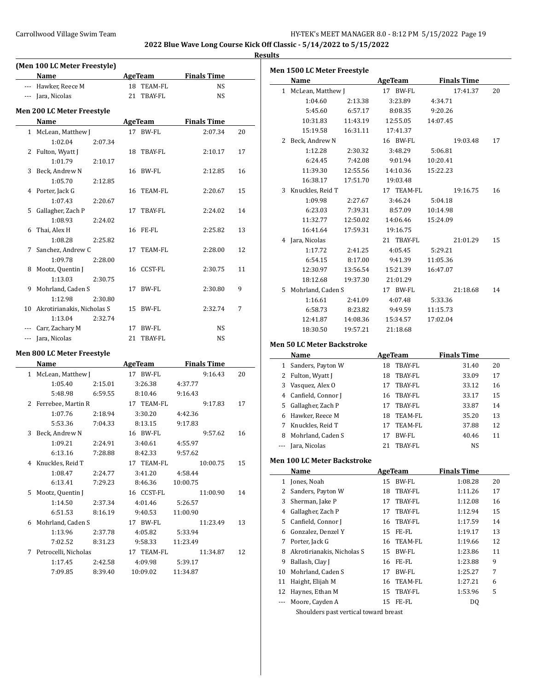$\overline{\phantom{0}}$ 

**Results**

|                | (Men 100 LC Meter Freestyle) |                      |                    |    |
|----------------|------------------------------|----------------------|--------------------|----|
|                | Name                         | <b>AgeTeam</b>       | <b>Finals Time</b> |    |
|                | --- Hawker, Reece M          | 18 TEAM-FL           | NS                 |    |
|                | --- Jara, Nicolas            | 21<br><b>TBAY-FL</b> | NS                 |    |
|                | Men 200 LC Meter Freestyle   |                      |                    |    |
|                | Name                         | <b>AgeTeam</b>       | <b>Finals Time</b> |    |
|                | 1 McLean, Matthew J          | 17 BW-FL             | 2:07.34            | 20 |
|                | 1:02.04<br>2:07.34           |                      |                    |    |
| 2              | Fulton, Wyatt J              | TBAY-FL<br>18        | 2:10.17            | 17 |
|                | 1:01.79<br>2:10.17           |                      |                    |    |
| 3              | Beck, Andrew N               | 16 BW-FL             | 2:12.85            | 16 |
|                | 1:05.70<br>2:12.85           |                      |                    |    |
| 4              | Porter, Jack G               | 16<br>TEAM-FL        | 2:20.67            | 15 |
|                | 1:07.43<br>2:20.67           |                      |                    |    |
| 5              | Gallagher, Zach P            | 17<br>TBAY-FL        | 2:24.02            | 14 |
|                | 1:08.93<br>2:24.02           |                      |                    |    |
| 6              | Thai, Alex H                 | 16 FE-FL             | 2:25.82            | 13 |
|                | 1:08.28<br>2:25.82           |                      |                    |    |
| 7              | Sanchez, Andrew C            | 17 TEAM-FL           | 2:28.00            | 12 |
|                | 1:09.78<br>2:28.00           |                      |                    |    |
| 8              | Mootz, Quentin J             | 16 CCST-FL           | 2:30.75            | 11 |
|                | 1:13.03<br>2:30.75           |                      |                    |    |
| 9              | Mohrland, Caden S            | BW-FL<br>17          | 2:30.80            | 9  |
|                | 1:12.98<br>2:30.80           |                      |                    |    |
| 10             | Akrotirianakis, Nicholas S   | BW-FL<br>15          | 2:32.74            | 7  |
|                | 1:13.04<br>2:32.74           |                      |                    |    |
|                | --- Carr, Zachary M          | 17 BW-FL             | NS                 |    |
| $---$          | Jara, Nicolas                | 21<br>TBAY-FL        | NS                 |    |
|                |                              |                      |                    |    |
|                | Men 800 LC Meter Freestyle   |                      |                    |    |
|                | <b>Name</b>                  | <b>AgeTeam</b>       | <b>Finals Time</b> |    |
|                | 1 McLean, Matthew J          | 17 BW-FL             | 9:16.43            | 20 |
|                | 1:05.40<br>2:15.01           | 3:26.38              | 4:37.77            |    |
|                | 5:48.98<br>6:59.55           | 8:10.46              | 9:16.43            |    |
| $\overline{2}$ | Ferrebee, Martin R           | 17 TEAM-FL           | 9:17.83            | 17 |
|                | 1:07.76<br>2:18.94           | 3:30.20              | 4:42.36            |    |
|                | 5:53.36<br>7:04.33           | 8:13.15              | 9:17.83            |    |
| 3              | Beck, Andrew N               | 16 BW-FL             | 9:57.62            | 16 |
|                | 1:09.21<br>2:24.91           | 3:40.61              | 4:55.97            |    |
|                | 6:13.16<br>7:28.88           | 8:42.33              | 9:57.62            |    |
|                | 4 Knuckles, Reid T           | 17 TEAM-FL           | 10:00.75           | 15 |
|                | 1:08.47<br>2:24.77           | 3:41.20              | 4:58.44            |    |
|                | 6:13.41<br>7:29.23           | 8:46.36              | 10:00.75           |    |
| 5              | Mootz, Quentin J             | 16 CCST-FL           | 11:00.90           | 14 |
|                | 1:14.50<br>2:37.34           | 4:01.46              | 5:26.57            |    |
|                | 6:51.53<br>8:16.19           | 9:40.53              | 11:00.90           |    |
| 6              | Mohrland, Caden S            | 17 BW-FL             | 11:23.49           | 13 |
|                | 1:13.96<br>2:37.78           | 4:05.82              | 5:33.94            |    |
|                | 7:02.52<br>8:31.23           | 9:58.33              | 11:23.49           |    |
|                | 7 Petrocelli, Nicholas       | 17 TEAM-FL           | 11:34.87           | 12 |

1:17.45 2:42.58 4:09.98 5:39.17 7:09.85 8:39.40 10:09.02 11:34.87

|              | <b>Men 1500 LC Meter Freestyle</b> |          |             |                    |    |
|--------------|------------------------------------|----------|-------------|--------------------|----|
|              | Name                               |          | AgeTeam     | <b>Finals Time</b> |    |
| $\mathbf{1}$ | McLean, Matthew J                  |          | 17<br>BW-FL | 17:41.37           | 20 |
|              | 1:04.60                            | 2:13.38  | 3:23.89     | 4:34.71            |    |
|              | 5:45.60                            | 6:57.17  | 8:08.35     | 9:20.26            |    |
|              | 10:31.83                           | 11:43.19 | 12:55.05    | 14:07.45           |    |
|              | 15:19.58                           | 16:31.11 | 17:41.37    |                    |    |
| 2            | Beck, Andrew N                     |          | 16 BW-FL    | 19:03.48           | 17 |
|              | 1:12.28                            | 2:30.32  | 3:48.29     | 5:06.81            |    |
|              | 6:24.45                            | 7:42.08  | 9:01.94     | 10:20.41           |    |
|              | 11:39.30                           | 12:55.56 | 14:10.36    | 15:22.23           |    |
|              | 16:38.17                           | 17:51.70 | 19:03.48    |                    |    |
| 3            | Knuckles, Reid T                   |          | 17 TEAM-FL  | 19:16.75           | 16 |
|              | 1:09.98                            | 2:27.67  | 3:46.24     | 5:04.18            |    |
|              | 6:23.03                            | 7:39.31  | 8:57.09     | 10:14.98           |    |
|              | 11:32.77                           | 12:50.02 | 14:06.46    | 15:24.09           |    |
|              | 16:41.64                           | 17:59.31 | 19:16.75    |                    |    |
| 4            | Jara, Nicolas                      |          | 21 TBAY-FL  | 21:01.29           | 15 |
|              | 1:17.72                            | 2:41.25  | 4:05.45     | 5:29.21            |    |
|              | 6:54.15                            | 8:17.00  | 9:41.39     | 11:05.36           |    |
|              | 12:30.97                           | 13:56.54 | 15:21.39    | 16:47.07           |    |
|              | 18:12.68                           | 19:37.30 | 21:01.29    |                    |    |
| 5.           | Mohrland, Caden S                  |          | 17 BW-FL    | 21:18.68           | 14 |
|              | 1:16.61                            | 2:41.09  | 4:07.48     | 5:33.36            |    |
|              | 6:58.73                            | 8:23.82  | 9:49.59     | 11:15.73           |    |
|              | 12:41.87                           | 14:08.36 | 15:34.57    | 17:02.04           |    |
|              | 18:30.50                           | 19:57.21 | 21:18.68    |                    |    |
|              |                                    |          |             |                    |    |

### **Men 50 LC Meter Backstroke**

 $\overline{\phantom{a}}$ 

|     | Name               |    | AgeTeam    | <b>Finals Time</b> |    |
|-----|--------------------|----|------------|--------------------|----|
|     | Sanders, Payton W  | 18 | TBAY-FL    | 31.40              | 20 |
| 2   | Fulton, Wyatt J    | 18 | TBAY-FL    | 33.09              | 17 |
| 3   | Vasquez, Alex O    | 17 | TBAY-FL    | 33.12              | 16 |
| 4   | Canfield, Connor J |    | 16 TBAY-FL | 33.17              | 15 |
| 5.  | Gallagher, Zach P  | 17 | TBAY-FL    | 33.87              | 14 |
| 6   | Hawker, Reece M    | 18 | TEAM-FL    | 35.20              | 13 |
|     | Knuckles, Reid T   | 17 | TEAM-FL    | 37.88              | 12 |
| 8   | Mohrland, Caden S  | 17 | BW-FL      | 40.46              | 11 |
| --- | Jara, Nicolas      | 21 | TBAY-FL    | NS                 |    |

### **Men 100 LC Meter Backstroke**

|    | Name                                                      |    | AgeTeam    | <b>Finals Time</b> |    |  |
|----|-----------------------------------------------------------|----|------------|--------------------|----|--|
| 1  | Jones, Noah                                               | 15 | BW-FL      | 1:08.28            | 20 |  |
| 2  | Sanders, Payton W                                         | 18 | TBAY-FL    | 1:11.26            | 17 |  |
| 3  | Sherman, Jake P                                           | 17 | TBAY-FL    | 1:12.08            | 16 |  |
| 4  | Gallagher, Zach P                                         | 17 | TBAY-FL    | 1:12.94            | 15 |  |
| 5. | Canfield, Connor J                                        | 16 | TBAY-FL    | 1:17.59            | 14 |  |
| 6  | Gonzalez, Denzel Y                                        | 15 | FE-FL      | 1:19.17            | 13 |  |
| 7  | Porter, Jack G                                            |    | 16 TEAM-FL | 1:19.66            | 12 |  |
| 8  | Akrotirianakis, Nicholas S                                | 15 | BW-FL      | 1:23.86            | 11 |  |
| 9  | Ballash, Clay J                                           | 16 | FE-FL      | 1:23.88            | 9  |  |
| 10 | Mohrland, Caden S                                         | 17 | BW-FL      | 1:25.27            | 7  |  |
| 11 | Haight, Elijah M                                          | 16 | TEAM-FL    | 1:27.21            | 6  |  |
| 12 | Haynes, Ethan M                                           |    | 15 TBAY-FL | 1:53.96            | 5  |  |
|    | Moore, Cayden A                                           |    | 15 FE-FL   | DQ                 |    |  |
|    | Charles and an annual contract the contract of the second |    |            |                    |    |  |

Shoulders past vertical toward breast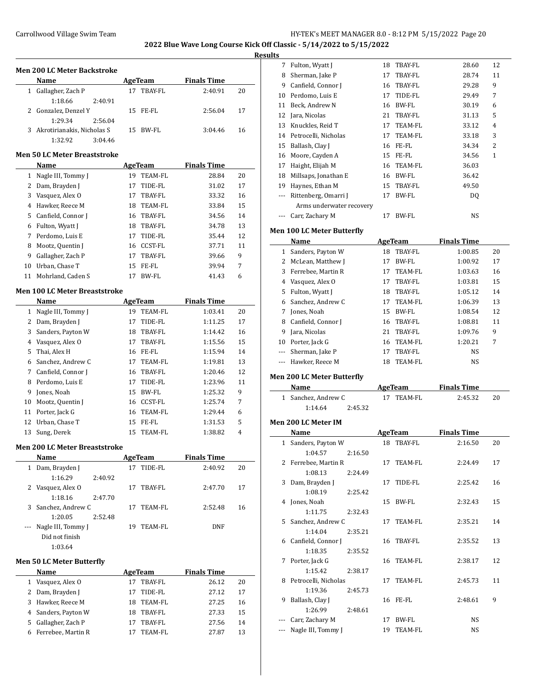**2022 Blue Wave Long Course Kick Off Classic - 5/14/2022 to 5/15/2022**

### **Results**

|    | Men 200 LC Meter Backstroke |         |    |          |                    |    |
|----|-----------------------------|---------|----|----------|--------------------|----|
|    | <b>Name</b>                 |         |    | AgeTeam  | <b>Finals Time</b> |    |
|    | Gallagher, Zach P           |         | 17 | TBAY-FL  | 2:40.91            | 20 |
|    | 1:18.66                     | 2:40.91 |    |          |                    |    |
|    | 2 Gonzalez, Denzel Y        |         |    | 15 FE-FL | 2:56.04            | 17 |
|    | 1:29.34                     | 2:56.04 |    |          |                    |    |
| 3. | Akrotirianakis, Nicholas S  |         |    | 15 BW-FL | 3:04.46            | 16 |
|    | 1:32.92                     | 3:04.46 |    |          |                    |    |

### **Men 50 LC Meter Breaststroke**

|    | <b>Name</b>        |    | AgeTeam | <b>Finals Time</b> |    |
|----|--------------------|----|---------|--------------------|----|
| 1  | Nagle III, Tommy J | 19 | TEAM-FL | 28.84              | 20 |
| 2  | Dam, Brayden J     | 17 | TIDE-FL | 31.02              | 17 |
| 3  | Vasquez, Alex O    | 17 | TBAY-FL | 33.32              | 16 |
| 4  | Hawker, Reece M    | 18 | TEAM-FL | 33.84              | 15 |
| 5. | Canfield, Connor J | 16 | TBAY-FL | 34.56              | 14 |
| 6  | Fulton, Wyatt J    | 18 | TBAY-FL | 34.78              | 13 |
| 7  | Perdomo, Luis E    | 17 | TIDE-FL | 35.44              | 12 |
| 8  | Mootz, Quentin J   | 16 | CCST-FL | 37.71              | 11 |
| 9  | Gallagher, Zach P  | 17 | TBAY-FL | 39.66              | 9  |
| 10 | Urban, Chase T     | 15 | FE-FL   | 39.94              | 7  |
| 11 | Mohrland, Caden S  | 17 | BW-FL   | 41.43              | 6  |

### **Men 100 LC Meter Breaststroke**

 $\overline{\phantom{a}}$ 

| Name<br>AgeTeam |                    |    | <b>Finals Time</b> |         |    |  |
|-----------------|--------------------|----|--------------------|---------|----|--|
|                 | Nagle III, Tommy J | 19 | TEAM-FL            | 1:03.41 | 20 |  |
| 2               | Dam, Brayden J     | 17 | TIDE-FL            | 1:11.25 | 17 |  |
| 3               | Sanders, Payton W  | 18 | TBAY-FL            | 1:14.42 | 16 |  |
| 4               | Vasquez, Alex O    | 17 | TBAY-FL            | 1:15.56 | 15 |  |
| 5.              | Thai, Alex H       | 16 | FE-FL              | 1:15.94 | 14 |  |
| 6               | Sanchez, Andrew C  | 17 | TEAM-FL            | 1:19.81 | 13 |  |
| 7               | Canfield, Connor J | 16 | TBAY-FL            | 1:20.46 | 12 |  |
| 8               | Perdomo, Luis E    | 17 | TIDE-FL            | 1:23.96 | 11 |  |
| 9               | Jones, Noah        | 15 | BW-FL              | 1:25.32 | 9  |  |
| 10              | Mootz, Quentin J   | 16 | <b>CCST-FL</b>     | 1:25.74 | 7  |  |
| 11              | Porter, Jack G     | 16 | TEAM-FL            | 1:29.44 | 6  |  |
| 12              | Urban, Chase T     | 15 | FE-FL              | 1:31.53 | 5  |  |
| 13              | Sung, Derek        | 15 | TEAM-FL            | 1:38.82 | 4  |  |

### **Men 200 LC Meter Breaststroke**

|   | Name                |         | AgeTeam |         | <b>Finals Time</b> |    |
|---|---------------------|---------|---------|---------|--------------------|----|
| 1 | Dam, Brayden J      |         | 17      | TIDE-FL | 2:40.92            | 20 |
|   | 1:16.29             | 2:40.92 |         |         |                    |    |
| 2 | Vasquez, Alex O     |         | 17      | TRAY-FL | 2:47.70            | 17 |
|   | 1:18.16             | 2:47.70 |         |         |                    |    |
|   | 3 Sanchez, Andrew C |         | 17      | TEAM-FL | 2:52.48            | 16 |
|   | 1:20.05             | 2:52.48 |         |         |                    |    |
|   | Nagle III, Tommy J  |         | 19      | TEAM-FL | DNF                |    |
|   | Did not finish      |         |         |         |                    |    |
|   | 1:03.64             |         |         |         |                    |    |
|   |                     |         |         |         |                    |    |

## **Men 50 LC Meter Butterfly**

| Name |                      |     | AgeTeam | <b>Finals Time</b> |    |
|------|----------------------|-----|---------|--------------------|----|
|      | 1 Vasquez, Alex O    | 17  | TRAY-FL | 26.12              | 20 |
|      | 2 Dam, Brayden J     | 17  | TIDE-FL | 27.12              | 17 |
|      | 3 Hawker, Reece M    | 18. | TEAM-FL | 27.25              | 16 |
|      | 4 Sanders, Payton W  | 18  | TBAY-FL | 27.33              | 15 |
|      | 5 Gallagher, Zach P  | 17  | TRAY-FL | 27.56              | 14 |
|      | 6 Ferrebee, Martin R |     | TEAM-FL | 27.87              | 13 |

| 7     | Fulton, Wyatt J          | 18 | TBAY-FL | 28.60 | 12             |
|-------|--------------------------|----|---------|-------|----------------|
| 8     | Sherman, Jake P          | 17 | TBAY-FL | 28.74 | 11             |
| 9     | Canfield, Connor J       | 16 | TBAY-FL | 29.28 | 9              |
| 10    | Perdomo, Luis E          | 17 | TIDE-FL | 29.49 | 7              |
| 11    | Beck, Andrew N           | 16 | BW-FL   | 30.19 | 6              |
| 12    | Jara, Nicolas            | 21 | TBAY-FL | 31.13 | 5              |
| 13    | Knuckles, Reid T         | 17 | TEAM-FL | 33.12 | $\overline{4}$ |
| 14    | Petrocelli, Nicholas     | 17 | TEAM-FL | 33.18 | 3              |
| 15    | Ballash, Clay J          | 16 | FE-FL   | 34.34 | 2              |
| 16    | Moore, Cayden A          | 15 | FE-FL   | 34.56 | 1              |
| 17    | Haight, Elijah M         | 16 | TEAM-FL | 36.03 |                |
| 18    | Millsaps, Jonathan E     | 16 | BW-FL   | 36.42 |                |
| 19    | Haynes, Ethan M          | 15 | TBAY-FL | 49.50 |                |
| $---$ | Rittenberg, Omarri J     | 17 | BW-FL   | DO.   |                |
|       | Arms underwater recovery |    |         |       |                |
|       | Carr, Zachary M          | 17 | BW-FL   | NS    |                |

## **Men 100 LC Meter Butterfly**

| Name |                    |    | AgeTeam    | <b>Finals Time</b> |    |  |
|------|--------------------|----|------------|--------------------|----|--|
| 1    | Sanders, Payton W  | 18 | TBAY-FL    | 1:00.85            | 20 |  |
| 2    | McLean, Matthew J  | 17 | BW-FL      | 1:00.92            | 17 |  |
| 3    | Ferrebee, Martin R | 17 | TEAM-FL    | 1:03.63            | 16 |  |
| 4    | Vasquez, Alex O    | 17 | TBAY-FL    | 1:03.81            | 15 |  |
| 5.   | Fulton, Wyatt J    | 18 | TBAY-FL    | 1:05.12            | 14 |  |
| 6.   | Sanchez, Andrew C  | 17 | TEAM-FL    | 1:06.39            | 13 |  |
| 7    | Jones, Noah        | 15 | BW-FL      | 1:08.54            | 12 |  |
| 8    | Canfield, Connor J | 16 | TBAY-FL    | 1:08.81            | 11 |  |
| 9    | Jara, Nicolas      | 21 | TBAY-FL    | 1:09.76            | 9  |  |
| 10   | Porter, Jack G     |    | 16 TEAM-FL | 1:20.21            | 7  |  |
|      | Sherman, Jake P    | 17 | TBAY-FL    | NS.                |    |  |
|      | Hawker, Reece M    | 18 | TEAM-FL    | NS.                |    |  |
|      |                    |    |            |                    |    |  |

## **Men 200 LC Meter Butterfly**

| Name                | AgeTeam    | <b>Finals Time</b> |    |
|---------------------|------------|--------------------|----|
| 1 Sanchez, Andrew C | 17 TEAM-FL | 2:45.32            | 20 |
| 2:45.32<br>1:14.64  |            |                    |    |

### **Men 200 LC Meter IM**

 $\frac{1}{2}$ 

|               | Name                 |         |    | AgeTeam | <b>Finals Time</b> |    |
|---------------|----------------------|---------|----|---------|--------------------|----|
| $\mathbf{1}$  | Sanders, Payton W    |         | 18 | TBAY-FL | 2:16.50            | 20 |
|               | 1:04.57              | 2:16.50 |    |         |                    |    |
| $\mathcal{L}$ | Ferrebee, Martin R   |         | 17 | TEAM-FL | 2:24.49            | 17 |
|               | 1:08.13              | 2:24.49 |    |         |                    |    |
| 3             | Dam, Brayden J       |         | 17 | TIDE-FL | 2:25.42            | 16 |
|               | 1:08.19              | 2:25.42 |    |         |                    |    |
| 4             | Jones, Noah          |         | 15 | BW-FL   | 2:32.43            | 15 |
|               | 1:11.75              | 2:32.43 |    |         |                    |    |
| 5.            | Sanchez, Andrew C    |         | 17 | TEAM-FL | 2:35.21            | 14 |
|               | 1:14.04              | 2:35.21 |    |         |                    |    |
| 6             | Canfield, Connor J   |         | 16 | TBAY-FL | 2:35.52            | 13 |
|               | 1:18.35              | 2:35.52 |    |         |                    |    |
| 7             | Porter, Jack G       |         | 16 | TEAM-FL | 2:38.17            | 12 |
|               | 1:15.42              | 2:38.17 |    |         |                    |    |
| 8             | Petrocelli, Nicholas |         | 17 | TEAM-FL | 2:45.73            | 11 |
|               | 1:19.36              | 2:45.73 |    |         |                    |    |
| 9             | Ballash, Clay J      |         | 16 | FE-FL   | 2:48.61            | 9  |
|               | 1:26.99              | 2:48.61 |    |         |                    |    |
| ---           | Carr, Zachary M      |         | 17 | BW-FL   | NS.                |    |
| ---           | Nagle III, Tommy J   |         | 19 | TEAM-FL | <b>NS</b>          |    |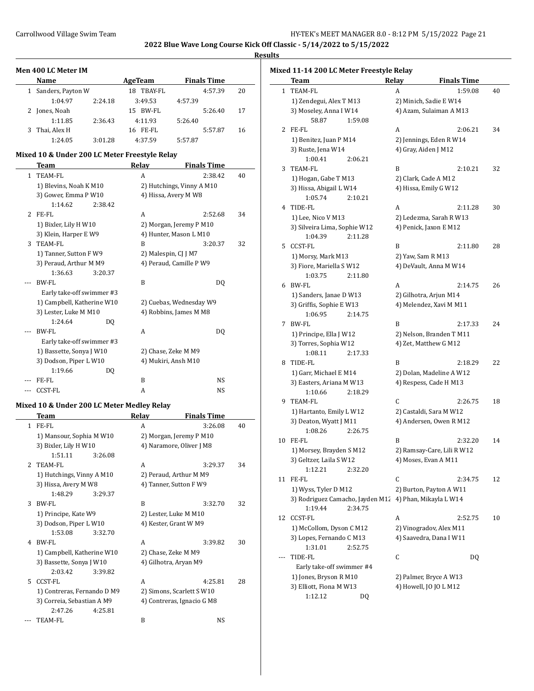#### **Results**  $\mathbf{I}$

|  | Mixed 11-14 200 LC Meter Freestyle Relay |  |  |  |  |
|--|------------------------------------------|--|--|--|--|
|--|------------------------------------------|--|--|--|--|

| Men 400 LC Meter IM |         |               |                    |         |    |  |  |  |  |
|---------------------|---------|---------------|--------------------|---------|----|--|--|--|--|
| <b>Name</b>         |         | AgeTeam       | <b>Finals Time</b> |         |    |  |  |  |  |
| Sanders, Payton W   |         | TBAY-FL<br>18 |                    | 4:57.39 | 20 |  |  |  |  |
| 1:04.97             | 2:24.18 | 3:49.53       | 4:57.39            |         |    |  |  |  |  |
| Jones, Noah         |         | 15 BW-FL      |                    | 5:26.40 | 17 |  |  |  |  |
| 1:11.85             | 2:36.43 | 4:11.93       | 5:26.40            |         |    |  |  |  |  |
| Thai, Alex H        |         | 16 FE-FL      |                    | 5:57.87 | 16 |  |  |  |  |
| 1:24.05             | 3:01.28 | 4:37.59       | 5:57.87            |         |    |  |  |  |  |

## **Mixed 10 & Under 200 LC Meter Freestyle Relay**

|              | <b>Team</b>                | Relay                | <b>Finals Time</b>        |    |
|--------------|----------------------------|----------------------|---------------------------|----|
| $\mathbf{1}$ | <b>TEAM-FL</b>             | A                    | 2:38.42                   | 40 |
|              | 1) Blevins, Noah K M10     |                      | 2) Hutchings, Vinny A M10 |    |
|              | 3) Gower, Emma P W10       |                      | 4) Hissa, Avery M W8      |    |
|              | 1:14.62<br>2:38.42         |                      |                           |    |
| 2            | FE-FL                      | A                    | 2:52.68                   | 34 |
|              | 1) Bixler, Lily H W10      |                      | 2) Morgan, Jeremy P M10   |    |
|              | 3) Klein, Harper E W9      |                      | 4) Hunter, Mason L M10    |    |
| 3            | <b>TEAM-FL</b>             | B                    | 3:20.37                   | 32 |
|              | 1) Tanner, Sutton F W9     | 2) Malespin, CJ J M7 |                           |    |
|              | 3) Peraud, Arthur M M9     |                      | 4) Peraud, Camille P W9   |    |
|              | 1:36.63<br>3:20.37         |                      |                           |    |
|              | <b>BW-FL</b>               | B                    | DO.                       |    |
|              | Early take-off swimmer #3  |                      |                           |    |
|              | 1) Campbell, Katherine W10 |                      | 2) Cuebas, Wednesday W9   |    |
|              | 3) Lester, Luke M M10      |                      | 4) Robbins, James M M8    |    |
|              | 1:24.64<br>DQ              |                      |                           |    |
|              | BW-FL                      | A                    | DQ                        |    |
|              | Early take-off swimmer #3  |                      |                           |    |
|              | 1) Bassette, Sonya J W10   |                      | 2) Chase, Zeke M M9       |    |
|              | 3) Dodson, Piper L W10     |                      | 4) Mukiri, Ansh M10       |    |
|              | 1:19.66<br>DQ              |                      |                           |    |
|              | FE-FL                      | B                    | NS                        |    |
|              | <b>CCST-FL</b>             | A                    | NS                        |    |

## **Mixed 10 & Under 200 LC Meter Medley Relay**

|                | <b>Team</b>                 |         | Relay               | <b>Finals Time</b>         |    |
|----------------|-----------------------------|---------|---------------------|----------------------------|----|
| 1.             | FE-FL                       |         | A                   | 3:26.08                    | 40 |
|                | 1) Mansour, Sophia M W10    |         |                     | 2) Morgan, Jeremy P M10    |    |
|                | 3) Bixler, Lily H W10       |         |                     | 4) Naramore, Oliver J M8   |    |
|                | 1:51.11                     | 3:26.08 |                     |                            |    |
| $\overline{2}$ | TEAM-FL                     |         | A                   | 3:29.37                    | 34 |
|                | 1) Hutchings, Vinny A M10   |         |                     | 2) Peraud, Arthur M M9     |    |
|                | 3) Hissa, Avery M W8        |         |                     | 4) Tanner, Sutton F W9     |    |
|                | 1:48.29                     | 3:29.37 |                     |                            |    |
| 3              | BW-FL                       |         | R                   | 3:32.70                    | 32 |
|                | 1) Principe, Kate W9        |         |                     | 2) Lester, Luke M M10      |    |
|                | 3) Dodson, Piper L W10      |         |                     | 4) Kester, Grant W M9      |    |
|                | 1:53.08                     | 3:32.70 |                     |                            |    |
| 4              | BW-FL                       |         | A                   | 3:39.82                    | 30 |
|                | 1) Campbell, Katherine W10  |         | 2) Chase, Zeke M M9 |                            |    |
|                | 3) Bassette, Sonya J W10    |         |                     | 4) Gilhotra, Aryan M9      |    |
|                | 2:03.42                     | 3:39.82 |                     |                            |    |
| 5.             | CCST-FL                     |         | A                   | 4:25.81                    | 28 |
|                | 1) Contreras, Fernando D M9 |         |                     | 2) Simons, Scarlett S W10  |    |
|                | 3) Correia, Sebastian A M9  |         |                     | 4) Contreras, Ignacio G M8 |    |
|                | 2:47.26                     | 4:25.81 |                     |                            |    |
|                | TEAM-FL                     |         | B                   | NS                         |    |

|    | Team                                                    | Relay | <b>Finals Time</b>         |    |  |
|----|---------------------------------------------------------|-------|----------------------------|----|--|
| 1  | <b>TEAM-FL</b>                                          | A     | 1:59.08                    | 40 |  |
|    | 1) Zendegui, Alex T M13                                 |       | 2) Minich, Sadie E W14     |    |  |
|    | 3) Moseley, Anna I W14                                  |       | 4) Azam, Sulaiman A M13    |    |  |
|    | 58.87<br>1:59.08                                        |       |                            |    |  |
| 2  | FE-FL                                                   | A     | 2:06.21                    | 34 |  |
|    | 1) Benitez, Juan P M14                                  |       | 2) Jennings, Eden R W14    |    |  |
|    | 3) Ruste, Jena W14                                      |       | 4) Gray, Aiden J M12       |    |  |
|    | 1:00.41<br>2:06.21                                      |       |                            |    |  |
| 3  | TEAM-FL                                                 | B     | 2:10.21                    | 32 |  |
|    | 1) Hogan, Gabe T M13                                    |       | 2) Clark, Cade A M12       |    |  |
|    | 3) Hissa, Abigail L W14                                 |       | 4) Hissa, Emily G W12      |    |  |
|    | 1:05.74<br>2:10.21                                      |       |                            |    |  |
| 4  | TIDE-FL                                                 | A     | 2:11.28                    | 30 |  |
|    | 1) Lee, Nico V M13                                      |       | 2) Ledezma, Sarah R W13    |    |  |
|    | 3) Silveira Lima, Sophie W12                            |       | 4) Penick, Jaxon E M12     |    |  |
|    | 1:04.39<br>2:11.28                                      |       |                            |    |  |
| 5  | <b>CCST-FL</b>                                          | B     | 2:11.80                    | 28 |  |
|    | 1) Morsy, Mark M13                                      |       | 2) Yaw, Sam R M13          |    |  |
|    | 3) Fiore, Mariella SW12                                 |       | 4) DeVault, Anna M W14     |    |  |
|    | 1:03.75<br>2:11.80                                      |       |                            |    |  |
| 6  | BW-FL                                                   | A     | 2:14.75                    | 26 |  |
|    | 1) Sanders, Janae D W13                                 |       | 2) Gilhotra, Arjun M14     |    |  |
|    | 3) Griffis, Sophie E W13                                |       | 4) Melendez, Xavi M M11    |    |  |
|    | 1:06.95<br>2:14.75                                      |       |                            |    |  |
| 7  | <b>BW-FL</b>                                            | B     | 2:17.33                    | 24 |  |
|    | 1) Principe, Ella J W12                                 |       | 2) Nelson, Branden T M11   |    |  |
|    | 3) Torres, Sophia W12                                   |       | 4) Zet, Matthew G M12      |    |  |
|    | 1:08.11<br>2:17.33                                      |       |                            |    |  |
| 8  | TIDE-FL                                                 | B     | 2:18.29                    | 22 |  |
|    | 1) Garr, Michael E M14                                  |       | 2) Dolan, Madeline A W12   |    |  |
|    | 3) Easters, Ariana M W13                                |       | 4) Respess, Cade H M13     |    |  |
|    | 1:10.66<br>2:18.29                                      |       |                            |    |  |
| 9  | TEAM-FL                                                 | C     | 2:26.75                    | 18 |  |
|    | 1) Hartanto, Emily L W12                                |       | 2) Castaldi, Sara M W12    |    |  |
|    | 3) Deaton, Wyatt J M11                                  |       | 4) Andersen, Owen R M12    |    |  |
|    | 1:08.26<br>2:26.75                                      |       |                            |    |  |
| 10 | FE-FL                                                   | B     | 2:32.20                    | 14 |  |
|    | 1) Morsey, Brayden S M12                                |       | 2) Ramsay-Care, Lili R W12 |    |  |
|    | 3) Geltzer, Laila S W12                                 |       | 4) Moses, Evan A M11       |    |  |
|    | 1:12.21<br>2:32.20                                      |       |                            |    |  |
| 11 | FE-FL                                                   | C     | 2:34.75                    | 12 |  |
|    | 1) Wyss, Tyler D M12                                    |       | 2) Burton, Payton A W11    |    |  |
|    | 3) Rodriguez Camacho, Jayden M12 4) Phan, Mikayla L W14 |       |                            |    |  |
|    | 1:19.44<br>2:34.75                                      |       |                            |    |  |
| 12 | CCST-FL                                                 | A     | 2:52.75                    | 10 |  |
|    | 1) McCollom, Dyson C M12                                |       | 2) Vinogradov, Alex M11    |    |  |
|    | 3) Lopes, Fernando C M13                                |       | 4) Saavedra, Dana I W11    |    |  |
|    | 1:31.01<br>2:52.75                                      |       |                            |    |  |
|    | TIDE-FL                                                 | C     | DQ                         |    |  |
|    | Early take-off swimmer #4                               |       |                            |    |  |
|    | 1) Jones, Bryson R M10                                  |       | 2) Palmer, Bryce A W13     |    |  |
|    | 3) Elliott, Fiona M W13                                 |       | 4) Howell, JO JO L M12     |    |  |
|    | 1:12.12<br>DQ                                           |       |                            |    |  |
|    |                                                         |       |                            |    |  |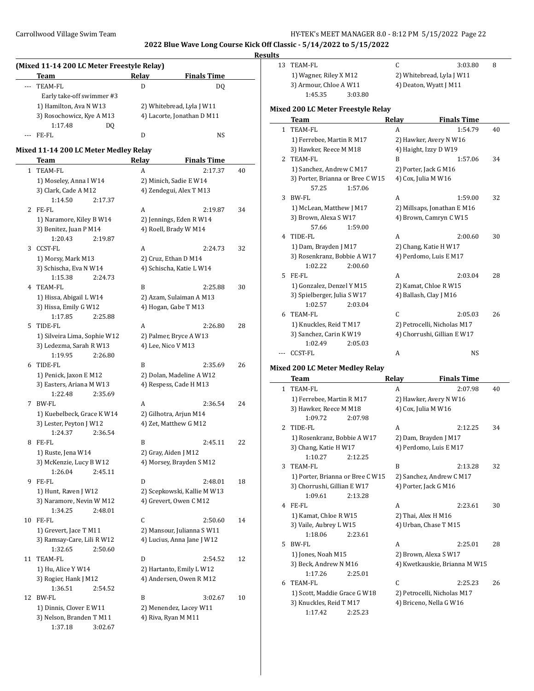### **Results**

| (Mixed 11-14 200 LC Meter Freestyle Relay) |                           |       |                            |  |
|--------------------------------------------|---------------------------|-------|----------------------------|--|
|                                            | <b>Team</b>               | Relay | <b>Finals Time</b>         |  |
|                                            | TEAM-FL                   | D     | DO.                        |  |
|                                            | Early take-off swimmer #3 |       |                            |  |
|                                            | 1) Hamilton, Ava N W13    |       | 2) Whitebread, Lyla J W11  |  |
|                                            | 3) Rosochowicz, Kye A M13 |       | 4) Lacorte, Jonathan D M11 |  |
|                                            | 1:17.48<br>DΟ             |       |                            |  |
|                                            | FE-FL                     |       | NS.                        |  |

# **Mixed 11-14 200 LC Meter Medley Relay**

|              | Team                         | <b>Relay</b>             | <b>Finals Time</b>                              |    |  |
|--------------|------------------------------|--------------------------|-------------------------------------------------|----|--|
| $\mathbf{1}$ | TEAM-FL                      | A                        | 2:17.37                                         | 40 |  |
|              | 1) Moseley, Anna I W14       |                          | 2) Minich, Sadie E W14                          |    |  |
|              | 3) Clark, Cade A M12         |                          | 4) Zendegui, Alex T M13                         |    |  |
|              | 1:14.50<br>2:17.37           |                          |                                                 |    |  |
| 2            | FE-FL                        | A                        | 2:19.87                                         | 34 |  |
|              | 1) Naramore, Kiley B W14     |                          | 2) Jennings, Eden R W14                         |    |  |
|              | 3) Benitez, Juan P M14       |                          | 4) Roell, Brady W M14                           |    |  |
|              | 1:20.43<br>2:19.87           |                          |                                                 |    |  |
| 3            | <b>CCST-FL</b>               | A                        | 2:24.73                                         | 32 |  |
|              | 1) Morsy, Mark M13           |                          | 2) Cruz, Ethan D M14                            |    |  |
|              | 3) Schischa, Eva N W14       |                          | 4) Schischa, Katie L W14                        |    |  |
|              | 1:15.38<br>2:24.73           |                          |                                                 |    |  |
| 4            | TEAM-FL                      | B                        | 2:25.88                                         | 30 |  |
|              | 1) Hissa, Abigail L W14      |                          | 2) Azam, Sulaiman A M13                         |    |  |
|              | 3) Hissa, Emily G W12        |                          | 4) Hogan, Gabe T M13                            |    |  |
|              | 1:17.85<br>2:25.88           |                          |                                                 |    |  |
| 5            | TIDE-FL                      | A                        | 2:26.80                                         | 28 |  |
|              | 1) Silveira Lima, Sophie W12 |                          | 2) Palmer, Bryce A W13                          |    |  |
|              | 3) Ledezma, Sarah R W13      | 4) Lee, Nico V M13       |                                                 |    |  |
|              | 1:19.95<br>2:26.80           |                          |                                                 |    |  |
| 6            | TIDE-FL                      | B                        | 2:35.69                                         | 26 |  |
|              | 1) Penick, Jaxon E M12       |                          | 2) Dolan, Madeline A W12                        |    |  |
|              | 3) Easters, Ariana M W13     |                          | 4) Respess, Cade H M13                          |    |  |
| 7            | 1:22.48<br>2:35.69<br>BW-FL  | A                        | 2:36.54                                         | 24 |  |
|              | 1) Kuebelbeck, Grace K W14   |                          |                                                 |    |  |
|              | 3) Lester, Peyton J W12      |                          | 2) Gilhotra, Arjun M14<br>4) Zet, Matthew G M12 |    |  |
|              | 1:24.37<br>2:36.54           |                          |                                                 |    |  |
| 8            | FE-FL                        | B                        | 2:45.11                                         | 22 |  |
|              | 1) Ruste, Jena W14           |                          | 2) Gray, Aiden J M12                            |    |  |
|              | 3) McKenzie, Lucy B W12      | 4) Morsey, Brayden S M12 |                                                 |    |  |
|              | 1:26.04<br>2:45.11           |                          |                                                 |    |  |
| 9            | FE-FL                        | D                        | 2:48.01                                         | 18 |  |
|              | 1) Hunt, Raven J W12         |                          | 2) Scepkowski, Kallie M W13                     |    |  |
|              | 3) Naramore, Nevin W M12     |                          | 4) Grevert, Owen C M12                          |    |  |
|              | 1:34.25<br>2:48.01           |                          |                                                 |    |  |
| 10           | FE-FL                        | C                        | 2:50.60                                         | 14 |  |
|              | 1) Grevert, Jace T M11       |                          | 2) Mansour, Julianna S W11                      |    |  |
|              | 3) Ramsay-Care, Lili R W12   |                          | 4) Lucius, Anna Jane J W12                      |    |  |
|              | 1:32.65 2:50.60              |                          |                                                 |    |  |
| 11           | TEAM-FL                      | D                        | 2:54.52                                         | 12 |  |
|              | 1) Hu, Alice Y W14           |                          | 2) Hartanto, Emily L W12                        |    |  |
|              | 3) Rogier, Hank J M12        |                          | 4) Andersen, Owen R M12                         |    |  |
|              | 1:36.51<br>2:54.52           |                          |                                                 |    |  |
| 12           | <b>BW-FL</b>                 | B                        | 3:02.67                                         | 10 |  |
|              | 1) Dinnis, Clover E W11      |                          | 2) Menendez, Lacey W11                          |    |  |
|              | 3) Nelson, Branden T M11     | 4) Riva, Ryan M M11      |                                                 |    |  |
|              | 1:37.18<br>3:02.67           |                          |                                                 |    |  |

| 13                    | <b>TEAM-FL</b>                         | C                         | 3:03.80                     | 8  |
|-----------------------|----------------------------------------|---------------------------|-----------------------------|----|
|                       | 1) Wagner, Riley X M12                 | 2) Whitebread, Lyla J W11 |                             |    |
|                       | 3) Armour, Chloe A W11                 |                           | 4) Deaton, Wyatt J M11      |    |
|                       | 1:45.35<br>3:03.80                     |                           |                             |    |
|                       | Mixed 200 LC Meter Freestyle Relay     |                           |                             |    |
|                       | Team                                   | Relay                     | <b>Finals Time</b>          |    |
| 1                     | <b>TEAM-FL</b>                         | A                         | 1:54.79                     | 40 |
|                       | 1) Ferrebee, Martin R M17              |                           | 2) Hawker, Avery N W16      |    |
|                       | 3) Hawker, Reece M M18                 |                           | 4) Haight, Izzy D W19       |    |
| 2                     | TEAM-FL                                | B                         | 1:57.06                     | 34 |
|                       | 1) Sanchez, Andrew C M17               |                           | 2) Porter, Jack G M16       |    |
|                       | 3) Porter, Brianna or Bree C W15       |                           | 4) Cox, Julia M W16         |    |
|                       | 57.25<br>1:57.06                       |                           |                             |    |
| 3                     | BW-FL                                  | A                         | 1:59.00                     | 32 |
|                       | 1) McLean, Matthew J M17               |                           | 2) Millsaps, Jonathan E M16 |    |
|                       | 3) Brown, Alexa S W17                  |                           | 4) Brown, Camryn C W15      |    |
|                       | 57.66<br>1:59.00                       |                           |                             |    |
| 4                     | TIDE-FL                                | A                         | 2:00.60                     | 30 |
| 1) Dam, Brayden J M17 |                                        |                           | 2) Chang, Katie H W17       |    |
|                       | 3) Rosenkranz, Bobbie A W17            |                           | 4) Perdomo, Luis E M17      |    |
|                       | 1:02.22<br>2:00.60                     |                           |                             |    |
| 5                     | FE-FL                                  | A                         | 2:03.04                     | 28 |
|                       | 1) Gonzalez, Denzel Y M15              |                           | 2) Kamat, Chloe R W15       |    |
|                       | 3) Spielberger, Julia S W17            |                           | 4) Ballash, Clay J M16      |    |
|                       | 1:02.57<br>2:03.04                     |                           |                             |    |
| 6                     | <b>TEAM-FL</b>                         | C                         | 2:05.03                     | 26 |
|                       | 1) Knuckles, Reid T M17                |                           | 2) Petrocelli, Nicholas M17 |    |
|                       | 3) Sanchez, Carin K W19                |                           | 4) Chorrushi, Gillian E W17 |    |
|                       | 1:02.49<br>2:05.03                     |                           |                             |    |
| ---                   | <b>CCST-FL</b>                         | A                         | <b>NS</b>                   |    |
|                       | <b>Mixed 200 LC Meter Medley Relay</b> |                           |                             |    |
|                       | Team                                   | Relay                     | <b>Finals Time</b>          |    |
| $\mathbf{1}$          | <b>TEAM-FL</b>                         | A                         | 2:07.98                     | 40 |
|                       | 1) Ferrebee, Martin R M17              |                           | 2) Hawker, Avery N W16      |    |

|    | 1) Ferrebee, Martin R M17<br>3) Hawker, Reece M M18 |         | 2) Hawker, Avery N W16<br>4) Cox, Julia M W16 |         |    |
|----|-----------------------------------------------------|---------|-----------------------------------------------|---------|----|
|    | 1:09.72                                             | 2:07.98 |                                               |         |    |
| 2  | TIDE-FL                                             |         | A                                             | 2:12.25 | 34 |
|    | 1) Rosenkranz, Bobbie A W17                         |         | 2) Dam, Brayden J M17                         |         |    |
|    | 3) Chang, Katie H W17                               |         | 4) Perdomo, Luis E M17                        |         |    |
|    | 1:10.27                                             | 2:12.25 |                                               |         |    |
| 3  | TEAM-FL                                             |         | R                                             | 2:13.28 | 32 |
|    | 1) Porter, Brianna or Bree C W15                    |         | 2) Sanchez, Andrew C M17                      |         |    |
|    | 3) Chorrushi, Gillian E W17                         |         | 4) Porter, Jack G M16                         |         |    |
|    | 1:09.61                                             | 2:13.28 |                                               |         |    |
| 4  | FE-FL                                               |         | A                                             | 2:23.61 | 30 |
|    | 1) Kamat, Chloe R W15                               |         | 2) Thai, Alex H M16                           |         |    |
|    | 3) Vaile, Aubrey L W15                              |         | 4) Urban, Chase T M15                         |         |    |
|    | 1:18.06                                             | 2:23.61 |                                               |         |    |
| 5. | RW-FL                                               |         | A                                             | 2:25.01 | 28 |
|    | 1) Jones, Noah M15                                  |         | 2) Brown, Alexa S W17                         |         |    |
|    | 3) Beck, Andrew N M16                               |         | 4) Kwetkauskie, Brianna M W15                 |         |    |
|    | 1:17.26                                             | 2:25.01 |                                               |         |    |
| 6  | TEAM-FL                                             |         | C                                             | 2:25.23 | 26 |
|    | 1) Scott, Maddie Grace G W18                        |         | 2) Petrocelli, Nicholas M17                   |         |    |
|    | 3) Knuckles, Reid T M17                             |         | 4) Briceno, Nella G W16                       |         |    |
|    | 1:17.42                                             | 2:25.23 |                                               |         |    |